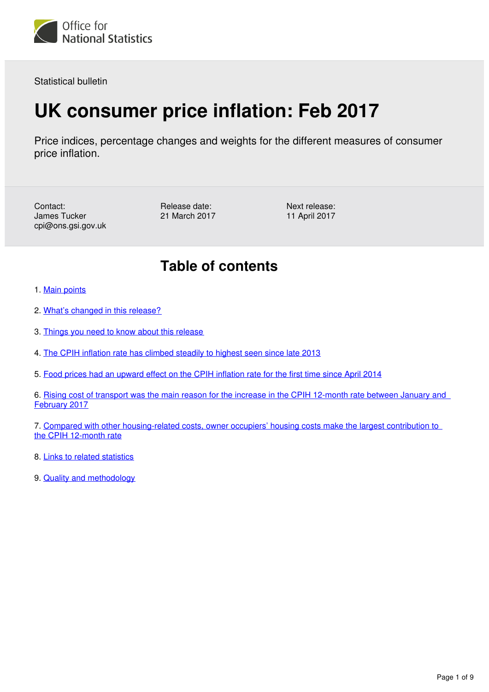

Statistical bulletin

## **UK consumer price inflation: Feb 2017**

Price indices, percentage changes and weights for the different measures of consumer price inflation.

Contact: James Tucker cpi@ons.gsi.gov.uk Release date: 21 March 2017 Next release: 11 April 2017

### **Table of contents**

- 1. [Main points](#page-1-0)
- 2. [What's changed in this release?](#page-1-1)
- 3. [Things you need to know about this release](#page-2-0)
- 4. [The CPIH inflation rate has climbed steadily to highest seen since late 2013](#page-2-1)
- 5. [Food prices had an upward effect on the CPIH inflation rate for the first time since April 2014](#page-4-0)

6. [Rising cost of transport was the main reason for the increase in the CPIH 12-month rate between January and](#page-5-0)  [February 2017](#page-5-0)

7. [Compared with other housing-related costs, owner occupiers' housing costs make the largest contribution to](#page-7-0)  [the CPIH 12-month rate](#page-7-0)

- 8. [Links to related statistics](#page-7-1)
- 9. [Quality and methodology](#page-8-0)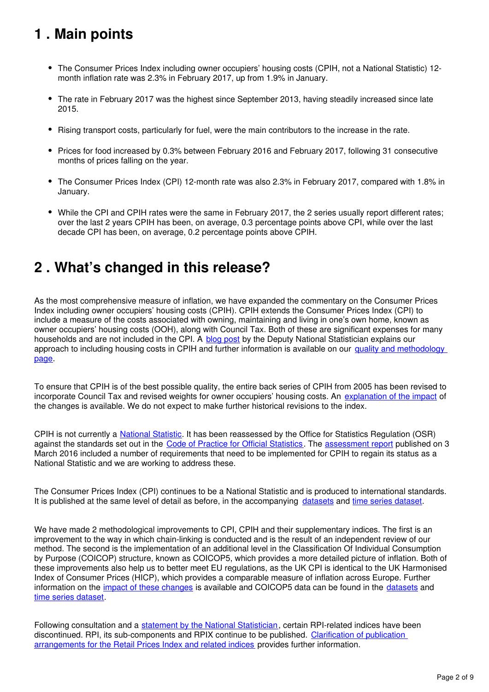## <span id="page-1-0"></span>**1 . Main points**

- The Consumer Prices Index including owner occupiers' housing costs (CPIH, not a National Statistic) 12month inflation rate was 2.3% in February 2017, up from 1.9% in January.
- The rate in February 2017 was the highest since September 2013, having steadily increased since late 2015.
- Rising transport costs, particularly for fuel, were the main contributors to the increase in the rate.
- Prices for food increased by 0.3% between February 2016 and February 2017, following 31 consecutive months of prices falling on the year.
- The Consumer Prices Index (CPI) 12-month rate was also 2.3% in February 2017, compared with 1.8% in January.
- While the CPI and CPIH rates were the same in February 2017, the 2 series usually report different rates; over the last 2 years CPIH has been, on average, 0.3 percentage points above CPI, while over the last decade CPI has been, on average, 0.2 percentage points above CPIH.

### <span id="page-1-1"></span>**2 . What's changed in this release?**

As the most comprehensive measure of inflation, we have expanded the commentary on the Consumer Prices Index including owner occupiers' housing costs (CPIH). CPIH extends the Consumer Prices Index (CPI) to include a measure of the costs associated with owning, maintaining and living in one's own home, known as owner occupiers' housing costs (OOH), along with Council Tax. Both of these are significant expenses for many households and are not included in the CPI. A [blog post](https://blog.ons.gov.uk/2017/01/10/including-housing-costs-in-measures-of-inflation/) by the Deputy National Statistician explains our approach to including housing costs in CPIH and further information is available on our quality and methodology [page](https://www.ons.gov.uk/economy/inflationandpriceindices/qmis/consumerpriceinflationqmi).

To ensure that CPIH is of the best possible quality, the entire back series of CPIH from 2005 has been revised to incorporate Council Tax and revised weights for owner occupiers' housing costs. An [explanation of the impact](https://www.ons.gov.uk/economy/inflationandpriceindices/articles/impactofinclusionofcounciltaxandrevisedimputedrentsoncpih/dec2016) of the changes is available. We do not expect to make further historical revisions to the index.

CPIH is not currently a National Statistic[.](https://www.statisticsauthority.gov.uk/national-statistician/types-of-official-statistics/) It has been reassessed by the Office for Statistics Regulation (OSR) against the standards set out in the [Code of Practice for Official Statistics.](https://www.statisticsauthority.gov.uk/publication/code-of-practice/) The [assessment report](https://www.statisticsauthority.gov.uk/publication/statistics-on-consumer-price-inflation-including-owner-occupiers-housing-costs/) published on 3 March 2016 included a number of requirements that need to be implemented for CPIH to regain its status as a National Statistic and we are working to address these.

The Consumer Prices Index (CPI) continues to be a National Statistic and is produced to international standards. It is published at the same level of detail as before, in the accompanying datasets and time series dataset.

We have made 2 methodological improvements to CPI, CPIH and their supplementary indices. The first is an improvement to the way in which chain-linking is conducted and is the result of an independent review of our method. The second is the implementation of an additional level in the Classification Of Individual Consumption by Purpose (COICOP) structure, known as COICOP5, which provides a more detailed picture of inflation. Both of these improvements also help us to better meet EU regulations, as the UK CPI is identical to the UK Harmonised Index of Consumer Prices (HICP), which provides a comparable measure of inflation across Europe. Further information on the [impact of these changes](https://cy.ons.gov.uk/economy/inflationandpriceindices/methodologies/assessingtheimpactofmethodologicalimprovementsontheconsumerpricesindex) is available and COICOP5 data can be found in the datasets and [time series dataset.](https://www.ons.gov.uk/economy/inflationandpriceindices/datasets/consumerpriceindices)

Following consultation and a [statement by the National Statistician](https://www.ons.gov.uk/news/statementsandletters/statementonfutureofconsumerpriceinflationstatisticsintheuk), certain RPI-related indices have been discontinued. RPI, its sub-components and RPIX continue to be published. [Clarification of publication](https://www.ons.gov.uk/economy/inflationandpriceindices/articles/clarificationofpublicationarrangementsfortheretailpricesindexandrelatedindices/november2016)  [arrangements for the Retail Prices Index and related indices](https://www.ons.gov.uk/economy/inflationandpriceindices/articles/clarificationofpublicationarrangementsfortheretailpricesindexandrelatedindices/november2016) provides further information.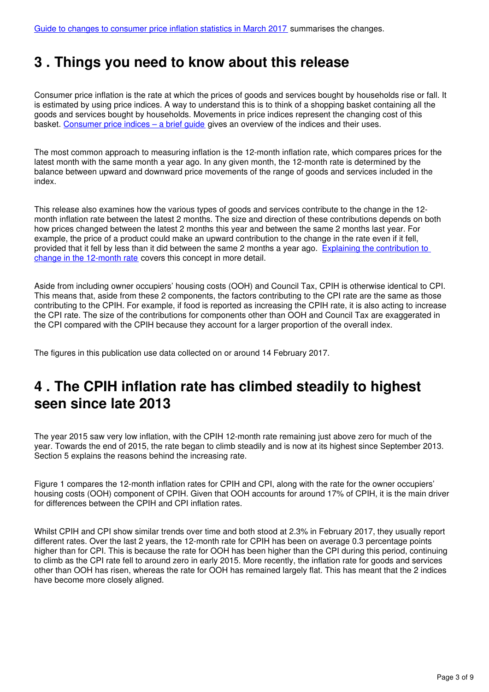#### <span id="page-2-0"></span>**3 . Things you need to know about this release**

Consumer price inflation is the rate at which the prices of goods and services bought by households rise or fall. It is estimated by using price indices. A way to understand this is to think of a shopping basket containing all the goods and services bought by households. Movements in price indices represent the changing cost of this basket. [Consumer price indices – a brief guide](https://www.ons.gov.uk/economy/inflationandpriceindices/articles/consumerpriceindicesabriefguide/2016) gives an overview of the indices and their uses.

The most common approach to measuring inflation is the 12-month inflation rate, which compares prices for the latest month with the same month a year ago. In any given month, the 12-month rate is determined by the balance between upward and downward price movements of the range of goods and services included in the index.

This release also examines how the various types of goods and services contribute to the change in the 12 month inflation rate between the latest 2 months. The size and direction of these contributions depends on both how prices changed between the latest 2 months this year and between the same 2 months last year. For example, the price of a product could make an upward contribution to the change in the rate even if it fell, provided that it fell by less than it did between the same 2 months a year ago. [Explaining the contribution to](http://webarchive.nationalarchives.gov.uk/20160105160709/http:/www.ons.gov.uk/ons/guide-method/user-guidance/prices/cpi-and-rpi/index.html)  [change in the 12-month rate](http://webarchive.nationalarchives.gov.uk/20160105160709/http:/www.ons.gov.uk/ons/guide-method/user-guidance/prices/cpi-and-rpi/index.html) covers this concept in more detail.

Aside from including owner occupiers' housing costs (OOH) and Council Tax, CPIH is otherwise identical to CPI. This means that, aside from these 2 components, the factors contributing to the CPI rate are the same as those contributing to the CPIH. For example, if food is reported as increasing the CPIH rate, it is also acting to increase the CPI rate. The size of the contributions for components other than OOH and Council Tax are exaggerated in the CPI compared with the CPIH because they account for a larger proportion of the overall index.

The figures in this publication use data collected on or around 14 February 2017.

### <span id="page-2-1"></span>**4 . The CPIH inflation rate has climbed steadily to highest seen since late 2013**

The year 2015 saw very low inflation, with the CPIH 12-month rate remaining just above zero for much of the year. Towards the end of 2015, the rate began to climb steadily and is now at its highest since September 2013. Section 5 explains the reasons behind the increasing rate.

Figure 1 compares the 12-month inflation rates for CPIH and CPI, along with the rate for the owner occupiers' housing costs (OOH) component of CPIH. Given that OOH accounts for around 17% of CPIH, it is the main driver for differences between the CPIH and CPI inflation rates.

Whilst CPIH and CPI show similar trends over time and both stood at 2.3% in February 2017, they usually report different rates. Over the last 2 years, the 12-month rate for CPIH has been on average 0.3 percentage points higher than for CPI. This is because the rate for OOH has been higher than the CPI during this period, continuing to climb as the CPI rate fell to around zero in early 2015. More recently, the inflation rate for goods and services other than OOH has risen, whereas the rate for OOH has remained largely flat. This has meant that the 2 indices have become more closely aligned.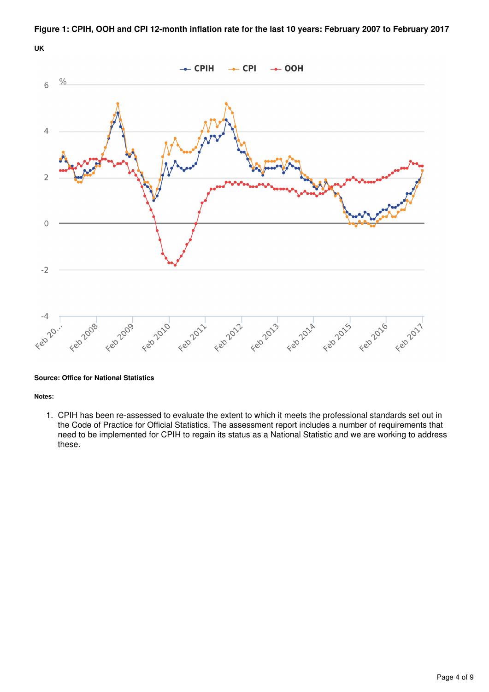

**Figure 1: CPIH, OOH and CPI 12-month inflation rate for the last 10 years: February 2007 to February 2017**

#### **Source: Office for National Statistics**

**Notes:**

1. CPIH has been re-assessed to evaluate the extent to which it meets the professional standards set out in the Code of Practice for Official Statistics. The assessment report includes a number of requirements that need to be implemented for CPIH to regain its status as a National Statistic and we are working to address these.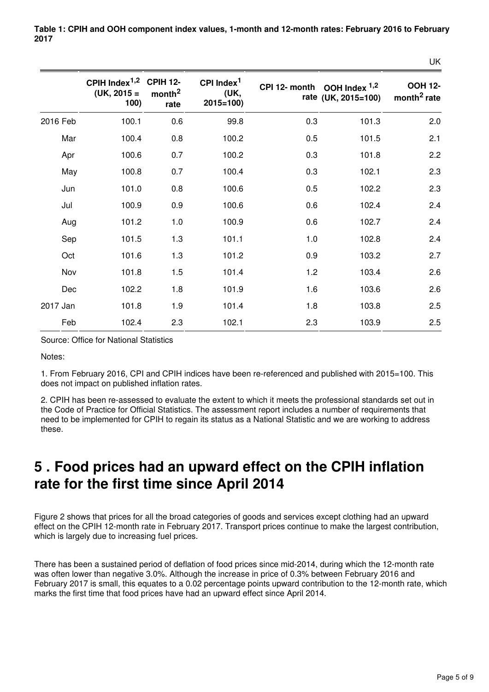|          |                                                             |                            |                                              |               |                                        | UK                                        |
|----------|-------------------------------------------------------------|----------------------------|----------------------------------------------|---------------|----------------------------------------|-------------------------------------------|
|          | CPIH Index <sup>1,2</sup> CPIH 12-<br>$(UK, 2015 =$<br>100) | month <sup>2</sup><br>rate | CPI Index <sup>1</sup><br>(UK,<br>$2015=100$ | CPI 12- month | OOH Index $1,2$<br>rate (UK, 2015=100) | <b>OOH 12-</b><br>month <sup>2</sup> rate |
| 2016 Feb | 100.1                                                       | 0.6                        | 99.8                                         | 0.3           | 101.3                                  | 2.0                                       |
| Mar      | 100.4                                                       | 0.8                        | 100.2                                        | 0.5           | 101.5                                  | 2.1                                       |
| Apr      | 100.6                                                       | 0.7                        | 100.2                                        | 0.3           | 101.8                                  | 2.2                                       |
| May      | 100.8                                                       | 0.7                        | 100.4                                        | 0.3           | 102.1                                  | 2.3                                       |
| Jun      | 101.0                                                       | 0.8                        | 100.6                                        | 0.5           | 102.2                                  | 2.3                                       |
| Jul      | 100.9                                                       | 0.9                        | 100.6                                        | 0.6           | 102.4                                  | 2.4                                       |
| Aug      | 101.2                                                       | 1.0                        | 100.9                                        | 0.6           | 102.7                                  | 2.4                                       |
| Sep      | 101.5                                                       | 1.3                        | 101.1                                        | 1.0           | 102.8                                  | 2.4                                       |
| Oct      | 101.6                                                       | 1.3                        | 101.2                                        | 0.9           | 103.2                                  | 2.7                                       |
| Nov      | 101.8                                                       | 1.5                        | 101.4                                        | 1.2           | 103.4                                  | 2.6                                       |
| Dec      | 102.2                                                       | 1.8                        | 101.9                                        | 1.6           | 103.6                                  | 2.6                                       |
| 2017 Jan | 101.8                                                       | 1.9                        | 101.4                                        | 1.8           | 103.8                                  | 2.5                                       |
| Feb      | 102.4                                                       | 2.3                        | 102.1                                        | 2.3           | 103.9                                  | 2.5                                       |

**Table 1: CPIH and OOH component index values, 1-month and 12-month rates: February 2016 to February 2017**

Source: Office for National Statistics

Notes:

1. From February 2016, CPI and CPIH indices have been re-referenced and published with 2015=100. This does not impact on published inflation rates.

2. CPIH has been re-assessed to evaluate the extent to which it meets the professional standards set out in the Code of Practice for Official Statistics. The assessment report includes a number of requirements that need to be implemented for CPIH to regain its status as a National Statistic and we are working to address these.

### <span id="page-4-0"></span>**5 . Food prices had an upward effect on the CPIH inflation rate for the first time since April 2014**

Figure 2 shows that prices for all the broad categories of goods and services except clothing had an upward effect on the CPIH 12-month rate in February 2017. Transport prices continue to make the largest contribution, which is largely due to increasing fuel prices.

There has been a sustained period of deflation of food prices since mid-2014, during which the 12-month rate was often lower than negative 3.0%. Although the increase in price of 0.3% between February 2016 and February 2017 is small, this equates to a 0.02 percentage points upward contribution to the 12-month rate, which marks the first time that food prices have had an upward effect since April 2014.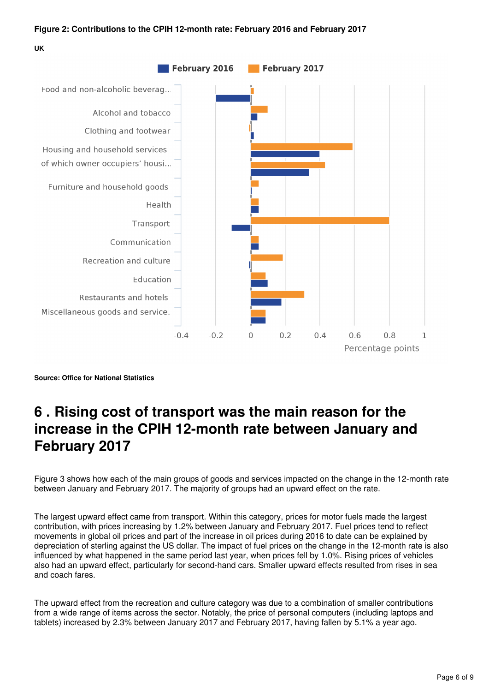#### **Figure 2: Contributions to the CPIH 12-month rate: February 2016 and February 2017**

**UK**



**Source: Office for National Statistics**

### <span id="page-5-0"></span>**6 . Rising cost of transport was the main reason for the increase in the CPIH 12-month rate between January and February 2017**

Figure 3 shows how each of the main groups of goods and services impacted on the change in the 12-month rate between January and February 2017. The majority of groups had an upward effect on the rate.

The largest upward effect came from transport. Within this category, prices for motor fuels made the largest contribution, with prices increasing by 1.2% between January and February 2017. Fuel prices tend to reflect movements in global oil prices and part of the increase in oil prices during 2016 to date can be explained by depreciation of sterling against the US dollar. The impact of fuel prices on the change in the 12-month rate is also influenced by what happened in the same period last year, when prices fell by 1.0%. Rising prices of vehicles also had an upward effect, particularly for second-hand cars. Smaller upward effects resulted from rises in sea and coach fares.

The upward effect from the recreation and culture category was due to a combination of smaller contributions from a wide range of items across the sector. Notably, the price of personal computers (including laptops and tablets) increased by 2.3% between January 2017 and February 2017, having fallen by 5.1% a year ago.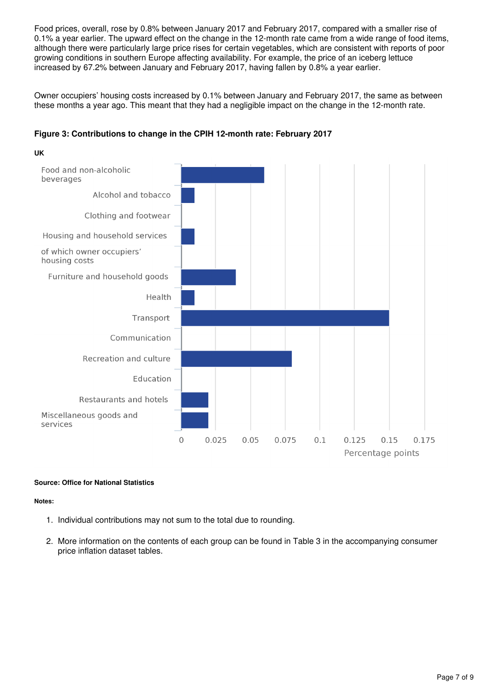Food prices, overall, rose by 0.8% between January 2017 and February 2017, compared with a smaller rise of 0.1% a year earlier. The upward effect on the change in the 12-month rate came from a wide range of food items, although there were particularly large price rises for certain vegetables, which are consistent with reports of poor growing conditions in southern Europe affecting availability. For example, the price of an iceberg lettuce increased by 67.2% between January and February 2017, having fallen by 0.8% a year earlier.

Owner occupiers' housing costs increased by 0.1% between January and February 2017, the same as between these months a year ago. This meant that they had a negligible impact on the change in the 12-month rate.



#### **Figure 3: Contributions to change in the CPIH 12-month rate: February 2017**

#### **Source: Office for National Statistics**

#### **Notes:**

- 1. Individual contributions may not sum to the total due to rounding.
- 2. More information on the contents of each group can be found in Table 3 in the accompanying consumer price inflation dataset tables.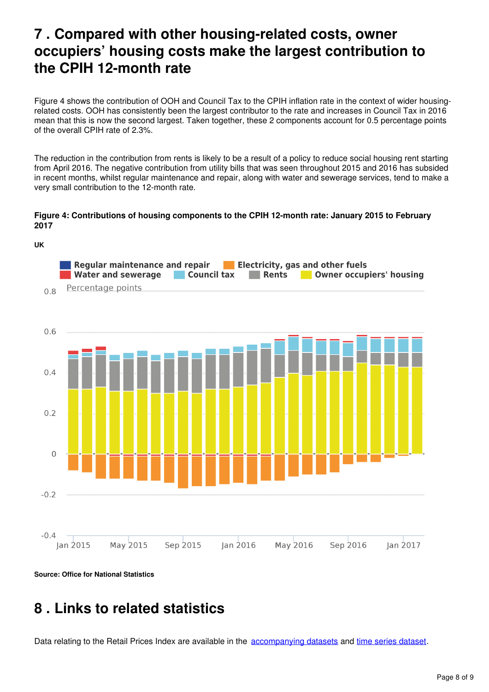### <span id="page-7-0"></span>**7 . Compared with other housing-related costs, owner occupiers' housing costs make the largest contribution to the CPIH 12-month rate**

Figure 4 shows the contribution of OOH and Council Tax to the CPIH inflation rate in the context of wider housingrelated costs. OOH has consistently been the largest contributor to the rate and increases in Council Tax in 2016 mean that this is now the second largest. Taken together, these 2 components account for 0.5 percentage points of the overall CPIH rate of 2.3%.

The reduction in the contribution from rents is likely to be a result of a policy to reduce social housing rent starting from April 2016. The negative contribution from utility bills that was seen throughout 2015 and 2016 has subsided in recent months, whilst regular maintenance and repair, along with water and sewerage services, tend to make a very small contribution to the 12-month rate.

#### **Figure 4: Contributions of housing components to the CPIH 12-month rate: January 2015 to February 2017**



**Source: Office for National Statistics**

#### <span id="page-7-1"></span>**8 . Links to related statistics**

Datarelating to the Retail Prices Index are available in the accompanying datasets and time series dataset.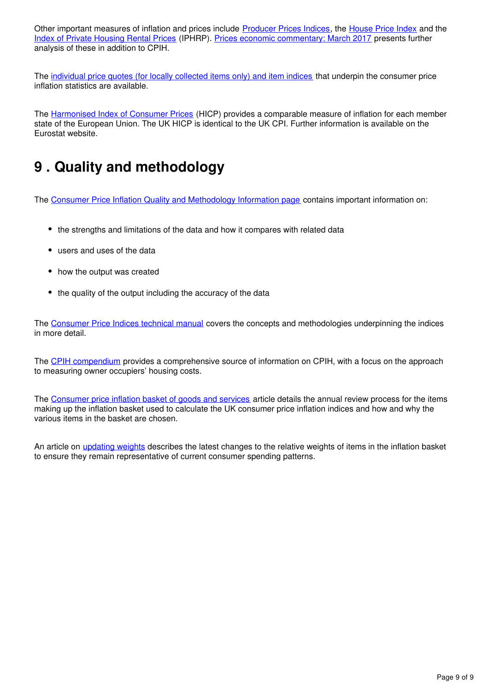Other important measures of inflation and prices include [Producer Prices Indices](https://www.ons.gov.uk/economy/inflationandpriceindices/bulletins/producerpriceinflation/previousReleases), the House Price Index and the [Index of Private Housing Rental Prices](https://www.ons.gov.uk/economy/inflationandpriceindices/bulletins/indexofprivatehousingrentalprices/previousReleases) (IPHRP). [Prices economic commentary: March 2017](https://www.ons.gov.uk/releases/priceseconomiccommentarymar2017) presents further analysis of these in addition to CPIH.

The [individual price quotes \(for locally collected items only\) and item indices](https://www.ons.gov.uk/economy/inflationandpriceindices/datasets/consumerpriceindicescpiandretailpricesindexrpiitemindicesandpricequotes) that underpin the consumer price inflation statistics are available.

The [Harmonised Index of Consumer Prices](http://ec.europa.eu/eurostat/web/hicp/overview) (HICP) provides a comparable measure of inflation for each member state of the European Union. The UK HICP is identical to the UK CPI. Further information is available on the Eurostat website.

## <span id="page-8-0"></span>**9 . Quality and methodology**

The [Consumer Price Inflation Quality and Methodology Information page](https://www.ons.gov.uk/economy/inflationandpriceindices/qmis/consumerpriceinflationqmi) contains important information on:

- the strengths and limitations of the data and how it compares with related data
- users and uses of the data
- how the output was created
- the quality of the output including the accuracy of the data

The [Consumer Price Indices technical manual](http://webarchive.nationalarchives.gov.uk/20160105160709/http:/ons.gov.uk/ons/rel/cpi/consumer-price-indices---technical-manual/2014/index.html) covers the concepts and methodologies underpinning the indices in more detail.

The [CPIH compendium](https://www.ons.gov.uk/economy/inflationandpriceindices/articles/cpihcompendium/2016-10-13) provides a comprehensive source of information on CPIH, with a focus on the approach to measuring owner occupiers' housing costs.

The [Consumer price inflation basket of goods and services](https://www.ons.gov.uk/economy/inflationandpriceindices/articles/ukconsumerpriceinflationbasketofgoodsandservices/2017) article details the annual review process for the items making up the inflation basket used to calculate the UK consumer price inflation indices and how and why the various items in the basket are chosen.

An article on [updating weights](https://www.ons.gov.uk/releases/consumerpriceinflationupdatingweights2017) describes the latest changes to the relative weights of items in the inflation basket to ensure they remain representative of current consumer spending patterns.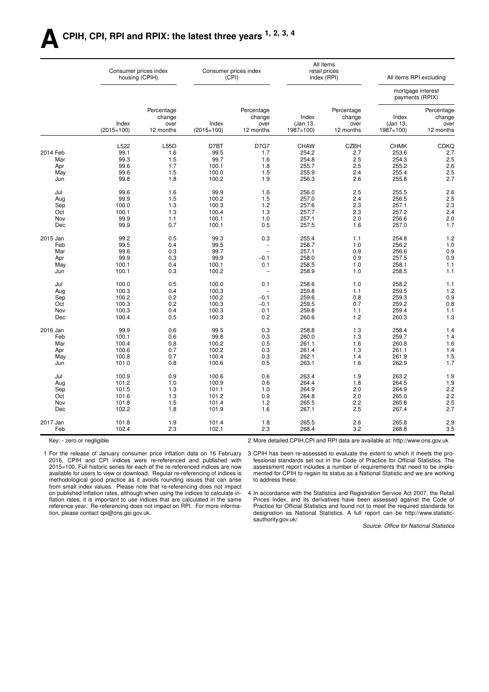### **ACPIH, CPI, RPI and RPIX: the latest three years 1, 2, 3, 4**

|            |                       | Consumer prices index<br>housing (CPIH)   |                       | Consumer prices index<br>(CPI)            |                                   | All items<br>retail prices<br>index (RPI) |                                   | All items RPI excluding                   |
|------------|-----------------------|-------------------------------------------|-----------------------|-------------------------------------------|-----------------------------------|-------------------------------------------|-----------------------------------|-------------------------------------------|
|            |                       |                                           |                       |                                           |                                   |                                           |                                   | mortgage interest<br>payments (RPIX)      |
|            | Index<br>$(2015=100)$ | Percentage<br>change<br>over<br>12 months | Index<br>$(2015=100)$ | Percentage<br>change<br>over<br>12 months | Index<br>(Jan 13,<br>$1987 = 100$ | Percentage<br>change<br>over<br>12 months | Index<br>(Jan 13,<br>$1987 = 100$ | Percentage<br>change<br>over<br>12 months |
|            | L522                  | L55O                                      | D7BT                  | <b>D7G7</b>                               | <b>CHAW</b>                       | <b>CZBH</b>                               | <b>CHMK</b>                       | <b>CDKQ</b>                               |
| 2014 Feb   | 99.1                  | 1.6                                       | 99.5                  | 1.7                                       | 254.2                             | 2.7                                       | 253.6                             | 2.7                                       |
| Mar        | 99.3                  | 1.5                                       | 99.7                  | 1.6                                       | 254.8                             | 2.5                                       | 254.3                             | 2.5                                       |
| Apr        | 99.6                  | 1.7                                       | 100.1                 | 1.8                                       | 255.7                             | 2.5                                       | 255.2                             | 2.6                                       |
| May        | 99.6                  | 1.5                                       | 100.0                 | 1.5                                       | 255.9                             | 2.4                                       | 255.4                             | 2.5                                       |
| Jun        | 99.8                  | 1.8                                       | 100.2                 | 1.9                                       | 256.3                             | 2.6                                       | 255.8                             | 2.7                                       |
| Jul        | 99.6                  | 1.6                                       | 99.9                  | 1.6                                       | 256.0                             | 2.5                                       | 255.5                             | 2.6                                       |
| Aug        | 99.9                  | 1.5                                       | 100.2                 | 1.5                                       | 257.0                             | 2.4                                       | 256.5                             | 2.5                                       |
| Sep        | 100.0                 | 1.3                                       | 100.3                 | 1.2                                       | 257.6                             | 2.3                                       | 257.1                             | 2.3                                       |
| Oct        | 100.1                 | 1.3                                       | 100.4                 | 1.3                                       | 257.7                             | 2.3                                       | 257.2                             | 2.4                                       |
| Nov        | 99.9                  | 1.1                                       | 100.1                 | 1.0                                       | 257.1                             | 2.0                                       | 256.6                             | 2.0                                       |
| Dec        | 99.9                  | 0.7                                       | 100.1                 | 0.5                                       | 257.5                             | 1.6                                       | 257.0                             | 1.7                                       |
| 2015 Jan   | 99.2                  | 0.5                                       | 99.3                  | 0.3                                       | 255.4                             | 1.1                                       | 254.8                             | 1.2                                       |
| Feb        | 99.5                  | 0.4                                       | 99.5                  | $\qquad \qquad -$                         | 256.7                             | 1.0                                       | 256.2                             | 1.0                                       |
| Mar        | 99.6                  | 0.3                                       | 99.7                  | $\equiv$                                  | 257.1                             | 0.9                                       | 256.6                             | 0.9                                       |
| Apr        | 99.9                  | 0.3                                       | 99.9                  | $-0.1$                                    | 258.0                             | 0.9                                       | 257.5                             | 0.9                                       |
| May        | 100.1                 | 0.4                                       | 100.1                 | 0.1                                       | 258.5                             | 1.0                                       | 258.1                             | 1.1                                       |
| Jun        | 100.1                 | 0.3                                       | 100.2                 | $\overline{\phantom{a}}$                  | 258.9                             | 1.0                                       | 258.5                             | 1.1                                       |
| Jul        | 100.0                 | 0.5                                       | 100.0                 | 0.1                                       | 258.6                             | 1.0                                       | 258.2                             | 1.1                                       |
| Aug        | 100.3                 | 0.4                                       | 100.3                 | $\overline{\phantom{a}}$                  | 259.8                             | 1.1                                       | 259.5                             | 1.2                                       |
| Sep        | 100.2                 | 0.2                                       | 100.2                 | $-0.1$                                    | 259.6                             | 0.8                                       | 259.3                             | 0.9                                       |
| Oct        | 100.3                 | 0.2                                       | 100.3                 | $-0.1$                                    | 259.5                             | 0.7                                       | 259.2                             | 0.8                                       |
| Nov        | 100.3                 | 0.4                                       | 100.3                 | 0.1                                       | 259.8                             | 1.1                                       | 259.4                             | 1.1                                       |
| Dec        | 100.4                 | 0.5                                       | 100.3                 | 0.2                                       | 260.6                             | 1.2                                       | 260.3                             | 1.3                                       |
| 2016 Jan   | 99.9                  | 0.6                                       | 99.5                  | 0.3                                       | 258.8                             | 1.3                                       | 258.4                             | 1.4                                       |
| Feb        | 100.1                 | 0.6                                       | 99.8                  | 0.3                                       | 260.0                             | 1.3                                       | 259.7                             | 1.4                                       |
| Mar        | 100.4                 | 0.8                                       | 100.2                 | 0.5                                       | 261.1                             | 1.6                                       | 260.8                             | 1.6                                       |
| Apr        | 100.6                 | 0.7                                       | 100.2                 | 0.3                                       | 261.4                             | 1.3                                       | 261.1                             | 1.4                                       |
| May        | 100.8                 | 0.7                                       | 100.4                 | 0.3                                       | 262.1                             | 1.4                                       | 261.9                             | 1.5                                       |
| Jun        | 101.0                 | 0.8                                       | 100.6                 | 0.5                                       | 263.1                             | 1.6                                       | 262.9                             | 1.7                                       |
| Jul        | 100.9                 | 0.9                                       | 100.6                 | 0.6                                       | 263.4                             | 1.9                                       | 263.2                             | 1.9                                       |
|            |                       |                                           |                       |                                           | 264.4                             |                                           |                                   |                                           |
| Aug        | 101.2                 | 1.0<br>1.3                                | 100.9<br>101.1        | 0.6<br>1.0                                | 264.9                             | 1.8<br>2.0                                | 264.5<br>264.9                    | 1.9<br>2.2                                |
| Sep        | 101.5                 |                                           |                       |                                           |                                   |                                           |                                   |                                           |
| Oct<br>Nov | 101.6<br>101.8        | 1.3<br>1.5                                | 101.2<br>101.4        | 0.9                                       | 264.8                             | 2.0                                       | 265.0<br>265.8                    | 2.2                                       |
| Dec        | 102.2                 | 1.8                                       | 101.9                 | 1.2<br>1.6                                | 265.5<br>267.1                    | 2.2<br>2.5                                | 267.4                             | 2.5<br>2.7                                |
|            |                       |                                           |                       |                                           |                                   |                                           |                                   |                                           |
| 2017 Jan   | 101.8                 | 1.9                                       | 101.4                 | 1.8                                       | 265.5                             | 2.6                                       | 265.8                             | 2.9                                       |
| Feb        | 102.4                 | 2.3                                       | 102.1                 | 2.3                                       | 268.4                             | 3.2                                       | 268.8                             | 3.5                                       |

Key: - zero or negligible

2 More detailed CPIH,CPI and RPI data are available at: http://www.ons.gov.uk

1 For the release of January consumer price inflation data on 16 February 2016, CPIH and CPI indices were re-referenced and published with 2015=100. Full historic series for each of the re-referenced indices are now available for users to view or download. Regular re-referencing of indices is methodological good practice as it avoids rounding issues that can arise from small index values. Please note that re-referencing does not impact on published inflation rates, although when using the indices to calculate inflation rates, it is important to use indices that are calculated in the same reference year. Re-referencing does not impact on RPI. For more information, please contact cpi@ons.gsi.gov.uk.

3 CPIH has been re-assessed to evaluate the extent to which it meets the professional standards set out in the Code of Practice for Official Statistics. The assessment report includes a number of requirements that need to be implemented for CPIH to regain its status as a National Statistic and we are working to address these.

4 In accordance with the Statistics and Registration Service Act 2007, the Retail Prices Index, and its derivatives have been assessed against the Code of Practice for Official Statistics and found not to meet the required standards for designation as National Statistics. A full report can be http://www.statisticsauthority.gov.uk/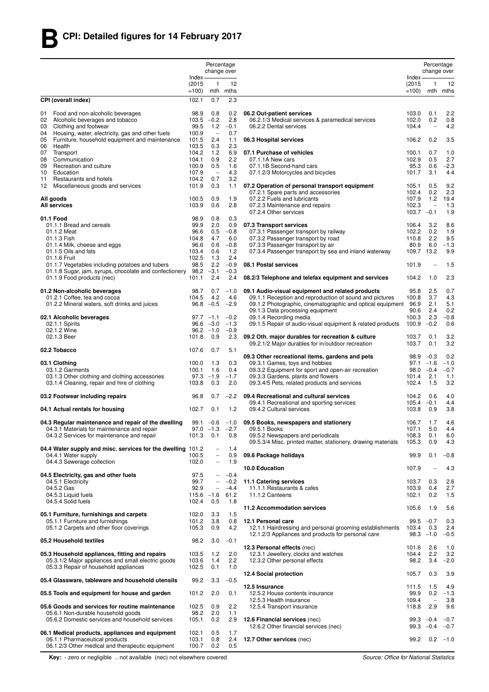|          |                                                                                                           |                | Percentage<br>change over                     |                  |                                                                                                        |                              | Percentage<br>change over       |                  |
|----------|-----------------------------------------------------------------------------------------------------------|----------------|-----------------------------------------------|------------------|--------------------------------------------------------------------------------------------------------|------------------------------|---------------------------------|------------------|
|          |                                                                                                           | Index-         |                                               |                  |                                                                                                        | Index-                       |                                 |                  |
|          |                                                                                                           | (2015)         | -1                                            | 12               |                                                                                                        | (2015)                       | 1                               | 12               |
|          |                                                                                                           | $=100$         |                                               | mth mths         |                                                                                                        | $=100$                       |                                 | mth mths         |
|          | CPI (overall index)                                                                                       | 102.1          | 0.7                                           | 2.3              |                                                                                                        |                              |                                 |                  |
| 01       | Food and non-alcoholic beverages                                                                          | 98.9           | 0.8                                           | 0.2              | 06.2 Out-patient services                                                                              | 103.0                        | 0.1                             | 2.2              |
| 02<br>03 | Alcoholic beverages and tobacco<br>Clothing and footwear                                                  | 103.5<br>99.5  | $-0.2$<br>1.2                                 | 2.8<br>$-0.1$    | 06.2.1/3 Medical services & paramedical services<br>06.2.2 Dental services                             | 102.0<br>104.4               | 0.2<br>$\overline{\phantom{0}}$ | 0.8<br>4.2       |
| 04       | Housing, water, electricity, gas and other fuels                                                          | 100.9          | $\qquad \qquad -$                             | 0.7              |                                                                                                        |                              |                                 |                  |
| 05       | Furniture, household equipment and maintenance<br>Health                                                  | 101.5<br>103.5 | 2.4<br>0.3                                    | 1.1<br>2.3       | 06.3 Hospital services                                                                                 | 106.2                        | 0.2                             | 3.5              |
| 06<br>07 | Transport                                                                                                 | 104.2          | 1.2                                           | 6.9              | 07.1 Purchase of vehicles                                                                              | 100.1                        | 0.7                             | 1.0              |
| 08       | Communication                                                                                             | 104.1          | 0.9                                           | 2.2              | 07.1.1A New cars                                                                                       | 102.9                        | 0.5                             | 2.7              |
| 09<br>10 | Recreation and culture<br>Education                                                                       | 100.9<br>107.9 | 0.5<br>$\overline{\phantom{a}}$               | 1.6<br>4.3       | 07.1.1B Second-hand cars<br>07.1.2/3 Motorcycles and bicycles                                          | 95.3<br>101.7                | 0.6<br>3.1                      | $-2.3$<br>4.4    |
| 11       | Restaurants and hotels                                                                                    | 104.2          | 0.7                                           | 3.2              |                                                                                                        |                              |                                 |                  |
| 12       | Miscellaneous goods and services                                                                          | 101.9          | 0.3                                           | 1.1              | 07.2 Operation of personal transport equipment                                                         | 105.1                        | 0.5                             | 9.2              |
|          | All goods                                                                                                 | 100.5          | 0.9                                           | 1.9              | 07.2.1 Spare parts and accessories<br>07.2.2 Fuels and lubricants                                      | 102.4<br>107.9               | 0.2<br>1.2                      | 2.3<br>19.4      |
|          | <b>All services</b>                                                                                       | 103.9          | 0.6                                           | 2.8              | 07.2.3 Maintenance and repairs                                                                         | 102.3                        | $\overline{\phantom{0}}$        | 1.3              |
|          | 01.1 Food                                                                                                 | 98.9           | 0.8                                           | 0.3              | 07.2.4 Other services                                                                                  | $103.7 -0.1$                 |                                 | 1.9              |
|          | 01.1.1 Bread and cereals                                                                                  | 99.9           | 2.0                                           | 0.9              | 07.3 Transport services                                                                                | 106.4                        | 3.2                             | 8.6              |
|          | 01.1.2 Meat                                                                                               | 96.6           | 0.5                                           | $-0.8$           | 07.3.1 Passenger transport by railway                                                                  | 102.2                        | 0.2                             | 1.9              |
|          | 01.1.3 Fish<br>01.1.4 Milk, cheese and eggs                                                               | 104.8<br>96.6  | 4.7<br>0.6                                    | 6.0<br>$-0.8$    | 07.3.2 Passenger transport by road<br>07.3.3 Passenger transport by air                                | 110.8<br>80.9                | 2.2<br>6.0                      | 9.5<br>$-1.3$    |
|          | 01.1.5 Oils and fats                                                                                      | 103.4          | 0.6                                           | 1.2              | 07.3.4 Passenger transport by sea and inland waterway                                                  | 109.7 13.2                   |                                 | 9.9              |
|          | 01.1.6 Fruit                                                                                              | 102.5          | 1.3                                           | 2.4              |                                                                                                        |                              |                                 |                  |
|          | 01.1.7 Vegetables including potatoes and tubers<br>01.1.8 Sugar, jam, syrups, chocolate and confectionery | 98.5<br>98.2   | 2.2<br>$-3.1$                                 | $-0.9$<br>$-0.3$ | 08.1 Postal services                                                                                   | 101.9                        | $\overline{a}$                  | 1.5              |
|          | 01.1.9 Food products (nec)                                                                                | 101.1          | 2.4                                           | 2.4              | 08.2/3 Telephone and telefax equipment and services                                                    | 104.2                        | 1.0                             | 2.3              |
|          | 01.2 Non-alcoholic beverages                                                                              | 98.7           | 0.7                                           | $-1.0$           | 09.1 Audio-visual equipment and related products                                                       | 95.8                         | 2.5                             | 0.7              |
|          | 01.2.1 Coffee, tea and cocoa                                                                              | 104.5          | 4.2                                           | 4.6              | 09.1.1 Reception and reproduction of sound and pictures                                                | 100.8                        | 3.7                             | 4.3              |
|          | 01.2.2 Mineral waters, soft drinks and juices                                                             | 96.8           | $-0.5$                                        | $-2.9$           | 09.1.2 Photographic, cinematographic and optical equipment 96.9                                        |                              | 2.1                             | 5.1              |
|          | 02.1 Alcoholic beverages                                                                                  |                | $97.7 - 1.1$                                  | $-0.2$           | 09.1.3 Data processing equipment<br>09.1.4 Recording media                                             | 90.6<br>100.3                | 2.4<br>2.3                      | 0.2<br>$-0.8$    |
|          | 02.1.1 Spirits                                                                                            |                | $96.6 -3.0$                                   | $-1.3$           | 09.1.5 Repair of audio-visual equipment & related products                                             | $100.9 - 0.2$                |                                 | 0.6              |
|          | 02.1.2 Wine<br>02.1.3 Beer                                                                                | 101.8          | $96.2 -1.0$<br>0.9                            | $-0.9$<br>2.3    |                                                                                                        | 103.7                        | 0.1                             | 3.2              |
|          |                                                                                                           |                |                                               |                  | 09.2 Oth. major durables for recreation & culture<br>09.2.1/2 Major durables for in/outdoor recreation | 103.7                        | 0.1                             | 3.2              |
|          | 02.2 Tobacco                                                                                              | 107.6          | 0.7                                           | 5.1              |                                                                                                        |                              |                                 |                  |
|          | 03.1 Clothing                                                                                             | 100.0          | 1.3                                           | 0.3              | 09.3 Other recreational items, gardens and pets<br>09.3.1 Games, toys and hobbies                      | $98.9 - 0.3$<br>$97.1 - 1.6$ |                                 | 0.2<br>$-1.0$    |
|          | 03.1.2 Garments                                                                                           | 100.1          | 1.6                                           | 0.4              | 09.3.2 Equipment for sport and open-air recreation                                                     | $98.0 -0.4$                  |                                 | $-0.7$           |
|          | 03.1.3 Other clothing and clothing accessories                                                            | 97.3           | $-1.9$                                        | $-1.7$           | 09.3.3 Gardens, plants and flowers                                                                     | 101.4                        | 2.1                             | 1.1              |
|          | 03.1.4 Cleaning, repair and hire of clothing                                                              | 103.8          | 0.3                                           | 2.0              | 09.3.4/5 Pets, related products and services                                                           | 102.4                        | 1.5                             | 3.2              |
|          | 03.2 Footwear including repairs                                                                           | 96.8           | 0.7                                           | $-2.2$           | 09.4 Recreational and cultural services                                                                | 104.2<br>$105.4 -0.1$        | 0.6                             | 4.0              |
|          | 04.1 Actual rentals for housing                                                                           | 102.7          | 0.1                                           | 1.2              | 09.4.1 Recreational and sporting services<br>09.4.2 Cultural services                                  | 103.8                        | 0.9                             | 4.4<br>3.8       |
|          | 04.3 Regular maintenance and repair of the dwelling                                                       |                | $99.1 - 0.6$                                  | $-1.0$           | 09.5 Books, newspapers and stationery                                                                  | 106.7                        | 1.7                             | 4.6              |
|          | 04.3.1 Materials for maintenance and repair                                                               | 97.0           | $-1.3$                                        | $-2.7$           | 09.5.1 Books                                                                                           | 107.1                        | 5.0                             | 4.4              |
|          | 04.3.2 Services for maintenance and repair                                                                | 101.3          | 0.1                                           | 0.8              | 09.5.2 Newspapers and periodicals<br>09.5.3/4 Misc. printed matter, stationery, drawing materials      | 108.3                        | 0.1                             | 6.0              |
|          | 04.4 Water supply and misc. services for the dwelling 101.2                                               |                | $\qquad \qquad -$                             | 1.4              |                                                                                                        | 105.3                        | 0.9                             | 4.3              |
|          | 04.4.1 Water supply                                                                                       | 100.5          | $\overline{\phantom{0}}$                      | 0.9              | 09.6 Package holidays                                                                                  | 99.9                         | 0.1                             | $-0.8$           |
|          | 04.4.3 Sewerage collection                                                                                | 102.0          | $\qquad \qquad -$                             | 1.9              | 10.0 Education                                                                                         | 107.9                        |                                 | 4.3              |
|          | 04.5 Electricity, gas and other fuels                                                                     | 97.5           | $\overline{\phantom{0}}$                      | $-0.4$           |                                                                                                        |                              |                                 |                  |
|          | 04.5.1 Electricity<br>04.5.2 Gas                                                                          | 99.7<br>92.9   | $\qquad \qquad -$<br>$\overline{\phantom{0}}$ | $-0.2$<br>$-4.4$ | 11.1 Catering services<br>11.1.1 Restaurants & cafes                                                   | 103.7<br>103.9               | 0.3<br>0.4                      | 2.6<br>2.7       |
|          | 04.5.3 Liquid fuels                                                                                       | $115.6 -1.6$   |                                               | 61.2             | 11.1.2 Canteens                                                                                        | 102.1                        | 0.2                             | 1.5              |
|          | 04.5.4 Solid fuels                                                                                        | 102.4          | 0.5                                           | 1.8              |                                                                                                        |                              |                                 |                  |
|          | 05.1 Furniture, furnishings and carpets                                                                   | 102.0          | 3.3                                           | 1.5              | 11.2 Accommodation services                                                                            | 105.6                        | 1.9                             | 5.6              |
|          | 05.1.1 Furniture and furnishings                                                                          | 101.2          | 3.8                                           | 0.8              | 12.1 Personal care                                                                                     | $99.5 -0.7$                  |                                 | 0.3              |
|          | 05.1.2 Carpets and other floor coverings                                                                  | 105.3          | 0.9                                           | 4.2              | 12.1.1 Hairdressing and personal grooming establishments                                               | 103.4<br>$98.3 - 1.0$        | 0.3                             | 2.4              |
|          | 05.2 Household textiles                                                                                   | 98.2           | 3.0                                           | $-0.1$           | 12.1.2/3 Appliances and products for personal care                                                     |                              |                                 | $-0.5$           |
|          |                                                                                                           |                |                                               |                  | 12.3 Personal effects (nec)                                                                            | 101.6                        | 2.6                             | 1.0              |
|          | 05.3 Household appliances, fitting and repairs<br>05.3.1/2 Major appliances and small electric goods      | 103.5<br>103.6 | 1.2<br>1.4                                    | 2.0<br>2.2       | 12.3.1 Jewellery, clocks and watches<br>12.3.2 Other personal effects                                  | 104.4<br>98.2                | 2.2<br>3.4                      | 3.2<br>$-2.0$    |
|          | 05.3.3 Repair of household appliances                                                                     | 102.5          | 0.1                                           | 1.0              |                                                                                                        |                              |                                 |                  |
|          | 05.4 Glassware, tableware and household utensils                                                          | 99.2           | 3.3                                           | $-0.5$           | 12.4 Social protection                                                                                 | 105.7                        | 0.3                             | 3.9              |
|          |                                                                                                           |                |                                               |                  | 12.5 Insurance                                                                                         | 111.5                        | 1.5                             | 4.9              |
|          | 05.5 Tools and equipment for house and garden                                                             | 101.2          | 2.0                                           | 0.1              | 12.5.2 House contents insurance                                                                        | 99.9                         | 0.2                             | $-1.3$           |
|          | 05.6 Goods and services for routine maintenance                                                           | 102.5          | 0.9                                           | 2.2              | 12.5.3 Health insurance<br>12.5.4 Transport insurance                                                  | 109.4<br>118.8               | $\overline{\phantom{0}}$<br>2.9 | 3.8<br>9.6       |
|          | 05.6.1 Non-durable household goods                                                                        | 98.2           | 2.0                                           | 1.1              |                                                                                                        |                              |                                 |                  |
|          | 05.6.2 Domestic services and household services                                                           | 105.1          | 0.2                                           | 2.9              | 12.6 Financial services (nec)<br>12.6.2 Other financial services (nec)                                 | $99.3 -0.4$<br>$99.3 -0.4$   |                                 | $-0.7$<br>$-0.7$ |
|          | 06.1 Medical products, appliances and equipment                                                           | 102.1          | 0.5                                           | 1.7              |                                                                                                        |                              |                                 |                  |
|          | 06.1.1 Pharmaceutical products<br>06.1.2/3 Other medical and therapeutic equipment                        | 103.1<br>100.7 | 0.8<br>0.2                                    | 2.4<br>0.5       | 12.7 Other services (nec)                                                                              | 99.2                         |                                 | $0.2 -1.0$       |
|          |                                                                                                           |                |                                               |                  |                                                                                                        |                              |                                 |                  |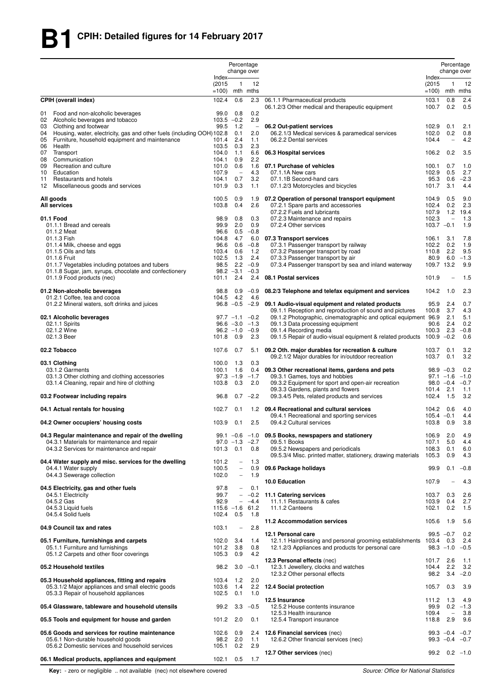|                                                                                                                                      |                            | Percentage               | change over                |                                                                                                 |                            | Percentage<br>change over       |                   |
|--------------------------------------------------------------------------------------------------------------------------------------|----------------------------|--------------------------|----------------------------|-------------------------------------------------------------------------------------------------|----------------------------|---------------------------------|-------------------|
|                                                                                                                                      | Index-<br>(2015)<br>$=100$ | $\mathbf{1}$             | 12<br>mth mths             |                                                                                                 | Index-<br>(2015)<br>$=100$ | 1                               | 12<br>mth mths    |
| <b>CPIH (overall index)</b><br>Food and non-alcoholic beverages<br>01                                                                | 102.4<br>99.0              | 0.6<br>0.8               | 2.3<br>0.2                 | 06.1.1 Pharmaceutical products<br>06.1.2/3 Other medical and therapeutic equipment              | 103.1<br>100.7             | 0.8<br>0.2                      | 2.4<br>0.5        |
| Alcoholic beverages and tobacco<br>02                                                                                                | $103.5 -0.2$               |                          | 2.9                        |                                                                                                 |                            |                                 |                   |
| Clothing and footwear<br>03                                                                                                          | 99.5                       | 1.2                      | $\overline{\phantom{a}}$   | 06.2 Out-patient services                                                                       | 102.9                      | 0.1                             | 2.1               |
| Housing, water, electricity, gas and other fuels (including OOH) 102.8<br>04<br>Furniture, household equipment and maintenance<br>05 | 101.4                      | 0.1<br>2.4               | 2.0<br>1.1                 | 06.2.1/3 Medical services & paramedical services<br>06.2.2 Dental services                      | 102.0<br>104.4             | 0.2<br>$\overline{\phantom{0}}$ | 0.8<br>4.2        |
| Health<br>06                                                                                                                         | 103.5                      | 0.3                      | 2.3                        |                                                                                                 |                            |                                 |                   |
| Transport<br>07                                                                                                                      | 104.0                      | 1.1                      | 6.6                        | 06.3 Hospital services                                                                          | 106.2                      | 0.2                             | 3.5               |
| Communication<br>08                                                                                                                  | 104.1                      | 0.9                      | 2.2                        |                                                                                                 |                            |                                 |                   |
| Recreation and culture<br>09<br>Education<br>10                                                                                      | 101.0<br>107.9             | 0.6<br>$\overline{a}$    | 1.6<br>4.3                 | 07.1 Purchase of vehicles<br>07.1.1A New cars                                                   | 100.1<br>102.9             | 0.7<br>0.5                      | 1.0<br>2.7        |
| 11<br>Restaurants and hotels                                                                                                         | 104.1                      | 0.7                      | 3.2                        | 07.1.1B Second-hand cars                                                                        | 95.3                       | 0.6                             | $-2.3$            |
| 12<br>Miscellaneous goods and services                                                                                               | 101.9                      | 0.3                      | 1.1                        | 07.1.2/3 Motorcycles and bicycles                                                               | 101.7                      | 3.1                             | 4.4               |
| All goods                                                                                                                            | 100.5                      | 0.9                      | 1.9                        | 07.2 Operation of personal transport equipment                                                  | 104.9                      | 0.5                             | 9.0               |
| <b>All services</b>                                                                                                                  | 103.8                      | 0.4                      | 2.6                        | 07.2.1 Spare parts and accessories                                                              | 102.4                      | 0.2                             | 2.3               |
|                                                                                                                                      |                            |                          |                            | 07.2.2 Fuels and lubricants                                                                     | 107.9                      | 1.2                             | 19.4              |
| 01.1 Food<br>01.1.1 Bread and cereals                                                                                                | 98.9<br>99.9               | 0.8<br>2.0               | 0.3<br>0.9                 | 07.2.3 Maintenance and repairs<br>07.2.4 Other services                                         | 102.3<br>$103.7 -0.1$      | $\overline{\phantom{0}}$        | 1.3<br>1.9        |
| 01.1.2 Meat                                                                                                                          | 96.6                       | 0.5                      | $-0.8$                     |                                                                                                 |                            |                                 |                   |
| 01.1.3 Fish                                                                                                                          | 104.8                      | 4.7                      | 6.0                        | 07.3 Transport services                                                                         | 106.1                      | 3.1                             | 7.8               |
| 01.1.4 Milk, cheese and eggs                                                                                                         | 96.6                       | 0.6                      | $-0.8$                     | 07.3.1 Passenger transport by railway                                                           | 102.2                      | 0.2                             | 1.9               |
| 01.1.5 Oils and fats<br>01.1.6 Fruit                                                                                                 | 103.4<br>102.5             | 0.6<br>1.3               | 1.2<br>2.4                 | 07.3.2 Passenger transport by road                                                              | 110.8<br>80.9              | 2.2<br>6.0                      | 9.5<br>$-1.3$     |
| 01.1.7 Vegetables including potatoes and tubers                                                                                      | 98.5                       |                          | $2.2 -0.9$                 | 07.3.3 Passenger transport by air<br>07.3.4 Passenger transport by sea and inland waterway      | 109.7 13.2                 |                                 | 9.9               |
| 01.1.8 Sugar, jam, syrups, chocolate and confectionery                                                                               |                            | $98.2 -3.1$              | $-0.3$                     |                                                                                                 |                            |                                 |                   |
| 01.1.9 Food products (nec)                                                                                                           | 101.1                      | 2.4                      | 2.4                        | 08.1 Postal services                                                                            | 101.9                      | $\overline{\phantom{0}}$        | 1.5               |
| 01.2 Non-alcoholic beverages                                                                                                         | 98.8                       | 0.9                      | $-0.9$                     | 08.2/3 Telephone and telefax equipment and services                                             | 104.2                      | 1.0                             | 2.3               |
| 01.2.1 Coffee, tea and cocoa<br>01.2.2 Mineral waters, soft drinks and juices                                                        | 104.5                      | 4.2                      | 4.6                        | 96.8 -0.5 -2.9 09.1 Audio-visual equipment and related products                                 | 95.9                       | 2.4                             | 0.7               |
|                                                                                                                                      |                            |                          |                            | 09.1.1 Reception and reproduction of sound and pictures                                         | 100.8                      | 3.7                             | 4.3               |
| 02.1 Alcoholic beverages                                                                                                             |                            | $97.7 - 1.1$             | $-0.2$                     | 09.1.2 Photographic, cinematographic and optical equipment 96.9                                 |                            | 2.1                             | 5.1               |
| 02.1.1 Spirits<br>02.1.2 Wine                                                                                                        |                            | $96.2 - 1.0$             | $96.6 -3.0 -1.3$<br>$-0.9$ | 09.1.3 Data processing equipment                                                                | 90.6<br>100.3              | 2.4<br>2.3                      | 0.2<br>$-0.8$     |
| 02.1.3 Beer                                                                                                                          | 101.8                      | 0.9                      | 2.3                        | 09.1.4 Recording media<br>09.1.5 Repair of audio-visual equipment & related products 100.9 -0.2 |                            |                                 | 0.6               |
| 02.2 Tobacco                                                                                                                         | 107.6                      | 0.7                      | 5.1                        | 09.2 Oth. major durables for recreation & culture                                               | 103.7                      | 0.1                             | 3.2               |
|                                                                                                                                      |                            |                          |                            | 09.2.1/2 Major durables for in/outdoor recreation                                               | 103.7                      | 0.1                             | 3.2               |
| 03.1 Clothing<br>03.1.2 Garments                                                                                                     | 100.0<br>100.1             | 1.3<br>1.6               | 0.3<br>0.4                 | 09.3 Other recreational items, gardens and pets                                                 | $98.9 - 0.3$               |                                 | 0.2               |
| 03.1.3 Other clothing and clothing accessories                                                                                       |                            | $97.3 - 1.9$             | $-1.7$                     | 09.3.1 Games, toys and hobbies                                                                  |                            | $97.1 - 1.6$                    | $-1.0$            |
| 03.1.4 Cleaning, repair and hire of clothing                                                                                         | 103.8                      | 0.3                      | 2.0                        | 09.3.2 Equipment for sport and open-air recreation                                              |                            | $98.0 -0.4$                     | $-0.7$            |
| 03.2 Footwear including repairs                                                                                                      | 96.8                       | 0.7                      | $-2.2$                     | 09.3.3 Gardens, plants and flowers<br>09.3.4/5 Pets, related products and services              | 101.4<br>102.4             | 2.1<br>1.5                      | 1.1<br>3.2        |
| 04.1 Actual rentals for housing                                                                                                      | 102.7                      | 0.1                      |                            | 1.2 09.4 Recreational and cultural services                                                     | 104.2                      | 0.6                             | 4.0               |
|                                                                                                                                      |                            |                          |                            | 09.4.1 Recreational and sporting services                                                       | $105.4 -0.1$               |                                 | 4.4               |
| 04.2 Owner occupiers' housing costs                                                                                                  | 103.9                      | 0.1                      | 2.5                        | 09.4.2 Cultural services                                                                        | 103.8 0.9                  |                                 | 3.8               |
| 04.3 Regular maintenance and repair of the dwelling                                                                                  |                            |                          |                            | 99.1 $-0.6$ $-1.0$ 09.5 Books, newspapers and stationery                                        | 106.9                      | 2.0                             | 4.9               |
| 04.3.1 Materials for maintenance and repair                                                                                          |                            |                          | $97.0 -1.3 -2.7$           | 09.5.1 Books                                                                                    | 107.1                      | 5.0                             | 4.4               |
| 04.3.2 Services for maintenance and repair                                                                                           | 101.3                      | 0.1                      | 0.8                        | 09.5.2 Newspapers and periodicals                                                               | 108.3                      | 0.1                             | 6.0               |
| 04.4 Water supply and misc. services for the dwelling                                                                                | 101.2                      | $\overline{\phantom{0}}$ | 1.3                        | 09.5.3/4 Misc. printed matter, stationery, drawing materials                                    | 105.3                      | 0.9                             | 4.3               |
| 04.4.1 Water supply                                                                                                                  | 100.5                      | $\overline{\phantom{a}}$ | 0.9                        | 09.6 Package holidays                                                                           | 99.9                       | 0.1                             | $-0.8$            |
| 04.4.3 Sewerage collection                                                                                                           | 102.0                      | $\overline{\phantom{a}}$ | 1.9                        | 10.0 Education                                                                                  | 107.9                      |                                 | 4.3               |
| 04.5 Electricity, gas and other fuels                                                                                                | 97.8                       | $\overline{\phantom{0}}$ | 0.1                        |                                                                                                 |                            |                                 |                   |
| 04.5.1 Electricity                                                                                                                   | 99.7                       | $\overline{\phantom{a}}$ |                            | $-0.2$ 11.1 Catering services                                                                   | 103.7                      | 0.3                             | 2.6               |
| 04.5.2 Gas                                                                                                                           | 92.9                       | $\sim$                   | $-4.4$                     | 11.1.1 Restaurants & cafes                                                                      | 103.9                      | 0.4                             | 2.7               |
| 04.5.3 Liquid fuels<br>04.5.4 Solid fuels                                                                                            | $115.6 - 1.6$<br>102.4     | 0.5                      | 61.2<br>1.8                | 11.1.2 Canteens                                                                                 | 102.1                      | 0.2                             | 1.5               |
|                                                                                                                                      |                            |                          |                            | 11.2 Accommodation services                                                                     | 105.6                      | 1.9                             | 5.6               |
| 04.9 Council tax and rates                                                                                                           | 103.1                      | $\overline{\phantom{a}}$ | 2.8                        |                                                                                                 |                            |                                 |                   |
| 05.1 Furniture, furnishings and carpets                                                                                              | 102.0                      | 3.4                      | 1.4                        | 12.1 Personal care<br>12.1.1 Hairdressing and personal grooming establishments 103.4            | $99.5 -0.7$                | 0.3                             | 0.2<br>2.4        |
| 05.1.1 Furniture and furnishings                                                                                                     | 101.2                      | 3.8                      | 0.8                        | 12.1.2/3 Appliances and products for personal care                                              |                            | $98.3 - 1.0 - 0.5$              |                   |
| 05.1.2 Carpets and other floor coverings                                                                                             | 105.3                      | 0.9                      | 4.2                        |                                                                                                 |                            |                                 |                   |
|                                                                                                                                      |                            |                          |                            | 12.3 Personal effects (nec)                                                                     | 101.7                      | 2.6                             | 1.1               |
| 05.2 Household textiles                                                                                                              | 98.2                       | 3.0                      | $-0.1$                     | 12.3.1 Jewellery, clocks and watches<br>12.3.2 Other personal effects                           | 104.4 2.2<br>98.2          | 3.4                             | 3.2<br>$-2.0$     |
| 05.3 Household appliances, fitting and repairs                                                                                       | 103.4                      | 1.2                      | 2.0                        |                                                                                                 |                            |                                 |                   |
| 05.3.1/2 Major appliances and small electric goods                                                                                   | 103.6                      | 1.4                      | 2.2                        | 12.4 Social protection                                                                          | 105.7                      | 0.3                             | 3.9               |
| 05.3.3 Repair of household appliances                                                                                                | 102.5                      | 0.1                      | 1.0                        |                                                                                                 |                            |                                 |                   |
| 05.4 Glassware, tableware and household utensils                                                                                     | 99.2                       | 3.3                      | $-0.5$                     | 12.5 Insurance<br>12.5.2 House contents insurance                                               | 111.2 1.3<br>99.9          |                                 | 4.9<br>$0.2 -1.3$ |
|                                                                                                                                      |                            |                          |                            | 12.5.3 Health insurance                                                                         | 109.4                      | $\overline{\phantom{0}}$        | 3.8               |
| 05.5 Tools and equipment for house and garden                                                                                        | 101.2                      | 2.0                      | 0.1                        | 12.5.4 Transport insurance                                                                      | 118.8                      | 2.9                             | 9.6               |
| 05.6 Goods and services for routine maintenance                                                                                      | 102.6                      | 0.9                      | 2.4                        | 12.6 Financial services (nec)                                                                   |                            | $99.3 -0.4 -0.7$                |                   |
| 05.6.1 Non-durable household goods                                                                                                   | 98.2                       | 2.0                      | 1.1                        | 12.6.2 Other financial services (nec)                                                           |                            | $99.3 -0.4 -0.7$                |                   |
| 05.6.2 Domestic services and household services                                                                                      | 105.1                      | 0.2                      | 2.9                        |                                                                                                 |                            | $99.2$ 0.2 -1.0                 |                   |
| 06.1 Medical products, appliances and equipment                                                                                      | 102.1                      | 0.5                      | 1.7                        | 12.7 Other services (nec)                                                                       |                            |                                 |                   |
|                                                                                                                                      |                            |                          |                            |                                                                                                 |                            |                                 |                   |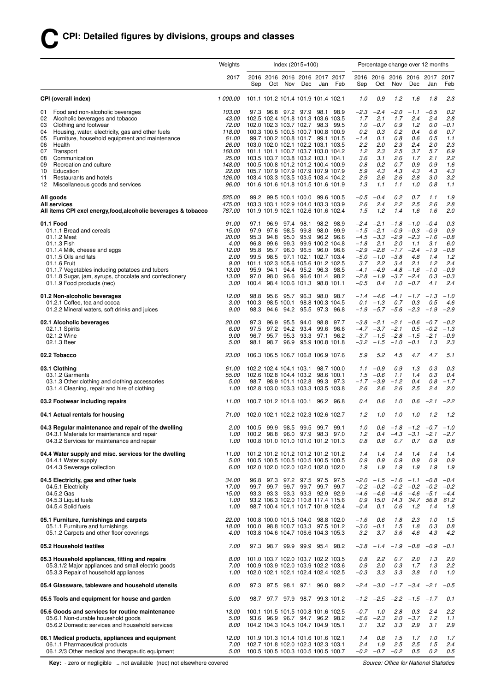| Index $(2015=100)$<br>Weights                                                                                                                                                                                                                                                                                     |                                                                                                           |                                                                                                                      |                                                                                                                                                                                                                                        |                                                              |                                                      |                                                                                                                                                                                                                    |                                                                                         | Percentage change over 12 months        |                                                                                               |                                                                                         |                                                                                         |                                                                                         |                                                                                     |                                                                                     |
|-------------------------------------------------------------------------------------------------------------------------------------------------------------------------------------------------------------------------------------------------------------------------------------------------------------------|-----------------------------------------------------------------------------------------------------------|----------------------------------------------------------------------------------------------------------------------|----------------------------------------------------------------------------------------------------------------------------------------------------------------------------------------------------------------------------------------|--------------------------------------------------------------|------------------------------------------------------|--------------------------------------------------------------------------------------------------------------------------------------------------------------------------------------------------------------------|-----------------------------------------------------------------------------------------|-----------------------------------------|-----------------------------------------------------------------------------------------------|-----------------------------------------------------------------------------------------|-----------------------------------------------------------------------------------------|-----------------------------------------------------------------------------------------|-------------------------------------------------------------------------------------|-------------------------------------------------------------------------------------|
|                                                                                                                                                                                                                                                                                                                   |                                                                                                           | 2017                                                                                                                 | Sep                                                                                                                                                                                                                                    |                                                              | Oct Nov                                              | 2016 2016 2016 2016 2017 2017<br>Dec                                                                                                                                                                               | Jan                                                                                     | Feb                                     | Sep                                                                                           | Oct                                                                                     | 2016 2016 2016 2016 2017<br>Nov                                                         | Dec                                                                                     | Jan                                                                                 | 2017<br>Feb                                                                         |
| CPI (overall index)                                                                                                                                                                                                                                                                                               |                                                                                                           | 1 000.00                                                                                                             |                                                                                                                                                                                                                                        |                                                              |                                                      | 101.1 101.2 101.4 101.9 101.4 102.1                                                                                                                                                                                |                                                                                         |                                         | 1.0                                                                                           | 0.9                                                                                     | 1.2                                                                                     | 1.6                                                                                     | 1.8                                                                                 | 2.3                                                                                 |
| Food and non-alcoholic beverages<br>01<br>02<br>Alcoholic beverages and tobacco<br>Clothing and footwear<br>03<br>04<br>05<br>06<br>Health<br>07<br>Transport<br>08<br>Communication<br>09<br>Recreation and culture<br>Education<br>10<br>Restaurants and hotels<br>11<br>12<br>Miscellaneous goods and services | Housing, water, electricity, gas and other fuels<br>Furniture, household equipment and maintenance        | 103.00<br>43.00<br>72.00<br>118.00<br>61.00<br>26.00<br>160.00<br><i>25.00</i><br>148.00<br>22.00<br>126.00<br>96.00 | 103.0 102.0 102.1 102.2 103.1 103.5<br>101.1 101.1 100.7 103.7 103.0 104.2<br>103.5 103.7 103.8 103.2 103.1 104.1<br>100.5 100.8 101.2 101.2 100.4 100.9<br>105.7 107.9 107.9 107.9 107.9 107.9<br>103.4 103.3 103.5 103.5 103.4 104.2 |                                                              |                                                      | 97.3 96.8 97.2 97.9 98.1<br>102.5 102.4 101.8 101.3 103.6 103.5<br>102.0 102.3 103.7 102.7 98.3<br>100.3 100.5 100.5 100.7 100.8 100.9<br>99.7 100.2 100.8 101.7 99.1 101.5<br>101.6 101.6 101.8 101.5 101.6 101.9 |                                                                                         | 98.9<br>99.5                            | $-2.3$<br>1.7<br>1.0<br>0.2<br>$-1.4$<br>2.2<br>1.2<br>3.6<br>0.8<br>5.9<br>2.9<br>1.3        | $-2.4$<br>2.1<br>$-0.7$<br>0.3<br>0.1<br>2.0<br>2.3<br>3.1<br>0.2<br>4.3<br>2.6<br>1.1  | $-2.0$<br>1.7<br>0.9<br>0.2<br>0.8<br>2.3<br>2.5<br>2.6<br>0.7<br>4.3<br>2.6<br>1.1     | $-1.1$<br>2.4<br>1.2<br>0.4<br>0.6<br>2.4<br>3.7<br>1.7<br>0.9<br>4.3<br>2.8<br>1.0     | $-0.5$<br>2.4<br>0.0<br>0.6<br>0.5<br>2.0<br>5.7<br>2.1<br>0.9<br>4.3<br>3.0<br>0.8 | 0.2<br>2.8<br>$-0.1$<br>0.7<br>1.1<br>2.3<br>6.9<br>2.2<br>1.6<br>4.3<br>3.2<br>1.1 |
| All goods<br><b>All services</b>                                                                                                                                                                                                                                                                                  | All items CPI excl energy, food, alcoholic beverages & tobacco                                            | 525.00<br>475.00<br>787.00                                                                                           |                                                                                                                                                                                                                                        |                                                              |                                                      | 99.2 99.5 100.1 100.0 99.6 100.5<br>103.3 103.1 102.9 104.0 103.3 103.9<br>101.9 101.9 102.1 102.6 101.6 102.4                                                                                                     |                                                                                         |                                         | $-0.5$<br>2.6<br>1.5                                                                          | $-0.4$<br>2.4<br>1.2                                                                    | 0.2<br>2.2<br>1.4                                                                       | 0.7<br>2.5<br>1.6                                                                       | 1.1<br>2.6<br>1.6                                                                   | 1.9<br>2.8<br>2.0                                                                   |
| 01.1 Food<br>01.1.1 Bread and cereals<br>01.1.2 Meat<br>01.1.3 Fish<br>01.1.4 Milk, cheese and eggs<br>01.1.5 Oils and fats<br>01.1.6 Fruit<br>01.1.9 Food products (nec)                                                                                                                                         | 01.1.7 Vegetables including potatoes and tubers<br>01.1.8 Sugar, jam, syrups, chocolate and confectionery | 91.00<br>15.00<br>20.00<br>4.00<br>12.00<br>2.00<br>9.00<br>13.00<br>13.00<br>3.00                                   | 97.1<br>97.9<br>95.3<br>96.8<br>95.8<br>99.5<br>95.9<br>97.0<br>100.4                                                                                                                                                                  | 96.9<br>97.6<br>94.8<br>99.6<br>95.7<br>98.5<br>94.1<br>98.0 | 97.4<br>98.5<br>95.0<br>99.3<br>96.0<br>94.4<br>96.6 | 98.1<br>99.8<br>95.9<br>97.1 102.1 102.7 103.4<br>101.1 102.3 105.6 105.6 101.2 102.5<br>98.4 100.6 101.3                                                                                                          | 98.2<br>98.0<br>99.9 100.2 104.8<br>96.5 96.0 96.6<br>95.2 96.3 98.5<br>96.6 101.4 98.2 | 98.9<br>99.9<br>96.2 96.6<br>98.8 101.1 | $-2.4$<br>$-1.5$<br>$-4.5$<br>$-1.8$<br>$-2.9$<br>$-5.0$<br>3.7<br>$-4.1$<br>$-2.8$<br>$-0.5$ | $-2.1$<br>$-2.1$<br>$-3.3$<br>2.1<br>$-2.8$<br>$-1.0$<br>2.2<br>$-4.9$<br>$-1.9$<br>0.4 | $-1.8$<br>$-0.9$<br>$-2.9$<br>2.0<br>$-1.7$<br>$-3.8$<br>3.4<br>$-4.8$<br>$-3.7$<br>1.0 | $-1.0$<br>$-0.3$<br>$-2.3$<br>1.1<br>$-2.4$<br>4.8<br>2.1<br>$-1.6$<br>$-2.4$<br>$-0.7$ | $-0.4$<br>$-0.9$<br>$-1.6$<br>3.1<br>$-1.9$<br>1.4<br>1.2<br>$-1.0$<br>0.3<br>4.1   | 0.3<br>0.9<br>$-0.8$<br>6.0<br>$-0.8$<br>1.2<br>2.4<br>$-0.9$<br>$-0.3$<br>2.4      |
| 01.2 Non-alcoholic beverages<br>01.2.1 Coffee, tea and cocoa<br>01.2.2 Mineral waters, soft drinks and juices                                                                                                                                                                                                     |                                                                                                           | 12.00<br>3.00<br>9.00                                                                                                | 98.8<br>100.3<br>98.3                                                                                                                                                                                                                  | 94.6                                                         | 95.6 95.7<br>98.5 100.1<br>94.2                      |                                                                                                                                                                                                                    | 96.3 98.0 98.7<br>98.8 100.3 104.5<br>95.5 97.3                                         | 96.8                                    | 0.1<br>$-1.9$                                                                                 | $-1.4 -4.6$<br>$-1.3$<br>$-5.7$                                                         | 0.7<br>$-5.6$                                                                           | $-4.1$ $-1.7$ $-1.3$<br>0.3<br>$-2.3$                                                   | 0.5<br>$-1.9$                                                                       | $-1.0$<br>4.6<br>$-2.9$                                                             |
| 02.1 Alcoholic beverages<br>02.1.1 Spirits<br>02.1.2 Wine<br>02.1.3 Beer                                                                                                                                                                                                                                          |                                                                                                           | 20.00<br>6.00<br>9.00<br>5.00                                                                                        | 97.3<br>97.5<br>96.7<br>98.1                                                                                                                                                                                                           | 96.9<br>97.2<br>95.7<br>98.7                                 | 95.5<br>94.2<br>95.3<br>96.9                         | 94.0<br>93.4<br>93.3                                                                                                                                                                                               | 98.8<br>99.6<br>97.1<br>95.9 100.8 101.8                                                | 97.7<br>96.6<br>96.2                    | -3.8<br>$-3.2$                                                                                | $-2.1$<br>$-4.7$ $-3.7$<br>$-3.7 -1.5$<br>$-1.5$                                        | $-2.1$<br>$-2.1$<br>$-2.8$<br>$-1.0$                                                    | $-0.6$<br>0.5<br>$-1.5$<br>$-0.1$                                                       | $-0.7$<br>$-0.2$<br>$-2.1$<br>1.3                                                   | $-0.2$<br>$-1.3$<br>$-0.9$<br>2.3                                                   |
| 02.2 Tobacco                                                                                                                                                                                                                                                                                                      |                                                                                                           | 23.00                                                                                                                |                                                                                                                                                                                                                                        |                                                              |                                                      | 106.3 106.5 106.7 106.8 106.9 107.6                                                                                                                                                                                |                                                                                         |                                         | 5.9                                                                                           | 5.2                                                                                     | 4.5                                                                                     | 4.7                                                                                     | 4.7                                                                                 | 5.1                                                                                 |
| 03.1 Clothing<br>03.1.2 Garments<br>03.1.4 Cleaning, repair and hire of clothing                                                                                                                                                                                                                                  | 03.1.3 Other clothing and clothing accessories                                                            | 61.00<br><i>55.00</i><br>5.00<br>1.00                                                                                |                                                                                                                                                                                                                                        |                                                              |                                                      | 102.2 102.4 104.1 103.1<br>102.6 102.8 104.4 103.2 98.6 100.1<br>98.7 98.9 101.1 102.8<br>102.8 103.0 103.3 103.3 103.5 103.8                                                                                      |                                                                                         | 98.7 100.0<br>99.3 97.3                 | 1.1<br>1.5<br>$-1.7$<br>2.6                                                                   | $-0.9$<br>$-0.6$<br>$-3.9$<br>2.6                                                       | 0.9<br>1.1<br>$-1.2$<br>2.6                                                             | 1.3<br>1.4<br>0.4<br>2.5                                                                | 0.3<br>0.3<br>0.8<br>2.4                                                            | 0.3<br>0.4<br>$-1.7$<br>2.0                                                         |
| 03.2 Footwear including repairs                                                                                                                                                                                                                                                                                   |                                                                                                           | 11.00                                                                                                                |                                                                                                                                                                                                                                        |                                                              |                                                      | 100.7 101.2 101.6 100.1 96.2                                                                                                                                                                                       |                                                                                         | 96.8                                    | 0.4                                                                                           | 0.6                                                                                     | 1.0                                                                                     | 0.6                                                                                     | $-2.1$                                                                              | $-2.2$                                                                              |
| 04.1 Actual rentals for housing                                                                                                                                                                                                                                                                                   |                                                                                                           | 71.00                                                                                                                |                                                                                                                                                                                                                                        |                                                              |                                                      | 102.0 102.1 102.2 102.3 102.6 102.7                                                                                                                                                                                |                                                                                         |                                         | 1.2                                                                                           | 1.0                                                                                     | 1.0                                                                                     | 1.0                                                                                     | 1.2                                                                                 | 1.2                                                                                 |
| 04.3.2 Services for maintenance and repair                                                                                                                                                                                                                                                                        | 04.3 Regular maintenance and repair of the dwelling<br>04.3.1 Materials for maintenance and repair        | 2.00<br>1.00<br>1.00                                                                                                 |                                                                                                                                                                                                                                        |                                                              |                                                      | 100.5 99.9 98.5 99.5 99.7 99.1<br>100.2 98.8 96.0 97.9 98.3 97.0<br>100.8 101.0 101.0 101.0 101.2 101.3                                                                                                            |                                                                                         |                                         | 1.0<br>1.2<br>0.8                                                                             | 0.6<br>0.4<br>0.8                                                                       | $-4.3$<br>0.7                                                                           | $-1.8$ $-1.2$ $-0.7$ $-1.0$<br>$-3.1$<br>0.7                                            | $-2.1$<br>0.8                                                                       | $-2.7$<br>0.8                                                                       |
| 04.4.1 Water supply<br>04.4.3 Sewerage collection                                                                                                                                                                                                                                                                 | 04.4 Water supply and misc. services for the dwelling                                                     | 11.00<br>5.00<br>6.00                                                                                                |                                                                                                                                                                                                                                        |                                                              |                                                      | 100.5 100.5 100.5 100.5 100.5 100.5<br>102.0 102.0 102.0 102.0 102.0 102.0                                                                                                                                         |                                                                                         | 101.2 101.2 101.2 101.2 101.2 101.2     | 1.4<br>0.9<br>1.9                                                                             | 1.4<br>0.9<br>1.9                                                                       | 1.4<br>0.9<br>1.9                                                                       | 1.4<br>0.9<br>1.9                                                                       | 1.4<br>0.9<br>1.9                                                                   | 1.4<br>0.9<br>1.9                                                                   |
| 04.5 Electricity, gas and other fuels<br>04.5.1 Electricity<br>04.5.2 Gas<br>04.5.3 Liquid fuels<br>04.5.4 Solid fuels                                                                                                                                                                                            |                                                                                                           | 34.00<br>17.00<br>15.00<br>1.00<br>1.00                                                                              | 96.8<br>99.7                                                                                                                                                                                                                           |                                                              |                                                      | 97.3 97.2 97.5 97.5<br>99.7 99.7 99.7 99.7<br>93.3 93.3 93.3 93.3 92.9 92.9<br>93.2 106.3 102.0 110.8 117.4 115.6<br>98.7 100.4 101.1 101.7 101.9 102.4                                                            |                                                                                         | 97.5<br>99.7                            | -2.0<br>$-0.2$<br>-4.6<br>0.9<br>$-0.4$                                                       | $-1.5$<br>$-0.2$<br>$-4.6$<br>15.0<br>0.1                                               | $-1.6$<br>$-0.2$<br>$-4.6$<br>14.3<br>0.6                                               | $-1.1$<br>$-0.2$<br>$-4.6$<br>34.7<br>1.2                                               | $-0.8$<br>$-0.2$<br>$-5.1$<br>56.8<br>1.4                                           | $-0.4$<br>$-0.2$<br>$-4.4$<br>61.2<br>1.8                                           |
| 05.1 Furniture, furnishings and carpets<br>05.1.1 Furniture and furnishings<br>05.1.2 Carpets and other floor coverings                                                                                                                                                                                           |                                                                                                           | 22.00<br>18.00<br>4.00                                                                                               |                                                                                                                                                                                                                                        |                                                              |                                                      | 100.8 100.0 101.5 104.0 98.8 102.0<br>100.0 98.8 100.7 103.3 97.5 101.2<br>103.8 104.6 104.7 106.6 104.3 105.3                                                                                                     |                                                                                         |                                         | $-1.6$<br>-3.0<br>3.2                                                                         | 0.6<br>$-0.1$<br>3.7                                                                    | 1.8<br>1.5<br>3.6                                                                       | 2.3<br>1.8<br>4.6                                                                       | 1.0<br>0.3<br>4.3                                                                   | 1.5<br>0.8<br>4.2                                                                   |
| 05.2 Household textiles                                                                                                                                                                                                                                                                                           |                                                                                                           | 7.00                                                                                                                 |                                                                                                                                                                                                                                        |                                                              |                                                      | 97.3 98.7 99.9 99.9 95.4 98.2                                                                                                                                                                                      |                                                                                         |                                         | -3.8                                                                                          | $-1.4$                                                                                  | $-1.9$                                                                                  | $-0.8$                                                                                  | $-0.9$                                                                              | $-0.1$                                                                              |
| 05.3.3 Repair of household appliances                                                                                                                                                                                                                                                                             | 05.3 Household appliances, fitting and repairs<br>05.3.1/2 Major appliances and small electric goods      | 8.00<br>7.00<br>1.00                                                                                                 |                                                                                                                                                                                                                                        |                                                              |                                                      | 101.0 103.7 102.0 103.7 102.2 103.5<br>100.9 103.9 102.0 103.9 102.2 103.6<br>102.0 102.1 102.1 102.4 102.4 102.5                                                                                                  |                                                                                         |                                         | 0.8<br>0.9<br>$-0.3$                                                                          | 2.2<br>2.0<br>3.3                                                                       | 0.7<br>0.3<br>3.3                                                                       | 2.0<br>1.7<br>3.8                                                                       | 1.3<br>1.3<br>1.0                                                                   | 2.0<br>2.2<br>1.0                                                                   |
|                                                                                                                                                                                                                                                                                                                   | 05.4 Glassware, tableware and household utensils                                                          | 6.00                                                                                                                 |                                                                                                                                                                                                                                        | 97.3 97.5 98.1                                               |                                                      |                                                                                                                                                                                                                    |                                                                                         | 97.1 96.0 99.2                          | -2.4                                                                                          | $-3.0$                                                                                  |                                                                                         | $-1.7$ $-3.4$ $-2.1$                                                                    |                                                                                     | $-0.5$                                                                              |
|                                                                                                                                                                                                                                                                                                                   | 05.5 Tools and equipment for house and garden                                                             | 5.00                                                                                                                 | 98.7                                                                                                                                                                                                                                   |                                                              | 97.7 97.9                                            |                                                                                                                                                                                                                    |                                                                                         | 98.7 99.3 101.2                         |                                                                                               | $-1.2 -2.5$                                                                             |                                                                                         | $-2.2 -1.5$                                                                             | $-1.7$                                                                              | 0.1                                                                                 |
| 05.6.1 Non-durable household goods                                                                                                                                                                                                                                                                                | 05.6 Goods and services for routine maintenance<br>05.6.2 Domestic services and household services        | 13.00<br>5.00                                                                                                        | 8.00 104.2 104.3 104.5 104.7 104.9 105.1                                                                                                                                                                                               |                                                              |                                                      | 100.1 101.5 101.5 100.8 101.6 102.5<br>93.6 96.9 96.7 94.7 96.2 98.2                                                                                                                                               |                                                                                         |                                         | $-0.7$<br>$-6.6$<br>3.1                                                                       | 1.0<br>$-2.3$<br>3.2                                                                    | 2.8<br>2.0<br>3.3                                                                       | 0.3<br>$-3.7$<br>2.9                                                                    | 2.4<br>1.2<br>3.1                                                                   | 2.2<br>1.1<br>2.9                                                                   |
| 06.1.1 Pharmaceutical products                                                                                                                                                                                                                                                                                    | 06.1 Medical products, appliances and equipment<br>06.1.2/3 Other medical and therapeutic equipment       | 12.00<br>7.00                                                                                                        | 102.7 101.8 102.0 102.3 102.3 103.1<br>5.00 100.5 100.5 100.3 100.5 100.5 100.7                                                                                                                                                        |                                                              |                                                      | 101.9 101.3 101.4 101.6 101.6 102.1                                                                                                                                                                                |                                                                                         |                                         | 1.4<br>2.4                                                                                    | 0.8<br>1.9<br>$-0.2$ $-0.7$ $-0.2$                                                      | 1.5<br>2.5                                                                              | 1.7<br>2.5<br>0.5                                                                       | 1.0<br>1.5<br>0.2                                                                   | 1.7<br>2.4<br>0.5                                                                   |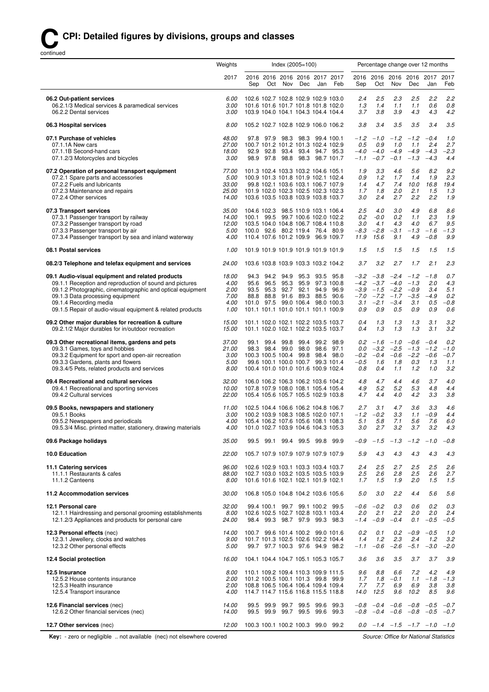## **CCPI: Detailed figures by divisions, groups and classes**

continued

|                                                                                                                                                                                                                                                                                                       | Weights                                       | Index (2005=100)<br>Percentage change over 12 months                                                                                                                                                                                                                                                                                                                                                                                                               |                                                                                           |
|-------------------------------------------------------------------------------------------------------------------------------------------------------------------------------------------------------------------------------------------------------------------------------------------------------|-----------------------------------------------|--------------------------------------------------------------------------------------------------------------------------------------------------------------------------------------------------------------------------------------------------------------------------------------------------------------------------------------------------------------------------------------------------------------------------------------------------------------------|-------------------------------------------------------------------------------------------|
|                                                                                                                                                                                                                                                                                                       | 2017                                          | 2016 2016 2016 2016 2017 2017<br>2016 2016 2016 2016 2017<br>Nov<br>Feb<br>Oct<br>Nov<br>Dec<br>Sep<br>Oct<br>Dec<br>Jan<br>Sep                                                                                                                                                                                                                                                                                                                                    | 2017<br>Feb<br>Jan                                                                        |
| 06.2 Out-patient services<br>06.2.1/3 Medical services & paramedical services<br>06.2.2 Dental services                                                                                                                                                                                               | 6.00<br>3.00<br>3.00                          | 102.6 102.7 102.8 102.9 102.9 103.0<br>2.4<br>2.5<br>2.3<br>2.5<br>101.6 101.6 101.7 101.8 101.8 102.0<br>1.3<br>1.4<br>1.1<br>1.1<br>3.8<br>3.9<br>4.3<br>103.9 104.0 104.1 104.3 104.4 104.4<br>3.7                                                                                                                                                                                                                                                              | 2.2<br>2.2<br>0.6<br>0.8<br>4.3<br>4.2                                                    |
| 06.3 Hospital services                                                                                                                                                                                                                                                                                | 8.00                                          | 3.8<br>3.4<br>3.5<br>3.5<br>105.2 102.7 102.8 102.9 106.0 106.2                                                                                                                                                                                                                                                                                                                                                                                                    | 3.5<br>3.4                                                                                |
| 07.1 Purchase of vehicles<br>07.1.1A New cars<br>07.1.1B Second-hand cars<br>07.1.2/3 Motorcycles and bicycles                                                                                                                                                                                        | 48.00<br>27.00<br>18.00<br>3.00               | 97.8 97.9 98.3 98.3 99.4 100.1<br>$-1.2$<br>$-1.0$<br>$-1.2$<br>$-1.2$<br>100.7 101.2 101.2 101.3 102.4 102.9<br>0.5<br>0.9<br>1.0<br>1.1<br>$-4.0$<br>$-4.0 -4.9$<br>$-4.9$<br>92.9 92.8 93.4 93.4 94.7 95.3<br>98.9 97.8 98.8 98.3 98.7 101.7<br>$-1.1$<br>$-0.7$<br>$-0.1$<br>$-1.3$                                                                                                                                                                            | $-0.4$<br>1.0<br>2.4<br>2.7<br>$-4.3$<br>$-2.3$<br>$-4.3$<br>4.4                          |
| 07.2 Operation of personal transport equipment<br>07.2.1 Spare parts and accessories<br>07.2.2 Fuels and lubricants<br>07.2.3 Maintenance and repairs<br>07.2.4 Other services                                                                                                                        | 77.00<br>5.00<br>33.00<br>25.00<br>14.00      | 101.3 102.4 103.3 103.2 104.6 105.1<br>3.3<br>4.6<br>5.6<br>1.9<br>100.9 101.3 101.8 101.9 102.1 102.4<br>0.9<br>1.2<br>1.7<br>1.4<br>99.8 102.1 103.6 103.1 106.7 107.9<br>1.4<br>4.7<br>7.4<br>10.0<br>2.0<br>2.1<br>101.9 102.0 102.3 102.5 102.3 102.3<br>1.7<br>1.8<br>103.6 103.5 103.8 103.9 103.8 103.7<br>3.0<br>2.4<br>2.7<br>2.2                                                                                                                        | 8.2<br>9.2<br>2.3<br>1.9<br>16.8<br>19.4<br>1.5<br>1.3<br>2.2<br>1.9                      |
| 07.3 Transport services<br>07.3.1 Passenger transport by railway<br>07.3.2 Passenger transport by road<br>07.3.3 Passenger transport by air<br>07.3.4 Passenger transport by sea and inland waterway                                                                                                  | 35.00<br>14.00<br>12.00<br>5.00<br>4.00       | 104.6 102.3 98.5 110.9 103.1 106.4<br>2.5<br>4.0<br>3.0<br>4.9<br>100.1 99.5 99.7 100.6 102.0 102.2<br>0.2<br>$-0.0$<br>0.2<br>1.1<br>103.5 104.0 104.8 106.7 108.4 110.8<br>3.0<br>4.1<br>4.3<br>4.0<br>$-8.3$<br>$-1.3$<br>100.0 92.6 80.2 119.4 76.4 80.9<br>$-2.8$<br>$-3.1$<br>110.4 107.6 101.2 109.9 96.9 109.7<br>11.9<br>15.6<br>9.1<br>4.9                                                                                                               | 6.8<br>8.6<br>2.3<br>1.9<br>9.5<br>6.7<br>$-1.6$<br>$-1.3$<br>$-0.8$<br>9.9               |
| 08.1 Postal services                                                                                                                                                                                                                                                                                  | 1.00                                          | 101.9 101.9 101.9 101.9 101.9 101.9<br>1.5<br>1.5<br>1.5<br>1.5                                                                                                                                                                                                                                                                                                                                                                                                    | 1.5<br>1.5                                                                                |
| 08.2/3 Telephone and telefax equipment and services                                                                                                                                                                                                                                                   | 24.00                                         | 103.6 103.8 103.9 103.3 103.2 104.2<br>3.7<br>3.2<br>2.7<br>1.7                                                                                                                                                                                                                                                                                                                                                                                                    | 2.1<br>2.3                                                                                |
| 09.1 Audio-visual equipment and related products<br>09.1.1 Reception and reproduction of sound and pictures<br>09.1.2 Photographic, cinematographic and optical equipment<br>09.1.3 Data processing equipment<br>09.1.4 Recording media<br>09.1.5 Repair of audio-visual equipment & related products | 18.00<br>4.00<br>2.00<br>7.00<br>4.00<br>1.00 | 94.2 94.9 95.3<br>$-3.8$<br>$-2.4$<br>$-1.2$<br>94.3<br>93.5 95.8<br>$-3.2$<br>95.6<br>96.5<br>95.3<br>95.9<br>97.3 100.8<br>$-4.2$<br>$-3.7$<br>$-4.0$<br>$-1.3$<br>95.3 92.7 92.1 94.9<br>$-3.9$<br>$-1.5$<br>$-2.2$<br>$-0.9$<br>93.5<br>96.9<br>88.8 88.8 91.6 89.3 88.5 90.6<br>$-7.0$<br>$-7.2$<br>$-1.7$<br>$-3.5$<br>101.0 97.5 99.0 106.4 98.0 100.3<br>3.1<br>$-2.1$<br>$-3.4$<br>3.1<br>101.1 101.1 101.0 101.1 101.1 100.9<br>0.9<br>0.9<br>0.9<br>0.5 | 0.7<br>$-1.8$<br>4.3<br>2.0<br>5.1<br>3.4<br>$-4.9$<br>0.2<br>0.5<br>$-0.8$<br>0.9<br>0.6 |
| 09.2 Other major durables for recreation & culture<br>09.2.1/2 Major durables for in/outdoor recreation                                                                                                                                                                                               | 15.00<br>15.00                                | 101.1 102.0 102.1 102.2 103.5 103.7<br>0.4<br>1.3<br>1.3<br>1.3<br>1.3<br>1.3<br>101.1 102.0 102.1 102.2 103.5 103.7<br>0.4<br>1.3                                                                                                                                                                                                                                                                                                                                 | 3.2<br>3.1<br>3.1<br>3.2                                                                  |
| 09.3 Other recreational items, gardens and pets<br>09.3.1 Games, toys and hobbies<br>09.3.2 Equipment for sport and open-air recreation<br>09.3.3 Gardens, plants and flowers<br>09.3.4/5 Pets, related products and services                                                                         | 37.00<br>21.00<br>3.00<br>5.00<br>8.00        | 99.4 99.8<br>99.4 99.2<br>98.9<br>$0.2 - 1.6$<br>$-1.0$<br>$-0.6$<br>99.1<br>$-2.5$<br>98.3 98.4 99.0 98.0 98.6<br>97.1<br>0.0<br>$-3.2$<br>$-1.3$<br>100.3 100.5 100.4 99.8 98.4 98.0<br>$-0.2$<br>$-0.4$<br>$-0.6$<br>$-2.2$<br>99.6 100.1 100.0 100.7 99.3 101.4<br>$-0.5$<br>1.6<br>1.8<br>0.3<br>100.4 101.0 101.0 101.6 100.9 102.4<br>0.8<br>0.4<br>1.1<br>1.2                                                                                              | 0.2<br>$-0.4$<br>$-1.2$<br>$-1.0$<br>$-0.6$<br>$-0.7$<br>1.3<br>1.1<br>3.2<br>1.0         |
| 09.4 Recreational and cultural services<br>09.4.1 Recreational and sporting services<br>09.4.2 Cultural services                                                                                                                                                                                      | 32.00<br>10.00<br>22.00                       | 106.0 106.2 106.3 106.2 103.6 104.2<br>4.8<br>4.7<br>4.4<br>4.6<br>4.9<br>5.2<br>5.2<br>5.3<br>107.8 107.9 108.0 108.1 105.4 105.4<br>4.7<br>4.4<br>4.0<br>4.2<br>105.4 105.6 105.7 105.5 102.9 103.8                                                                                                                                                                                                                                                              | 3.7<br>4.0<br>4.8<br>4.4<br>3.3<br>3.8                                                    |
| 09.5 Books, newspapers and stationery<br>09.5.1 Books<br>09.5.2 Newspapers and periodicals<br>09.5.3/4 Misc. printed matter, stationery, drawing materials                                                                                                                                            | 11.00<br>3.00<br>4.00<br>4.00                 | 3.6<br>102.5 104.4 106.6 106.2 104.8 106.7<br>2.7<br>3.1<br>4.7<br>$-1.2$<br>$-0.2$<br>3.3<br>1.1<br>100.2 103.9 108.3 108.5 102.0 107.1<br>5.1<br>5.8<br>7.1<br>5.6<br>105.4 106.2 107.6 105.6 108.1 108.3<br>101.0 102.7 103.9 104.6 104.3 105.3<br>3.0<br>2.7<br>3.2<br>3.7                                                                                                                                                                                     | 4.6<br>3.3<br>$-0.9$<br>4.4<br>6.0<br>7.6<br>3.2<br>4.3                                   |
| 09.6 Package holidays                                                                                                                                                                                                                                                                                 | 35.00                                         | 99.5 99.1 99.4 99.5 99.8 99.9<br>$-1.5$ $-1.3$ $-1.2$ $-1.0$<br>-0.9                                                                                                                                                                                                                                                                                                                                                                                               | $-0.8$                                                                                    |
| 10.0 Education                                                                                                                                                                                                                                                                                        | 22.00                                         | 105.7 107.9 107.9 107.9 107.9 107.9<br>5.9<br>4.3<br>4.3<br>4.3                                                                                                                                                                                                                                                                                                                                                                                                    | 4.3<br>4.3                                                                                |
| 11.1 Catering services<br>11.1.1 Restaurants & cafes<br>11.1.2 Canteens                                                                                                                                                                                                                               | 96.00<br>88.00<br>8.00                        | 2.4<br>2.5<br>2.7<br>2.5<br>102.6 102.9 103.1 103.3 103.4 103.7<br>102.7 103.0 103.2 103.5 103.5 103.9<br>2.5<br>2.6<br>2.8<br>2.5<br>101.6 101.6 102.1 102.1 101.9 102.1<br>1.5<br>1.9<br>2.0<br>1.7                                                                                                                                                                                                                                                              | 2.5<br>2.6<br>2.6<br>2.7<br>1.5<br>1.5                                                    |
| 11.2 Accommodation services                                                                                                                                                                                                                                                                           | 30.00                                         | 106.8 105.0 104.8 104.2 103.6 105.6<br>5.0<br>3.0<br>2.2<br>4.4                                                                                                                                                                                                                                                                                                                                                                                                    | 5.6<br>5.6                                                                                |
| 12.1 Personal care<br>12.1.1 Hairdressing and personal grooming establishments<br>12.1.2/3 Appliances and products for personal care                                                                                                                                                                  | 32.00<br>8.00<br>24.00                        | $-0.6$<br>$-0.2$<br>0.3<br>0.6<br>99.4 100.1 99.7 99.1 100.2 99.5<br>102.6 102.5 102.7 102.8 103.1 103.4<br>2.0<br>2.1<br>2.2<br>2.0<br>98.4 99.3 98.7 97.9 99.3 98.3<br>$-1.4$<br>$-0.9$<br>$-0.4$<br>0.1                                                                                                                                                                                                                                                         | 0.2<br>0.3<br>2.0<br>2.4<br>$-0.5$<br>$-0.5$                                              |
| 12.3 Personal effects (nec)<br>12.3.1 Jewellery, clocks and watches<br>12.3.2 Other personal effects                                                                                                                                                                                                  | 14.00<br>9.00<br>5.00                         | 0.2<br>0.1<br>0.2<br>$-0.9$ $-0.5$<br>100.7 99.6 101.4 100.2 99.0 101.6<br>2.3<br>101.7 101.3 102.5 102.6 102.2 104.4<br>1.4<br>1.2<br>2.4<br>$-2.6$<br>99.7 97.7 100.3 97.6 94.9 98.2<br>$-0.6$<br>$-5.1$<br>$-1.1$                                                                                                                                                                                                                                               | 1.0<br>3.2<br>1.2<br>$-3.0$<br>$-2.0$                                                     |
| 12.4 Social protection                                                                                                                                                                                                                                                                                | 16.00                                         | 104.1 104.4 104.7 105.1 105.3 105.7<br>3.6<br>3.5<br>3.7<br>3.6                                                                                                                                                                                                                                                                                                                                                                                                    | 3.7<br>3.9                                                                                |
| 12.5 Insurance<br>12.5.2 House contents insurance<br>12.5.3 Health insurance<br>12.5.4 Transport insurance                                                                                                                                                                                            | 8.00<br>2.00<br>2.00<br>4.00                  | 110.1 109.2 109.4 110.3 109.9 111.5<br>9.6<br>8.8<br>6.6<br>7.2<br>101.2 100.5 100.1 101.3 99.8 99.9<br>1.8<br>1.1<br>1.7<br>$-0.1$<br>108.8 106.5 106.4 106.4 109.4 109.4<br>7.7<br>7.7<br>6.9<br>6.9<br>114.7 114.7 115.6 116.8 115.5 118.8<br>14.0<br>12.5<br>9.6<br>10.2                                                                                                                                                                                       | 4.2<br>4.9<br>$-1.8$<br>$-1.3$<br>3.8<br>3.8<br>8.5<br>9.6                                |
| 12.6 Financial services (nec)<br>12.6.2 Other financial services (nec)                                                                                                                                                                                                                                | 14.00<br>14.00                                | $-0.8$ $-0.4$ $-0.6$ $-0.8$ $-0.5$<br>99.5 99.9 99.7 99.5 99.6 99.3<br>99.5 99.9 99.7 99.5 99.6<br>99.3<br>$-0.8$ $-0.4$ $-0.6$ $-0.8$ $-0.5$                                                                                                                                                                                                                                                                                                                      | $-0.7$<br>$-0.7$                                                                          |
| 12.7 Other services (nec)                                                                                                                                                                                                                                                                             | 12.00                                         | 100.3 100.1 100.2 100.3 99.0 99.2<br>$0.0$ $-1.4$ $-1.5$ $-1.7$ $-1.0$ $-1.0$                                                                                                                                                                                                                                                                                                                                                                                      |                                                                                           |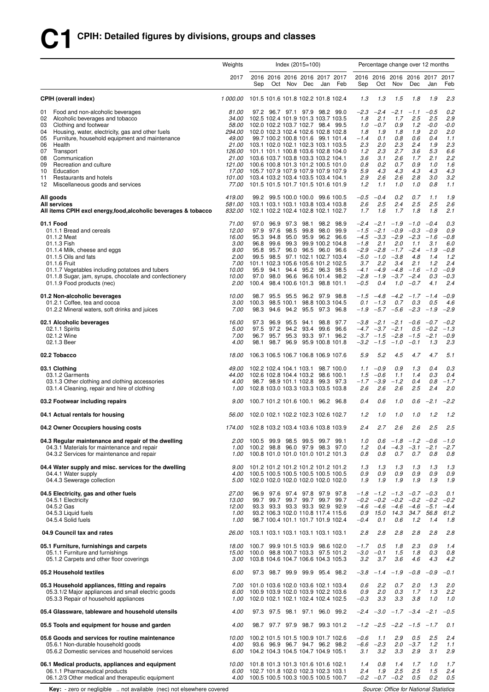# **C1 CPIH: Detailed figures by divisions, groups and classes**

|                                                                                                                                                                                                                                                                                                                                                                                                                         | Weights                                                                                                                    |                                               |                                           | Index $(2015=100)$          |           |                                                                                                                                                                                                                                                                                                                                                                                                                                                                        |                           |                                                                                             |                                                                                         |                                                                                         |                                                                                         | Percentage change over 12 months                                                       |                                                                                     |
|-------------------------------------------------------------------------------------------------------------------------------------------------------------------------------------------------------------------------------------------------------------------------------------------------------------------------------------------------------------------------------------------------------------------------|----------------------------------------------------------------------------------------------------------------------------|-----------------------------------------------|-------------------------------------------|-----------------------------|-----------|------------------------------------------------------------------------------------------------------------------------------------------------------------------------------------------------------------------------------------------------------------------------------------------------------------------------------------------------------------------------------------------------------------------------------------------------------------------------|---------------------------|---------------------------------------------------------------------------------------------|-----------------------------------------------------------------------------------------|-----------------------------------------------------------------------------------------|-----------------------------------------------------------------------------------------|----------------------------------------------------------------------------------------|-------------------------------------------------------------------------------------|
|                                                                                                                                                                                                                                                                                                                                                                                                                         | 2017                                                                                                                       | Sep                                           | Oct                                       | Nov                         | Dec       | 2016 2016 2016 2016 2017 2017<br>Jan                                                                                                                                                                                                                                                                                                                                                                                                                                   | Feb                       | Sep                                                                                         | Oct                                                                                     | Nov                                                                                     | 2016 2016 2016 2016 2017<br>Dec                                                         | Jan                                                                                    | 2017<br>Feb                                                                         |
| <b>CPIH (overall index)</b>                                                                                                                                                                                                                                                                                                                                                                                             | 1 000.00                                                                                                                   |                                               |                                           |                             |           | 101.5 101.6 101.8 102.2 101.8 102.4                                                                                                                                                                                                                                                                                                                                                                                                                                    |                           | 1.3                                                                                         | 1.3                                                                                     | 1.5                                                                                     | 1.8                                                                                     | 1.9                                                                                    | 2.3                                                                                 |
| Food and non-alcoholic beverages<br>01<br>02<br>Alcoholic beverages and tobacco<br>Clothing and footwear<br>03<br>Housing, water, electricity, gas and other fuels<br>04<br>Furniture, household equipment and maintenance<br>05<br>06<br>Health<br>07<br>Transport<br>08<br>Communication<br>09<br>Recreation and culture<br>10<br>Education<br>Restaurants and hotels<br>11<br>12<br>Miscellaneous goods and services | 81.00<br><i>34.00</i><br><i>58.00</i><br>294.00<br>49.00<br>21.00<br>126.00<br>21.00<br>121.00<br>17.00<br>101.00<br>77.00 |                                               |                                           |                             |           | 97.2 96.7 97.1 97.9 98.2 99.0<br>102.5 102.4 101.9 101.3 103.7 103.5<br>102.0 102.2 103.7 102.7 98.4 99.5<br>102.0 102.3 102.4 102.6 102.8 102.8<br>99.7 100.2 100.8 101.6 99.1 101.4<br>103.1 102.0 102.1 102.3 103.1 103.5<br>101.1 101.1 100.8 103.6 102.8 104.0<br>103.6 103.7 103.8 103.3 103.2 104.1<br>100.6 100.8 101.3 101.2 100.5 101.0<br>105.7 107.9 107.9 107.9 107.9 107.9<br>103.4 103.2 103.4 103.5 103.4 104.1<br>101.5 101.5 101.7 101.5 101.6 101.9 |                           | -2.3<br>1.8<br>1.0<br>1.8<br>$-1.4$<br>2.3<br>1.2<br>3.6<br>0.8<br>5.9<br>2.9<br>1.2        | $-2.4$<br>2.1<br>$-0.7$<br>1.9<br>0.1<br>2.0<br>2.3<br>3.1<br>0.2<br>4.3<br>2.6<br>1.1  | $-2.1$<br>1.7<br>0.9<br>1.8<br>0.8<br>2.3<br>2.7<br>2.6<br>0.7<br>4.3<br>2.6<br>1.0     | $-1.1$<br>2.5<br>1.2<br>1.9<br>0.6<br>2.4<br>3.6<br>1.7<br>0.9<br>4.3<br>2.8<br>1.0     | $-0.5$<br>2.5<br>$-0.0$<br>2.0<br>0.4<br>1.9<br>5.3<br>2.1<br>1.0<br>4.3<br>3.0<br>0.8 | 0.2<br>2.9<br>$-0.0$<br>2.0<br>1.1<br>2.3<br>6.6<br>2.2<br>1.6<br>4.3<br>3.2<br>1.1 |
| All goods<br>All services<br>All items CPIH excl energy, food, alcoholic beverages & tobacco                                                                                                                                                                                                                                                                                                                            | 419.00<br>581.00<br>832.00                                                                                                 |                                               |                                           |                             |           | 99.2 99.5 100.0 100.0 99.6 100.5<br>103.1 103.1 103.1 103.8 103.4 103.8<br>102.1 102.2 102.4 102.8 102.1 102.7                                                                                                                                                                                                                                                                                                                                                         |                           | $-0.5$<br>2.6<br>1.7                                                                        | $-0.4$<br>2.5<br>1.6                                                                    | 0.2<br>2.4<br>1.7                                                                       | 0.7<br>2.5<br>1.8                                                                       | 1.1<br>2.5<br>1.8                                                                      | 1.9<br>2.6<br>2.1                                                                   |
| 01.1 Food<br>01.1.1 Bread and cereals<br>01.1.2 Meat<br>01.1.3 Fish<br>01.1.4 Milk, cheese and eggs<br>01.1.5 Oils and fats<br>01.1.6 Fruit<br>01.1.7 Vegetables including potatoes and tubers<br>01.1.8 Sugar, jam, syrups, chocolate and confectionery<br>01.1.9 Food products (nec)                                                                                                                                  | 71.00<br>12.00<br>16.00<br>3.00<br>9.00<br>2.00<br>7.00<br>10.00<br>10.00<br>2.00                                          | 97.9<br>95.3<br>96.8<br>95.9<br>97.0<br>100.4 | 97.6<br>94.8<br>99.6<br>95.8 95.7<br>94.1 | 97.0 96.9 97.3 98.1<br>98.5 |           | 99.8 98.0<br>95.0 95.9 96.2 96.6<br>99.3 99.9 100.2 104.8<br>96.0 96.5 96.0 96.6<br>99.5 98.5 97.1 102.1 102.7 103.4<br>101.1 102.3 105.6 105.6 101.2 102.5<br>94.4 95.2 96.3 98.5<br>98.0 96.6 96.6 101.4<br>98.4 100.6 101.3 98.8 101.1                                                                                                                                                                                                                              | 98.2 98.9<br>99.9<br>98.2 | -2.4<br>$-1.5$<br>$-4.5$<br>$-1.8$<br>$-2.9$<br>$-5.0$<br>3.7<br>$-4.1$<br>$-2.8$<br>$-0.5$ | $-2.1$<br>$-2.1$<br>$-3.3$<br>2.1<br>$-2.8$<br>$-1.0$<br>2.2<br>$-4.9$<br>$-1.9$<br>0.4 | $-1.9$<br>$-0.9$<br>$-2.9$<br>2.0<br>$-1.7$<br>$-3.8$<br>3.4<br>$-4.8$<br>$-3.7$<br>1.0 | $-1.0$<br>$-0.3$<br>$-2.3$<br>1.1<br>$-2.4$<br>4.8<br>2.1<br>$-1.6$<br>$-2.4$<br>$-0.7$ | $-0.4$<br>$-0.9$<br>$-1.6$<br>3.1<br>$-1.9$<br>1.4<br>1.2<br>$-1.0$<br>0.3<br>4.1      | 0.3<br>0.9<br>$-0.8$<br>6.0<br>$-0.8$<br>1.2<br>2.4<br>$-0.9$<br>$-0.3$<br>2.4      |
| 01.2 Non-alcoholic beverages<br>01.2.1 Coffee, tea and cocoa<br>01.2.2 Mineral waters, soft drinks and juices                                                                                                                                                                                                                                                                                                           | 10.00<br>3.00<br>7.00                                                                                                      | 98.7<br>100.3<br>98.3                         | 94.6                                      | 98.5 100.1                  |           | 95.5 95.5 96.2 97.9 98.8<br>98.8 100.3 104.5<br>94.2 95.5 97.3 96.8                                                                                                                                                                                                                                                                                                                                                                                                    |                           | $-1.5$<br>0.1<br>$-1.9$                                                                     | $-4.8$<br>$-1.3$                                                                        | $-4.2$<br>0.7<br>$-5.7 -5.6$                                                            | $-1.7 -1.4$<br>0.3<br>$-2.3$                                                            | 0.5<br>$-1.9$                                                                          | $-0.9$<br>4.6<br>$-2.9$                                                             |
| 02.1 Alcoholic beverages<br>02.1.1 Spirits<br>02.1.2 Wine<br>02.1.3 Beer                                                                                                                                                                                                                                                                                                                                                | 16.00<br>5.00<br>7.00<br>4.00                                                                                              | 97.3<br>97.5<br>98.1                          | 96.9<br>97.2<br>96.7 95.7<br>98.7         | 95.3<br>96.9                | 95.5 94.1 | 98.8<br>94.2 93.4 99.6<br>93.3 97.1<br>95.9 100.8 101.8                                                                                                                                                                                                                                                                                                                                                                                                                | 97.7<br>96.6<br>96.2      | -3.8<br>$-3.7$<br>$-3.2$                                                                    | $-2.1$<br>$-4.7$ $-3.7$ $-2.1$<br>$-1.5$<br>$-1.5$                                      | $-2.1$<br>$-2.8$<br>$-1.0$                                                              | $-0.6$<br>$-1.5$<br>$-0.1$                                                              | $-0.7$<br>$0.5 -0.2$<br>$-2.1$<br>1.3                                                  | $-0.2$<br>$-1.3$<br>$-0.9$<br>2.3                                                   |
| 02.2 Tobacco                                                                                                                                                                                                                                                                                                                                                                                                            | 18.00                                                                                                                      |                                               |                                           |                             |           | 106.3 106.5 106.7 106.8 106.9 107.6                                                                                                                                                                                                                                                                                                                                                                                                                                    |                           | 5.9                                                                                         | 5.2                                                                                     | 4.5                                                                                     | 4.7                                                                                     | 4.7                                                                                    | 5.1                                                                                 |
| 03.1 Clothing<br>03.1.2 Garments<br>03.1.3 Other clothing and clothing accessories<br>03.1.4 Cleaning, repair and hire of clothing                                                                                                                                                                                                                                                                                      | 49.00<br>44.00<br>4.00<br>1.00                                                                                             |                                               |                                           | 102.2 102.4 104.1 103.1     |           | 102.6 102.8 104.4 103.2 98.6 100.1<br>98.7 98.9 101.1 102.8 99.3 97.3<br>102.8 103.0 103.3 103.3 103.5 103.8                                                                                                                                                                                                                                                                                                                                                           | 98.7 100.0                | 1.5<br>$-1.7$<br>2.6                                                                        | $1.1 - 0.9$<br>$-0.6$<br>$-3.9$<br>2.6                                                  | 0.9<br>1.1<br>$-1.2$<br>2.6                                                             | 1.3<br>1.4<br>0.4<br>2.5                                                                | 0.4<br>0.3<br>0.8<br>2.4                                                               | 0.3<br>0.4<br>$-1.7$<br>2.0                                                         |
| 03.2 Footwear including repairs                                                                                                                                                                                                                                                                                                                                                                                         | 9.00                                                                                                                       |                                               |                                           |                             |           | 100.7 101.2 101.6 100.1 96.2 96.8                                                                                                                                                                                                                                                                                                                                                                                                                                      |                           | 0.4                                                                                         | 0.6                                                                                     | 1.0                                                                                     | 0.6                                                                                     | $-2.1$                                                                                 | $-2.2$                                                                              |
| 04.1 Actual rentals for housing                                                                                                                                                                                                                                                                                                                                                                                         | <i>56.00</i>                                                                                                               |                                               |                                           |                             |           | 102.0 102.1 102.2 102.3 102.6 102.7                                                                                                                                                                                                                                                                                                                                                                                                                                    |                           | 1.2                                                                                         | 1.0                                                                                     | 1.0                                                                                     | 1.0                                                                                     | 1.2                                                                                    | 1.2                                                                                 |
| 04.2 Owner Occupiers housing costs                                                                                                                                                                                                                                                                                                                                                                                      | 174.00 102.8 103.2 103.4 103.6 103.8 103.9                                                                                 |                                               |                                           |                             |           |                                                                                                                                                                                                                                                                                                                                                                                                                                                                        |                           | 2.4                                                                                         | 2.7                                                                                     | 2.6                                                                                     | 2.6                                                                                     | 2.5                                                                                    | 2.5                                                                                 |
| 04.3 Regular maintenance and repair of the dwelling<br>04.3.1 Materials for maintenance and repair<br>04.3.2 Services for maintenance and repair                                                                                                                                                                                                                                                                        | 2.00<br>1.00<br>1.00                                                                                                       |                                               |                                           |                             |           | 100.5 99.9 98.5 99.5 99.7 99.1<br>100.2 98.8 96.0 97.9 98.3 97.0<br>100.8 101.0 101.0 101.0 101.2 101.3                                                                                                                                                                                                                                                                                                                                                                |                           | 1.0<br>1.2<br>0.8                                                                           | 0.6<br>0.4<br>0.8                                                                       | $-4.3$<br>0.7                                                                           | $-1.8$ $-1.2$ $-0.6$<br>$-3.1$<br>0.7                                                   | $-2.1$<br>0.8                                                                          | $-1.0$<br>$-2.7$<br>0.8                                                             |
| 04.4 Water supply and misc. services for the dwelling<br>04.4.1 Water supply<br>04.4.3 Sewerage collection                                                                                                                                                                                                                                                                                                              | 4.00<br>5.00                                                                                                               |                                               |                                           |                             |           | 9.00 101.2 101.2 101.2 101.2 101.2 101.2<br>100.5 100.5 100.5 100.5 100.5 100.5<br>102.0 102.0 102.0 102.0 102.0 102.0                                                                                                                                                                                                                                                                                                                                                 |                           | 1.3<br>0.9<br>1.9                                                                           | 1.3<br>0.9<br>1.9                                                                       | 1.3<br>0.9<br>1.9                                                                       | 1.3<br>0.9<br>1.9                                                                       | 1.3<br>0.9<br>1.9                                                                      | 1.3<br>0.9<br>1.9                                                                   |
| 04.5 Electricity, gas and other fuels<br>04.5.1 Electricity<br>04.5.2 Gas<br>04.5.3 Liquid fuels<br>04.5.4 Solid fuels                                                                                                                                                                                                                                                                                                  | 27.00<br>13.00<br>12.00<br>1.00<br>1.00                                                                                    |                                               |                                           |                             |           | 96.9 97.6 97.4 97.8 97.9 97.8<br>99.7 99.7 99.7 99.7 99.7 99.7<br>93.3 93.3 93.3 93.3 92.9 92.9<br>93.2 106.3 102.0 110.8 117.4 115.6<br>98.7 100.4 101.1 101.7 101.9 102.4                                                                                                                                                                                                                                                                                            |                           | $-1.8$<br>$-0.2$<br>-4.6<br>0.9<br>$-0.4$                                                   | $-0.2$ $-0.2$<br>$-4.6$ $-4.6$<br>15.0<br>0.1                                           | 14.3<br>0.6                                                                             | $-1.2$ $-1.3$ $-0.7$ $-0.3$<br>$-0.2$<br>$-4.6 -5.1$<br>1.2                             | $-0.2$<br>34.7 56.8<br>1.4                                                             | 0.1<br>$-0.2$<br>$-4.4$<br>61.2<br>1.8                                              |
| 04.9 Council tax and rates                                                                                                                                                                                                                                                                                                                                                                                              | <i>26.00</i>                                                                                                               |                                               |                                           |                             |           | 103.1 103.1 103.1 103.1 103.1 103.1                                                                                                                                                                                                                                                                                                                                                                                                                                    |                           | 2.8                                                                                         | 2.8                                                                                     | 2.8                                                                                     | 2.8                                                                                     | 2.8                                                                                    | 2.8                                                                                 |
| 05.1 Furniture, furnishings and carpets<br>05.1.1 Furniture and furnishings<br>05.1.2 Carpets and other floor coverings                                                                                                                                                                                                                                                                                                 | 18.00<br>15.00<br>3.00                                                                                                     |                                               |                                           |                             |           | 100.7 99.9 101.5 103.9 98.6 102.0<br>100.0 98.8 100.7 103.3 97.5 101.2<br>103.8 104.6 104.7 106.6 104.3 105.3                                                                                                                                                                                                                                                                                                                                                          |                           | $-1.7$<br>$-3.0$<br>3.2                                                                     | 0.5<br>$-0.1$<br>3.7                                                                    | 1.8<br>1.5<br>3.6                                                                       | 2.3<br>1.8<br>4.6                                                                       | 0.9<br>0.3<br>4.3                                                                      | 1.4<br>0.8<br>4.2                                                                   |
| 05.2 Household textiles                                                                                                                                                                                                                                                                                                                                                                                                 | 6.00                                                                                                                       |                                               |                                           |                             |           | 97.3 98.7 99.9 99.9 95.4 98.2                                                                                                                                                                                                                                                                                                                                                                                                                                          |                           | $-3.8$                                                                                      | $-1.4$                                                                                  | $-1.9$                                                                                  | $-0.8$                                                                                  | $-0.9$                                                                                 | $-0.1$                                                                              |
| 05.3 Household appliances, fitting and repairs<br>05.3.1/2 Major appliances and small electric goods<br>05.3.3 Repair of household appliances                                                                                                                                                                                                                                                                           | 7.00<br>6.00<br>1.00                                                                                                       |                                               |                                           |                             |           | 101.0 103.6 102.0 103.6 102.1 103.4<br>100.9 103.9 102.0 103.9 102.2 103.6<br>102.0 102.1 102.1 102.4 102.4 102.5                                                                                                                                                                                                                                                                                                                                                      |                           | 0.6<br>0.9<br>$-0.3$                                                                        | 2.2<br>2.0<br>3.3                                                                       | 0.7<br>0.3<br>3.3                                                                       | 2.0<br>1.7<br>3.8                                                                       | 1.3<br>1.3<br>1.0                                                                      | 2.0<br>2.2<br>1.0                                                                   |
| 05.4 Glassware, tableware and household utensils                                                                                                                                                                                                                                                                                                                                                                        | 4.00                                                                                                                       |                                               |                                           |                             |           | 97.3 97.5 98.1 97.1 96.0 99.2                                                                                                                                                                                                                                                                                                                                                                                                                                          |                           |                                                                                             |                                                                                         |                                                                                         | $-2.4$ $-3.0$ $-1.7$ $-3.4$ $-2.1$                                                      |                                                                                        | $-0.5$                                                                              |
| 05.5 Tools and equipment for house and garden                                                                                                                                                                                                                                                                                                                                                                           | 4.00                                                                                                                       |                                               |                                           |                             |           | 98.7 97.7 97.9 98.7 99.3 101.2                                                                                                                                                                                                                                                                                                                                                                                                                                         |                           |                                                                                             | $-1.2$ $-2.5$ $-2.2$                                                                    |                                                                                         | $-1.5 -1.7$                                                                             |                                                                                        | 0.1                                                                                 |
| 05.6 Goods and services for routine maintenance<br>05.6.1 Non-durable household goods<br>05.6.2 Domestic services and household services                                                                                                                                                                                                                                                                                | 10.00<br>4.00<br>6.00                                                                                                      |                                               |                                           |                             |           | 100.2 101.5 101.5 100.9 101.7 102.6<br>93.6 96.9 96.7 94.7 96.2 98.2<br>104.2 104.3 104.5 104.7 104.9 105.1                                                                                                                                                                                                                                                                                                                                                            |                           | $-0.6$<br>-6.6<br>3.1                                                                       | 1.1<br>$-2.3$<br>3.2                                                                    | 2.9<br>2.0<br>3.3                                                                       | 0.5<br>$-3.7$<br>2.9                                                                    | 2.5<br>1.2<br>3.1                                                                      | 2.4<br>1.1<br>2.9                                                                   |
| 06.1 Medical products, appliances and equipment<br>06.1.1 Pharmaceutical products<br>06.1.2/3 Other medical and therapeutic equipment                                                                                                                                                                                                                                                                                   | 10.00<br>6.00<br>4.00                                                                                                      |                                               |                                           |                             |           | 101.8 101.3 101.3 101.6 101.6 102.1<br>102.7 101.8 102.0 102.3 102.3 103.1<br>100.5 100.5 100.3 100.5 100.5 100.7                                                                                                                                                                                                                                                                                                                                                      |                           | 1.4<br>2.4                                                                                  | 0.8<br>1.9<br>$-0.2$ $-0.7$                                                             | 1.4<br>2.5<br>$-0.2$                                                                    | 1.7<br>2.5<br>0.5                                                                       | 1.0<br>1.5<br>0.2                                                                      | 1.7<br>2.4<br>0.5                                                                   |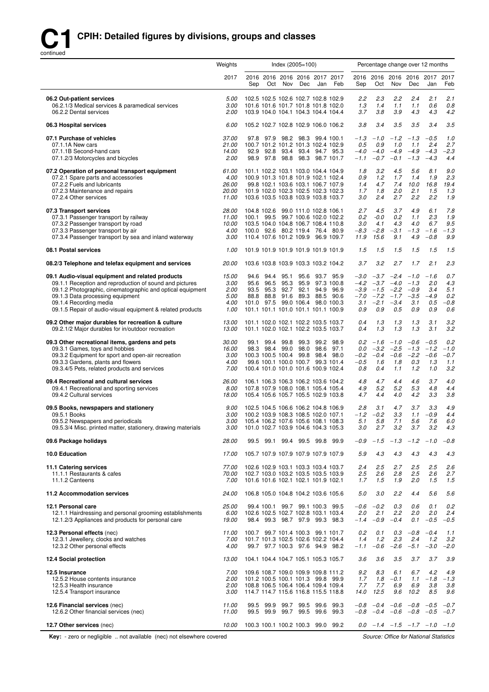

|                                                                                                                                                                                                                                                                                                       | Weights                                         | Index (2005=100) |  |                                                                                                                                                                                         |     |     | Percentage change over 12 months                                           |                                               |                                          |                                                                                             |                                                    |                                              |                                           |
|-------------------------------------------------------------------------------------------------------------------------------------------------------------------------------------------------------------------------------------------------------------------------------------------------------|-------------------------------------------------|------------------|--|-----------------------------------------------------------------------------------------------------------------------------------------------------------------------------------------|-----|-----|----------------------------------------------------------------------------|-----------------------------------------------|------------------------------------------|---------------------------------------------------------------------------------------------|----------------------------------------------------|----------------------------------------------|-------------------------------------------|
|                                                                                                                                                                                                                                                                                                       | 2017                                            | Sep              |  | 2016 2016 2016 2016 2017 2017<br>Oct Nov                                                                                                                                                | Dec | Jan | Feb                                                                        | Sep                                           | Oct                                      | 2016 2016 2016 2016 2017<br>Nov                                                             | Dec                                                | Jan                                          | 2017<br>Feb                               |
| 06.2 Out-patient services<br>06.2.1/3 Medical services & paramedical services<br>06.2.2 Dental services                                                                                                                                                                                               | 5.00<br>3.00<br>2.00                            |                  |  | 102.5 102.5 102.6 102.7 102.8 102.9                                                                                                                                                     |     |     | 101.6 101.6 101.7 101.8 101.8 102.0<br>103.9 104.0 104.1 104.3 104.4 104.4 | 2.2<br>1.3<br>3.7                             | 2.3<br>1.4<br>3.8                        | 2.2<br>1.1<br>3.9                                                                           | 2.4<br>1.1<br>4.3                                  | 2.1<br>0.6<br>4.3                            | 2.1<br>0.8<br>4.2                         |
| 06.3 Hospital services                                                                                                                                                                                                                                                                                | 6.00                                            |                  |  | 105.2 102.7 102.8 102.9 106.0 106.2                                                                                                                                                     |     |     |                                                                            | 3.8                                           | 3.4                                      | 3.5                                                                                         | 3.5                                                | 3.4                                          | 3.5                                       |
| 07.1 Purchase of vehicles<br>07.1.1A New cars<br>07.1.1B Second-hand cars<br>07.1.2/3 Motorcycles and bicycles                                                                                                                                                                                        | 37.00<br>21.00<br>14.00<br>2.00                 | 92.9             |  | 97.8 97.9 98.2 98.3 99.4 100.1<br>100.7 101.2 101.2 101.3 102.4 102.9<br>92.8 93.4 93.4 94.7 95.3<br>98.9 97.8 98.8 98.3 98.7 101.7                                                     |     |     |                                                                            | $-1.3$<br>0.5<br>$-4.0$<br>$-1.1$             | $-1.0$<br>0.9<br>$-4.0$<br>$-0.7$        | $-1.2$<br>1.0<br>$-4.9$<br>$-0.1$                                                           | $-1.3$<br>1.1<br>$-4.9$<br>$-1.3$                  | $-0.5$<br>2.4<br>$-4.3$<br>$-4.3$            | 1.0<br>2.7<br>$-2.3$<br>4.4               |
| 07.2 Operation of personal transport equipment<br>07.2.1 Spare parts and accessories<br>07.2.2 Fuels and lubricants<br>07.2.3 Maintenance and repairs<br>07.2.4 Other services                                                                                                                        | 61.00<br>4.00<br>26.00<br><i>20.00</i><br>11.00 |                  |  | 101.1 102.2 103.1 103.0 104.4 104.9<br>100.9 101.3 101.8 101.9 102.1 102.4<br>99.8 102.1 103.6 103.1 106.7 107.9                                                                        |     |     | 101.9 102.0 102.3 102.5 102.3 102.3<br>103.6 103.5 103.8 103.9 103.8 103.7 | 1.8<br>0.9<br>1.4<br>1.7<br>3.0               | 3.2<br>1.2<br>4.7<br>1.8<br>2.4          | 4.5<br>1.7<br>7.4<br>2.0<br>2.7                                                             | 5.6<br>1.4<br>10.0<br>2.1<br>2.2                   | 8.1<br>1.9<br>16.8<br>1.5<br>2.2             | 9.0<br>2.3<br>19.4<br>1.3<br>1.9          |
| 07.3 Transport services<br>07.3.1 Passenger transport by railway<br>07.3.2 Passenger transport by road<br>07.3.3 Passenger transport by air<br>07.3.4 Passenger transport by sea and inland waterway                                                                                                  | 28.00<br>11.00<br>10.00<br>4.00<br>3.00         |                  |  | 104.8 102.6 99.0 111.0 102.8 106.1<br>100.1 99.5 99.7 100.6 102.0 102.2<br>103.5 104.0 104.8 106.7 108.4 110.8<br>100.0 92.6 80.2 119.4 76.4 80.9<br>110.4 107.6 101.2 109.9 96.9 109.7 |     |     |                                                                            | 2.7<br>$0.2^{\circ}$<br>3.0<br>$-8.3$<br>11.9 | 4.5<br>$-0.0$<br>4.1<br>$-2.8$<br>15.6   | 3.7<br>0.2<br>4.3<br>$-3.1$<br>9.1                                                          | 4.9<br>1.1<br>4.0<br>$-1.3$<br>4.9                 | 6.1<br>2.3<br>6.7<br>$-1.6$<br>$-0.8$        | 7.8<br>1.9<br>9.5<br>$-1.3$<br>9.9        |
| 08.1 Postal services                                                                                                                                                                                                                                                                                  | 1.00                                            |                  |  | 101.9 101.9 101.9 101.9 101.9 101.9                                                                                                                                                     |     |     |                                                                            | 1.5                                           | 1.5                                      | 1.5                                                                                         | 1.5                                                | 1.5                                          | 1.5                                       |
| 08.2/3 Telephone and telefax equipment and services                                                                                                                                                                                                                                                   | 20.00                                           |                  |  | 103.6 103.8 103.9 103.3 103.2 104.2                                                                                                                                                     |     |     |                                                                            | 3.7                                           | 3.2                                      | 2.7                                                                                         | 1.7                                                | 2.1                                          | 2.3                                       |
| 09.1 Audio-visual equipment and related products<br>09.1.1 Reception and reproduction of sound and pictures<br>09.1.2 Photographic, cinematographic and optical equipment<br>09.1.3 Data processing equipment<br>09.1.4 Recording media<br>09.1.5 Repair of audio-visual equipment & related products | 15.00<br>3.00<br>2.00<br>5.00<br>4.00<br>1.00   | 93.5<br>88.8     |  | 94.6 94.4 95.1 95.6 93.7 95.9<br>95.6 96.5 95.3 95.9 97.3 100.8<br>95.3 92.7 92.1 94.9 96.9<br>88.8 91.6 89.3 88.5 90.6<br>101.1 101.1 101.0 101.1 101.1 100.9                          |     |     | 101.0 97.5 99.0 106.4 98.0 100.3                                           | $-3.0$<br>$-7.0$<br>3.1<br>0.9                | $-2.1$<br>0.9                            | $-3.7 -2.4$<br>$-4.2$ $-3.7$ $-4.0$<br>$-3.9$ $-1.5$ $-2.2$<br>$-7.2 -1.7$<br>$-3.4$<br>0.5 | $-1.0$<br>$-1.3$<br>$-0.9$<br>$-3.5$<br>3.1<br>0.9 | $-1.6$<br>2.0<br>3.4<br>$-4.9$<br>0.5<br>0.9 | 0.7<br>4.3<br>5.1<br>0.2<br>$-0.8$<br>0.6 |
| 09.2 Other major durables for recreation & culture<br>09.2.1/2 Major durables for in/outdoor recreation                                                                                                                                                                                               | 13.00<br>13.00                                  |                  |  | 101.1 102.0 102.1 102.2 103.5 103.7<br>101.1 102.0 102.1 102.2 103.5 103.7                                                                                                              |     |     |                                                                            | 0.4<br>0.4                                    | 1.3<br>1.3                               | 1.3<br>1.3                                                                                  | 1.3<br>1.3                                         | 3.1<br>3.1                                   | 3.2<br>3.2                                |
| 09.3 Other recreational items, gardens and pets<br>09.3.1 Games, toys and hobbies<br>09.3.2 Equipment for sport and open-air recreation<br>09.3.3 Gardens, plants and flowers<br>09.3.4/5 Pets, related products and services                                                                         | 30.00<br>16.00<br>3.00<br>4.00<br>7.00          |                  |  | 99.1 99.4 99.8 99.3 99.2 98.9<br>98.3 98.4 99.0 98.0 98.6 97.1<br>100.3 100.5 100.4 99.8 98.4 98.0<br>99.6 100.1 100.0 100.7 99.3 101.4<br>100.4 101.0 101.0 101.6 100.9 102.4          |     |     |                                                                            | 0.2<br>0.0<br>$-0.2$<br>$-0.5$<br>0.8         | $-1.6$<br>$-3.2$<br>$-0.4$<br>1.6<br>0.4 | $-1.0$<br>$-2.5$<br>$-0.6$<br>1.8<br>1.1                                                    | $-0.6$<br>$-1.3$<br>$-2.2$<br>0.3<br>1.2           | $-0.5$<br>$-1.2$<br>$-0.6$<br>1.3<br>1.0     | 0.2<br>$-1.0$<br>$-0.7$<br>1.1<br>3.2     |
| 09.4 Recreational and cultural services<br>09.4.1 Recreational and sporting services<br>09.4.2 Cultural services                                                                                                                                                                                      | 26.00<br>8.00<br>18.00                          |                  |  | 106.1 106.3 106.3 106.2 103.6 104.2<br>105.4 105.6 105.7 105.5 102.9 103.8                                                                                                              |     |     | 107.8 107.9 108.0 108.1 105.4 105.4                                        | 4.8<br>4.9<br>4.7                             | 4.7<br>5.2<br>4.4                        | 4.4<br>5.2<br>4.0                                                                           | 4.6<br>5.3<br>4.2                                  | 3.7<br>4.8<br>3.3                            | 4.0<br>4.4<br>3.8                         |
| 09.5 Books, newspapers and stationery<br>09.5.1 Books<br>09.5.2 Newspapers and periodicals<br>09.5.3/4 Misc. printed matter, stationery, drawing materials                                                                                                                                            | 9.00<br>3.00<br>3.00                            |                  |  | 102.5 104.5 106.6 106.2 104.8 106.9<br>100.2 103.9 108.3 108.5 102.0 107.1<br>105.4 106.2 107.6 105.6 108.1 108.3<br>3.00 101.0 102.7 103.9 104.6 104.3 105.3                           |     |     |                                                                            | 2.8<br>5.1<br>3.0                             | 3.1<br>$-1.2 -0.2$<br>5.8<br>2.7         | 4.7<br>3.3<br>7.1<br>3.2                                                                    | 3.7<br>1.1<br>5.6<br>3.7                           | 3.3<br>$-0.9$<br>7.6<br>3.2                  | 4.9<br>4.4<br>6.0<br>4.3                  |
| 09.6 Package holidays                                                                                                                                                                                                                                                                                 | 28.00                                           |                  |  | 99.5 99.1 99.4 99.5 99.8 99.9                                                                                                                                                           |     |     |                                                                            | $-0.9$                                        |                                          | $-1.5$ $-1.3$ $-1.2$ $-1.0$                                                                 |                                                    |                                              | $-0.8$                                    |
| 10.0 Education                                                                                                                                                                                                                                                                                        | 17.00                                           |                  |  | 105.7 107.9 107.9 107.9 107.9 107.9                                                                                                                                                     |     |     |                                                                            | 5.9                                           | 4.3                                      | 4.3                                                                                         | 4.3                                                | 4.3                                          | 4.3                                       |
| 11.1 Catering services<br>11.1.1 Restaurants & cafes<br>11.1.2 Canteens                                                                                                                                                                                                                               | 77.00<br>70.00<br>7.00                          |                  |  | 102.6 102.9 103.1 103.3 103.4 103.7<br>102.7 103.0 103.2 103.5 103.5 103.9<br>101.6 101.6 102.1 102.1 101.9 102.1                                                                       |     |     |                                                                            | 2.4<br>2.5<br>1.7                             | 2.5<br>2.6<br>1.5                        | 2.7<br>2.8<br>1.9                                                                           | 2.5<br>$2.5\,$<br>2.0                              | 2.5<br>2.6<br>1.5                            | 2.6<br>2.7<br>1.5                         |
| 11.2 Accommodation services                                                                                                                                                                                                                                                                           | 24.00                                           |                  |  | 106.8 105.0 104.8 104.2 103.6 105.6                                                                                                                                                     |     |     |                                                                            | 5.0                                           | 3.0                                      | 2.2                                                                                         | 4.4                                                | 5.6                                          | 5.6                                       |
| 12.1 Personal care<br>12.1.1 Hairdressing and personal grooming establishments<br>12.1.2/3 Appliances and products for personal care                                                                                                                                                                  | 25.00<br>6.00<br>19.00                          |                  |  | 99.4 100.1 99.7 99.1 100.3 99.5<br>102.6 102.5 102.7 102.8 103.1 103.4<br>98.4 99.3 98.7 97.9 99.3 98.3                                                                                 |     |     |                                                                            | $-0.6$<br>2.0<br>$-1.4$                       | $-0.2$<br>2.1<br>$-0.9$                  | 0.3<br>2.2<br>$-0.4$                                                                        | 0.6<br>2.0<br>0.1                                  | 0.1<br>2.0<br>$-0.5$                         | 0.2<br>2.4<br>$-0.5$                      |
| 12.3 Personal effects (nec)<br>12.3.1 Jewellery, clocks and watches<br>12.3.2 Other personal effects                                                                                                                                                                                                  | 11.00<br>7.00<br>4.00                           |                  |  | 100.7 99.7 101.4 100.3 99.1 101.7<br>99.7 97.7 100.3 97.6 94.9 98.2                                                                                                                     |     |     | 101.7 101.3 102.5 102.6 102.2 104.4                                        | 0.2<br>1.4<br>$-1.1$                          | 0.1<br>1.2<br>$-0.6$                     | 0.3<br>2.3<br>$-2.6$                                                                        | 2.4<br>$-5.1$                                      | $-0.8 - 0.4$<br>1.2<br>$-3.0$                | 1.1<br>3.2<br>$-2.0$                      |
| 12.4 Social protection                                                                                                                                                                                                                                                                                | 13.00                                           |                  |  | 104.1 104.4 104.7 105.1 105.3 105.7                                                                                                                                                     |     |     |                                                                            | 3.6                                           | 3.6                                      | 3.5                                                                                         | 3.7                                                | 3.7                                          | 3.9                                       |
| 12.5 Insurance<br>12.5.2 House contents insurance<br>12.5.3 Health insurance<br>12.5.4 Transport insurance                                                                                                                                                                                            | 7.00<br>2.00<br>2.00<br>3.00                    |                  |  | 109.6 108.7 109.0 109.9 109.8 111.2<br>101.2 100.5 100.1 101.3 99.8 99.9<br>108.8 106.5 106.4 106.4 109.4 109.4<br>114.7 114.7 115.6 116.8 115.5 118.8                                  |     |     |                                                                            | 9.2<br>1.7<br>7.7<br>14.0                     | 8.3<br>1.8<br>7.7<br>12.5                | 6.1<br>$-0.1$<br>6.9<br>9.6                                                                 | 6.7<br>1.1<br>6.9<br>10.2                          | 4.2<br>$-1.8$<br>3.8<br>8.5                  | 4.9<br>$-1.3$<br>3.8<br>9.6               |
| 12.6 Financial services (nec)<br>12.6.2 Other financial services (nec)                                                                                                                                                                                                                                | 11.00<br>11.00                                  | 99.5             |  | 99.9 99.7 99.5 99.6<br>99.5 99.9 99.7 99.5 99.6 99.3                                                                                                                                    |     |     | 99.3                                                                       | $-0.8$                                        | $-0.8 - 0.4$                             | $-0.4$ $-0.6$ $-0.8$ $-0.5$                                                                 | $-0.6$ $-0.8$ $-0.5$                               |                                              | $-0.7$<br>$-0.7$                          |
| 12.7 Other services (nec)                                                                                                                                                                                                                                                                             | 10.00                                           |                  |  |                                                                                                                                                                                         |     |     | 100.3 100.1 100.2 100.3 99.0 99.2                                          |                                               |                                          | $0.0 -1.4 -1.5 -1.7 -1.0 -1.0$                                                              |                                                    |                                              |                                           |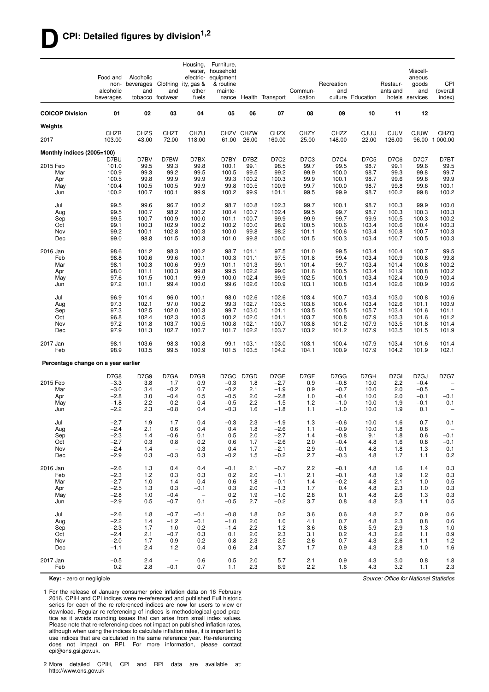#### **DCPI: Detailed figures by division1,2**

|                                     | Food and<br>non-<br>alcoholic<br>beverages | Alcoholic<br>beverages<br>and | Clothing<br>and<br>tobacco footwear | Housing,<br>ity, gas &<br>other<br>fuels | Furniture.<br>water, household<br>electric- equipment<br>& routine<br>mainte- |                    | nance Health Transport | Commun-<br>ication   | Recreation<br>and | culture Education | Restaur-<br>ants and  | Miscell-<br>aneous<br>goods<br>and<br>hotels services | CPI<br>(overall<br>index)          |
|-------------------------------------|--------------------------------------------|-------------------------------|-------------------------------------|------------------------------------------|-------------------------------------------------------------------------------|--------------------|------------------------|----------------------|-------------------|-------------------|-----------------------|-------------------------------------------------------|------------------------------------|
| <b>COICOP Division</b>              | 01                                         | 02                            | 03                                  | 04                                       | 05                                                                            | 06                 | 07                     | 08                   | 09                | 10                | 11                    | 12                                                    |                                    |
| Weights                             |                                            |                               |                                     |                                          |                                                                               |                    |                        |                      |                   |                   |                       |                                                       |                                    |
| 2017                                | CHZR<br>103.00                             | <b>CHZS</b><br>43.00          | CHZT<br>72.00                       | CHZU<br>118.00                           | 61.00                                                                         | CHZV CHZW<br>26.00 | <b>CHZX</b><br>160.00  | <b>CHZY</b><br>25.00 | CHZZ<br>148.00    | CJUU<br>22.00     | <b>CJUV</b><br>126.00 | <b>CJUW</b>                                           | CHZQ<br>96.00 1 000.00             |
| Monthly indices (2005=100)          |                                            |                               |                                     |                                          |                                                                               |                    |                        |                      |                   |                   |                       |                                                       |                                    |
| 2015 Feb                            | D7BU<br>101.0                              | D7BV<br>99.5                  | D7BW<br>99.3                        | D7BX<br>99.8                             | D7BY<br>100.1                                                                 | D7BZ<br>99.1       | D7C2<br>98.5           | D7C3<br>99.7         | D7C4<br>99.5      | D7C5<br>98.7      | D7C6<br>99.1          | <b>D7C7</b><br>99.6                                   | D7BT<br>99.5                       |
| Mar                                 | 100.9                                      | 99.3                          | 99.2                                | 99.5                                     | 100.5                                                                         | 99.5               | 99.2                   | 99.9                 | 100.0             | 98.7              | 99.3                  | 99.8                                                  | 99.7                               |
| Apr                                 | 100.5                                      | 99.8                          | 99.9                                | 99.9                                     | 99.3                                                                          | 100.2              | 100.3                  | 99.9                 | 100.1             | 98.7              | 99.6                  | 99.8                                                  | 99.9                               |
| May<br>Jun                          | 100.4<br>100.2                             | 100.5<br>100.7                | 100.5<br>100.1                      | 99.9<br>99.9                             | 99.8<br>100.2                                                                 | 100.5<br>99.9      | 100.9<br>101.1         | 99.7<br>99.5         | 100.0<br>99.9     | 98.7<br>98.7      | 99.8<br>100.2         | 99.6<br>99.8                                          | 100.1<br>100.2                     |
| Jul                                 | 99.5                                       | 99.6                          | 96.7                                | 100.2                                    | 98.7                                                                          | 100.8              | 102.3                  | 99.7                 | 100.1             | 98.7              | 100.3                 | 99.9                                                  | 100.0                              |
| Aug                                 | 99.5                                       | 100.7                         | 98.2                                | 100.2                                    | 100.4                                                                         | 100.7              | 102.4                  | 99.5                 | 99.7              | 98.7              | 100.3                 | 100.3                                                 | 100.3                              |
| Sep                                 | 99.5                                       | 100.7                         | 100.9                               | 100.0                                    | 101.1                                                                         | 100.7              | 99.9                   | 99.9                 | 99.7              | 99.9              | 100.5                 | 100.3                                                 | 100.2                              |
| Oct<br>Nov                          | 99.1<br>99.2                               | 100.3<br>100.1                | 102.9<br>102.8                      | 100.2<br>100.3                           | 100.2<br>100.0                                                                | 100.0<br>99.8      | 98.9<br>98.2           | 100.5<br>101.1       | 100.6<br>100.6    | 103.4<br>103.4    | 100.6<br>100.8        | 100.4<br>100.7                                        | 100.3<br>100.3                     |
| Dec                                 | 99.0                                       | 98.8                          | 101.5                               | 100.3                                    | 101.0                                                                         | 99.8               | 100.0                  | 101.5                | 100.3             | 103.4             | 100.7                 | 100.5                                                 | 100.3                              |
| 2016 Jan                            | 98.6                                       | 101.2                         | 98.3                                | 100.2                                    | 98.7                                                                          | 101.1              | 97.5                   | 101.0                | 99.5              | 103.4             | 100.4                 | 100.7                                                 | 99.5                               |
| Feb                                 | 98.8                                       | 100.6                         | 99.6                                | 100.1                                    | 100.3                                                                         | 101.1              | 97.5                   | 101.8                | 99.4              | 103.4             | 100.9                 | 100.8                                                 | 99.8                               |
| Mar                                 | 98.1                                       | 100.3                         | 100.6                               | 99.9                                     | 101.1                                                                         | 101.3              | 99.1                   | 101.4                | 99.7              | 103.4             | 101.4                 | 100.8                                                 | 100.2                              |
| Apr<br>May                          | 98.0<br>97.6                               | 101.1<br>101.5                | 100.3<br>100.1                      | 99.8<br>99.9                             | 99.5<br>100.0                                                                 | 102.2<br>102.4     | 99.0<br>99.9           | 101.6<br>102.5       | 100.5<br>100.1    | 103.4<br>103.4    | 101.9<br>102.4        | 100.8<br>100.9                                        | 100.2<br>100.4                     |
| Jun                                 | 97.2                                       | 101.1                         | 99.4                                | 100.0                                    | 99.6                                                                          | 102.6              | 100.9                  | 103.1                | 100.8             | 103.4             | 102.6                 | 100.9                                                 | 100.6                              |
| Jul                                 | 96.9                                       | 101.4                         | 96.0                                | 100.1                                    | 98.0                                                                          | 102.6              | 102.6                  | 103.4                | 100.7             | 103.4             | 103.0                 | 100.8                                                 | 100.6                              |
| Aug                                 | 97.3                                       | 102.1                         | 97.0                                | 100.2                                    | 99.3                                                                          | 102.7              | 103.5                  | 103.6                | 100.4             | 103.4             | 102.6                 | 101.1                                                 | 100.9                              |
| Sep<br>Oct                          | 97.3<br>96.8                               | 102.5<br>102.4                | 102.0<br>102.3                      | 100.3<br>100.5                           | 99.7<br>100.2                                                                 | 103.0<br>102.0     | 101.1<br>101.1         | 103.5<br>103.7       | 100.5<br>100.8    | 105.7<br>107.9    | 103.4<br>103.3        | 101.6<br>101.6                                        | 101.1<br>101.2                     |
| Nov                                 | 97.2                                       | 101.8                         | 103.7                               | 100.5                                    | 100.8                                                                         | 102.1              | 100.7                  | 103.8                | 101.2             | 107.9             | 103.5                 | 101.8                                                 | 101.4                              |
| Dec                                 | 97.9                                       | 101.3                         | 102.7                               | 100.7                                    | 101.7                                                                         | 102.2              | 103.7                  | 103.2                | 101.2             | 107.9             | 103.5                 | 101.5                                                 | 101.9                              |
| 2017 Jan<br>Feb                     | 98.1<br>98.9                               | 103.6<br>103.5                | 98.3<br>99.5                        | 100.8<br>100.9                           | 99.1<br>101.5                                                                 | 103.1<br>103.5     | 103.0<br>104.2         | 103.1<br>104.1       | 100.4<br>100.9    | 107.9<br>107.9    | 103.4<br>104.2        | 101.6<br>101.9                                        | 101.4<br>102.1                     |
| Percentage change on a year earlier |                                            |                               |                                     |                                          |                                                                               |                    |                        |                      |                   |                   |                       |                                                       |                                    |
|                                     | <b>D7G8</b>                                | D7G9                          | D7GA                                | D7GB                                     | D7GC                                                                          | D7GD               | D7GE                   | D7GF                 | D7GG              | D7GH              | D7GI                  | D7GJ                                                  | <b>D7G7</b>                        |
| 2015 Feb                            | $-3.3$                                     | 3.8                           | 1.7                                 | 0.9                                      | $-0.3$                                                                        | 1.8                | $-2.7$                 | 0.9                  | $-0.8$            | 10.0              | 2.2                   | $-0.4$                                                | $\qquad \qquad -$                  |
| Mar<br>Apr                          | $-3.0$<br>$-2.8$                           | 3.4<br>3.0                    | $-0.2$<br>$-0.4$                    | 0.7<br>0.5                               | $-0.2$<br>$-0.5$                                                              | 2.1<br>2.0         | $-1.9$<br>$-2.8$       | 0.9<br>1.0           | $-0.7$<br>$-0.4$  | 10.0<br>10.0      | 2.0<br>2.0            | $-0.5$<br>$-0.1$                                      | $\overline{\phantom{a}}$<br>$-0.1$ |
| May                                 | $-1.8$                                     | 2.2                           | 0.2                                 | 0.4                                      | $-0.5$                                                                        | 2.2                | $-1.5$                 | 1.2                  | $-1.0$            | 10.0              | 1.9                   | $-0.1$                                                | 0.1                                |
| Jun                                 | $-2.2$                                     | 2.3                           | $-0.8$                              | 0.4                                      | $-0.3$                                                                        | 1.6                | $-1.8$                 | 1.1                  | $-1.0$            | 10.0              | 1.9                   | 0.1                                                   | $\overline{\phantom{m}}$           |
| Jul                                 | $-2.7$                                     | 1.9                           | 1.7                                 | 0.4                                      | $-0.3$                                                                        | 2.3                | $-1.9$                 | 1.3                  | $-0.6$            | 10.0              | 1.6                   | 0.7                                                   | 0.1                                |
| Aug<br>Sep                          | -2.4<br>$-2.3$                             | 2.1<br>1.4                    | 0.6<br>$-0.6$                       | V.4<br>0.1                               | 0.4<br>0.5                                                                    | 1.8<br>2.0         | $-2.6$<br>$-2.7$       | 1.1<br>1.4           | $-0.9$<br>$-0.8$  | 10.0<br>9.1       | 1.8<br>1.8            | 0.8<br>0.6                                            | $\overline{\phantom{m}}$<br>$-0.1$ |
| Oct                                 | $-2.7$                                     | 0.3                           | 0.8                                 | 0.2                                      | 0.6                                                                           | 1.7                | $-2.6$                 | 2.0                  | $-0.4$            | 4.8               | 1.6                   | 0.8                                                   | $-0.1$                             |
| Nov                                 | $-2.4$                                     | 1.4                           | $\overline{\phantom{a}}$            | 0.3                                      | 0.4                                                                           | 1.7                | $-2.1$                 | 2.9                  | $-0.1$            | 4.8               | 1.8                   | 1.3                                                   | 0.1                                |
| Dec                                 | $-2.9$                                     | 0.3                           | $-0.3$                              | 0.3                                      | $-0.2$                                                                        | 1.5                | $-0.2$                 | 2.7                  | $-0.3$            | 4.8               | 1.7                   | 1.1                                                   | 0.2                                |
| 2016 Jan                            | $-2.6$                                     | 1.3                           | 0.4                                 | 0.4                                      | $-0.1$                                                                        | 2.1                | $-0.7$                 | 2.2                  | $-0.1$            | 4.8               | 1.6                   | 1.4                                                   | 0.3                                |
| Feb<br>Mar                          | $-2.3$<br>$-2.7$                           | 1.2<br>1.0                    | 0.3<br>1.4                          | 0.3<br>0.4                               | 0.2<br>0.6                                                                    | 2.0<br>1.8         | $-1.1$<br>$-0.1$       | 2.1<br>1.4           | $-0.1$<br>$-0.2$  | 4.8<br>4.8        | 1.9<br>2.1            | 1.2<br>1.0                                            | 0.3<br>0.5                         |
| Apr                                 | $-2.5$                                     | 1.3                           | 0.3                                 | $-0.1$                                   | 0.3                                                                           | 2.0                | $-1.3$                 | 1.7                  | 0.4               | 4.8               | 2.3                   | 1.0                                                   | 0.3                                |
| May                                 | $-2.8$                                     | 1.0                           | $-0.4$                              | $\overline{\phantom{a}}$                 | 0.2                                                                           | 1.9                | $-1.0$                 | 2.8                  | 0.1               | 4.8               | 2.6                   | 1.3                                                   | 0.3                                |
| Jun                                 | $-2.9$                                     | 0.5                           | $-0.7$                              | 0.1                                      | $-0.5$                                                                        | 2.7                | $-0.2$                 | 3.7                  | 0.8               | 4.8               | 2.3                   | 1.1                                                   | 0.5                                |
| Jul                                 | $-2.6$                                     | 1.8                           | $-0.7$                              | $-0.1$                                   | $-0.8$                                                                        | 1.8                | 0.2                    | 3.6                  | 0.6               | 4.8               | 2.7                   | 0.9                                                   | 0.6                                |
| Aug<br>Sep                          | $-2.2$<br>$-2.3$                           | 1.4<br>1.7                    | $-1.2$<br>1.0                       | $-0.1$<br>0.2                            | $-1.0$<br>$-1.4$                                                              | 2.0<br>2.2         | 1.0<br>$1.2$           | 4.1<br>3.6           | 0.7<br>0.8        | 4.8<br>5.9        | 2.3<br>2.9            | 0.8<br>1.3                                            | 0.6<br>1.0                         |
| Oct                                 | $-2.4$                                     | 2.1                           | $-0.7$                              | 0.3                                      | 0.1                                                                           | 2.0                | 2.3                    | 3.1                  | 0.2               | 4.3               | 2.6                   | 1.1                                                   | 0.9                                |
| Nov                                 | $-2.0$                                     | 1.7                           | 0.9                                 | 0.2                                      | 0.8                                                                           | 2.3                | 2.5                    | 2.6                  | 0.7               | 4.3               | 2.6                   | 1.1                                                   | 1.2                                |
| Dec                                 | $-1.1$                                     | 2.4                           | 1.2                                 | 0.4                                      | 0.6                                                                           | 2.4                | 3.7                    | 1.7                  | 0.9               | 4.3               | 2.8                   | 1.0                                                   | 1.6                                |
| 2017 Jan<br>Feb                     | $-0.5$<br>0.2                              | 2.4<br>2.8                    | $\overline{\phantom{a}}$<br>$-0.1$  | 0.6<br>0.7                               | 0.5<br>1.1                                                                    | 2.0<br>2.3         | 5.7<br>6.9             | 2.1<br>2.2           | 0.9<br>1.6        | 4.3<br>4.3        | 3.0<br>3.2            | 0.8<br>1.1                                            | 1.8<br>2.3                         |

**Key:** - zero or negligible

1 For the release of January consumer price inflation data on 16 February 2016, CPIH and CPI indices were re-referenced and published Full historic series for each of the re-referenced indices are now for users to view or download. Regular re-referencing of indices is methodological good practice as it avoids rounding issues that can arise from small index values. Please note that re-referencing does not impact on published inflation rates, although when using the indices to calculate inflation rates, it is important to use indices that are calculated in the same reference year. Re-referencing does not impact on RPI. For more information, please contact cpi@ons.gsi.gov.uk.

2 More detailed CPIH, CPI and RPI data are available at: http://www.ons.gov.uk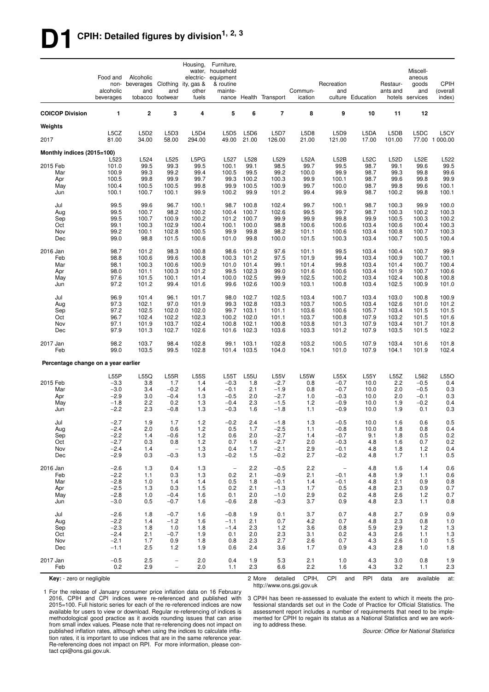# **D1 CPIH: Detailed figures by division1, 2, 3**

|                                     | Food and<br>non-<br>alcoholic<br>beverages | Alcoholic<br>beverages Clothing<br>and | and<br>tobacco footwear                       | Housing,<br>electric-<br>ity, gas &<br>other<br>fuels | Furniture,<br>water, household<br>equipment<br>& routine<br>mainte- |                | nance Health Transport | Commun-<br>ication | Recreation<br>and                  | culture Education | Restaur-<br>ants and | Miscell-<br>aneous<br>goods<br>and<br>hotels services | <b>CPIH</b><br>(overall<br>index) |
|-------------------------------------|--------------------------------------------|----------------------------------------|-----------------------------------------------|-------------------------------------------------------|---------------------------------------------------------------------|----------------|------------------------|--------------------|------------------------------------|-------------------|----------------------|-------------------------------------------------------|-----------------------------------|
| <b>COICOP Division</b>              | 1                                          | $\mathbf 2$                            | 3                                             | 4                                                     | 5                                                                   | 6              | $\overline{7}$         | 8                  | 9                                  | 10                | 11                   | 12                                                    |                                   |
| Weights                             |                                            |                                        |                                               |                                                       |                                                                     |                |                        |                    |                                    |                   |                      |                                                       |                                   |
| 2017                                | L5CZ<br>81.00                              | L5D <sub>2</sub><br>34.00              | L5D3<br>58.00                                 | L5D4<br>294.00                                        | L5D5<br>49.00                                                       | L5D6<br>21.00  | <b>L5D7</b><br>126.00  | L5D8<br>21.00      | L5D9<br>121.00                     | L5DA<br>17.00     | L5DB<br>101.00       | L5DC                                                  | L5CY<br>77.00 1 000.00            |
| Monthly indices (2015=100)          |                                            |                                        |                                               |                                                       |                                                                     |                |                        |                    |                                    |                   |                      |                                                       |                                   |
| 2015 Feb                            | L523<br>101.0                              | L524<br>99.5                           | L525<br>99.3                                  | L5PG<br>99.5                                          | L527<br>100.1                                                       | L528<br>99.1   | L529<br>98.5           | L52A<br>99.7       | L52B<br>99.5                       | L52C<br>98.7      | <b>L52D</b><br>99.1  | L52E<br>99.6                                          | L522<br>99.5                      |
| Mar                                 | 100.9                                      | 99.3                                   | 99.2                                          | 99.4                                                  | 100.5                                                               | 99.5           | 99.2                   | 100.0              | 99.9                               | 98.7              | 99.3                 | 99.8                                                  | 99.6                              |
| Apr<br>May                          | 100.5<br>100.4                             | 99.8<br>100.5                          | 99.9<br>100.5                                 | 99.7<br>99.8                                          | 99.3<br>99.9                                                        | 100.2<br>100.5 | 100.3<br>100.9         | 99.9<br>99.7       | 100.1<br>100.0                     | 98.7<br>98.7      | 99.6<br>99.8         | 99.8<br>99.6                                          | 99.9<br>100.1                     |
| Jun                                 | 100.1                                      | 100.7                                  | 100.1                                         | 99.9                                                  | 100.2                                                               | 99.9           | 101.2                  | 99.4               | 99.9                               | 98.7              | 100.2                | 99.8                                                  | 100.1                             |
| Jul                                 | 99.5                                       | 99.6                                   | 96.7                                          | 100.1                                                 | 98.7                                                                | 100.8          | 102.4                  | 99.7               | 100.1                              | 98.7              | 100.3                | 99.9                                                  | 100.0                             |
| Aug<br>Sep                          | 99.5<br>99.5                               | 100.7<br>100.7                         | 98.2<br>100.9                                 | 100.2<br>100.2                                        | 100.4<br>101.2                                                      | 100.7<br>100.7 | 102.6<br>99.9          | 99.5<br>99.9       | 99.7<br>99.8                       | 98.7<br>99.9      | 100.3<br>100.5       | 100.2<br>100.3                                        | 100.3<br>100.2                    |
| Oct                                 | 99.1                                       | 100.3                                  | 102.9                                         | 100.4                                                 | 100.1                                                               | 100.0          | 98.8                   | 100.6              | 100.6                              | 103.4             | 100.6                | 100.4                                                 | 100.3                             |
| Nov                                 | 99.2                                       | 100.1                                  | 102.8                                         | 100.5                                                 | 99.9                                                                | 99.8           | 98.2                   | 101.1              | 100.6                              | 103.4             | 100.8                | 100.7                                                 | 100.3                             |
| Dec                                 | 99.0                                       | 98.8                                   | 101.5                                         | 100.6                                                 | 101.0                                                               | 99.8           | 100.0                  | 101.5              | 100.3                              | 103.4             | 100.7                | 100.5                                                 | 100.4                             |
| 2016 Jan                            | 98.7                                       | 101.2                                  | 98.3                                          | 100.8                                                 | 98.6                                                                | 101.2          | 97.6                   | 101.1              | 99.5                               | 103.4             | 100.4                | 100.7                                                 | 99.9                              |
| Feb<br>Mar                          | 98.8<br>98.1                               | 100.6<br>100.3                         | 99.6<br>100.6                                 | 100.8<br>100.9                                        | 100.3<br>101.0                                                      | 101.2<br>101.4 | 97.5<br>99.1           | 101.9<br>101.4     | 99.4<br>99.8                       | 103.4<br>103.4    | 100.9<br>101.4       | 100.7<br>100.7                                        | 100.1<br>100.4                    |
| Apr                                 | 98.0                                       | 101.1                                  | 100.3                                         | 101.2                                                 | 99.5                                                                | 102.3          | 99.0                   | 101.6              | 100.6                              | 103.4             | 101.9                | 100.7                                                 | 100.6                             |
| May                                 | 97.6                                       | 101.5                                  | 100.1                                         | 101.4                                                 | 100.0                                                               | 102.5          | 99.9                   | 102.5              | 100.2                              | 103.4             | 102.4                | 100.8                                                 | 100.8                             |
| Jun                                 | 97.2                                       | 101.2                                  | 99.4                                          | 101.6                                                 | 99.6                                                                | 102.6          | 100.9                  | 103.1              | 100.8                              | 103.4             | 102.5                | 100.9                                                 | 101.0                             |
| Jul<br>Aug                          | 96.9<br>97.3                               | 101.4<br>102.1                         | 96.1<br>97.0                                  | 101.7<br>101.9                                        | 98.0<br>99.3                                                        | 102.7<br>102.8 | 102.5<br>103.3         | 103.4<br>103.7     | 100.7<br>100.5                     | 103.4<br>103.4    | 103.0<br>102.6       | 100.8<br>101.0                                        | 100.9<br>101.2                    |
| Sep                                 | 97.2                                       | 102.5                                  | 102.0                                         | 102.0                                                 | 99.7                                                                | 103.1          | 101.1                  | 103.6              | 100.6                              | 105.7             | 103.4                | 101.5                                                 | 101.5                             |
| Oct                                 | 96.7                                       | 102.4                                  | 102.2                                         | 102.3                                                 | 100.2                                                               | 102.0          | 101.1                  | 103.7              | 100.8                              | 107.9             | 103.2                | 101.5                                                 | 101.6                             |
| Nov<br>Dec                          | 97.1<br>97.9                               | 101.9<br>101.3                         | 103.7<br>102.7                                | 102.4<br>102.6                                        | 100.8<br>101.6                                                      | 102.1<br>102.3 | 100.8<br>103.6         | 103.8<br>103.3     | 101.3<br>101.2                     | 107.9<br>107.9    | 103.4<br>103.5       | 101.7<br>101.5                                        | 101.8<br>102.2                    |
| 2017 Jan                            | 98.2                                       | 103.7                                  | 98.4                                          | 102.8                                                 | 99.1                                                                | 103.1          | 102.8                  | 103.2              | 100.5                              | 107.9             | 103.4                | 101.6                                                 | 101.8                             |
| Feb                                 | 99.0                                       | 103.5                                  | 99.5                                          | 102.8                                                 | 101.4                                                               | 103.5          | 104.0                  | 104.1              | 101.0                              | 107.9             | 104.1                | 101.9                                                 | 102.4                             |
| Percentage change on a year earlier |                                            |                                        |                                               |                                                       |                                                                     |                |                        |                    |                                    |                   |                      |                                                       |                                   |
|                                     | L55P                                       | L55Q                                   | L55R                                          | <b>L55S</b>                                           | <b>L55T</b>                                                         | <b>L55U</b>    | <b>L55V</b>            | <b>L55W</b>        | L55X                               | <b>L55Y</b>       | L55Z                 | L562                                                  | L55O                              |
| 2015 Feb                            | $-3.3$                                     | 3.8                                    | 1.7                                           | 1.4                                                   | $-0.3$                                                              | 1.8            | $-2.7$                 | 0.8                | $-0.7$                             | 10.0              | 2.2                  | $-0.5$                                                | 0.4                               |
| Mar<br>Apr                          | $-3.0$<br>$-2.9$                           | 3.4<br>3.0                             | $-0.2$<br>$-0.4$                              | 1.4<br>1.3                                            | $-0.1$<br>$-0.5$                                                    | 2.1<br>2.0     | $-1.9$<br>$-2.7$       | 0.8<br>1.0         | $-0.7$<br>$-0.3$                   | 10.0<br>10.0      | 2.0<br>2.0           | $-0.5$<br>$-0.1$                                      | 0.3<br>0.3                        |
| May                                 | $-1.8$                                     | 2.2                                    | 0.2                                           | 1.3                                                   | $-0.4$                                                              | 2.3            | $-1.5$                 | 1.2                | $-0.9$                             | 10.0              | 1.9                  | $-0.2$                                                | 0.4                               |
| Jun                                 | $-2.2$                                     | 2.3                                    | $-0.8$                                        | 1.3                                                   | $-0.3$                                                              | 1.6            | $-1.8$                 | 1.1                | $-0.9$                             | 10.0              | 1.9                  | 0.1                                                   | 0.3                               |
| Jul                                 | $-2.7$                                     | 1.9                                    | 1.7                                           | 1.2                                                   | $-0.2$                                                              | 2.4            | $-1.8$                 | 1.3                | $-0.5$                             | 10.0              | 1.6                  | 0.6                                                   | 0.5                               |
| Aug                                 | $-2.4$                                     | 2.0                                    | 0.6                                           | 1.2                                                   | 0.5                                                                 | 1.7            | $-2.5$                 | 1.1                | $-0.8$                             | 10.0              | 1.8                  | 0.8                                                   | 0.4                               |
| Sep<br>Oct                          | $-2.2$<br>$-2.7$                           | 1.4<br>0.3                             | $-0.6$<br>0.8                                 | 1.2<br>1.2                                            | 0.6<br>0.7                                                          | 2.0<br>1.6     | $-2.7$<br>$-2.7$       | 1.4<br>2.0         | $-0.7$<br>$-0.3$                   | 9.1<br>4.8        | 1.8<br>1.6           | 0.5<br>0.7                                            | 0.2<br>0.2                        |
| Nov                                 | $-2.4$                                     | 1.4                                    | $\qquad \qquad -$                             | 1.3                                                   | 0.4                                                                 | 1.7            | $-2.1$                 | 2.9                | $-0.1$                             | 4.8               | 1.8                  | 1.2                                                   | 0.4                               |
| Dec                                 | $-2.9$                                     | 0.3                                    | $-0.3$                                        | 1.3                                                   | $-0.2$                                                              | 1.5            | $-0.2$                 | 2.7                | $-0.2$                             | 4.8               | 1.7                  | 1.1                                                   | 0.5                               |
| 2016 Jan<br>Feb                     | $-2.6$<br>$-2.2$                           | 1.3<br>1.1                             | 0.4<br>0.3                                    | 1.3<br>1.3                                            | $\overline{\phantom{a}}$<br>0.2                                     | 2.2<br>2.1     | $-0.5$<br>$-0.9$       | 2.2<br>2.1         | $\overline{\phantom{a}}$<br>$-0.1$ | 4.8<br>4.8        | 1.6<br>1.9           | 1.4<br>1.1                                            | 0.6                               |
| Mar                                 | $-2.8$                                     | 1.0                                    | 1.4                                           | 1.4                                                   | 0.5                                                                 | 1.8            | $-0.1$                 | 1.4                | $-0.1$                             | 4.8               | 2.1                  | 0.9                                                   | 0.6<br>0.8                        |
| Apr                                 | $-2.5$                                     | 1.3                                    | 0.3                                           | 1.5                                                   | 0.2                                                                 | 2.1            | $-1.3$                 | 1.7                | 0.5                                | 4.8               | 2.3                  | 0.9                                                   | 0.7                               |
| May                                 | $-2.8$                                     | 1.0                                    | $-0.4$                                        | 1.6                                                   | 0.1                                                                 | 2.0            | $-1.0$                 | 2.9                | 0.2                                | 4.8               | 2.6                  | 1.2                                                   | 0.7                               |
| Jun                                 | $-3.0$                                     | 0.5                                    | $-0.7$                                        | 1.6                                                   | $-0.6$                                                              | 2.8            | $-0.3$                 | 3.7                | 0.9                                | 4.8               | 2.3                  | 1.1                                                   | 0.8                               |
| Jul<br>Aug                          | $-2.6$<br>$-2.2$                           | 1.8<br>1.4                             | $-0.7$<br>$-1.2$                              | 1.6<br>1.6                                            | $-0.8$<br>$-1.1$                                                    | 1.9<br>2.1     | 0.1<br>0.7             | 3.7<br>4.2         | 0.7<br>0.7                         | 4.8<br>4.8        | 2.7<br>2.3           | 0.9<br>0.8                                            | 0.9<br>1.0                        |
| Sep                                 | $-2.3$                                     | 1.8                                    | 1.0                                           | 1.8                                                   | $-1.4$                                                              | 2.3            | 1.2                    | 3.6                | 0.8                                | 5.9               | 2.9                  | 1.2                                                   | 1.3                               |
| Oct                                 | $-2.4$                                     | 2.1                                    | $-0.7$                                        | 1.9                                                   | 0.1                                                                 | 2.0            | 2.3                    | 3.1                | 0.2                                | 4.3               | 2.6                  | 1.1                                                   | 1.3                               |
| Nov<br>Dec                          | $-2.1$<br>$-1.1$                           | 1.7<br>2.5                             | 0.9<br>1.2                                    | 1.8<br>1.9                                            | 0.8<br>0.6                                                          | 2.3<br>2.4     | 2.7<br>3.6             | 2.6<br>1.7         | 0.7<br>0.9                         | 4.3<br>4.3        | 2.6<br>2.8           | 1.0<br>1.0                                            | $1.5$<br>1.8                      |
|                                     |                                            |                                        |                                               |                                                       |                                                                     |                |                        |                    |                                    |                   |                      |                                                       |                                   |
| 2017 Jan<br>Feb                     | $-0.5$<br>0.2                              | 2.5<br>2.9                             | $\overline{\phantom{a}}$<br>$\qquad \qquad -$ | 2.0<br>2.0                                            | 0.4<br>1.1                                                          | 1.9<br>2.3     | 5.3<br>6.6             | 2.1<br>2.2         | 1.0<br>1.6                         | 4.3<br>4.3        | 3.0<br>3.2           | 0.8<br>1.1                                            | 1.9<br>2.3                        |
| Key: - zero or negligible           |                                            |                                        |                                               |                                                       |                                                                     | 2 More         | detailed               | CPIH,              | CPI                                | RPI<br>and        | data                 | available<br>are                                      | at:                               |

http://www.ons.gsi.gov.uk

1 For the release of January consumer price inflation data on 16 February 2016, CPIH and CPI indices were re-referenced and published with 2015=100. Full historic series for each of the re-referenced indices are now available for users to view or download. Regular re-referencing of indices is methodological good practice as it avoids rounding issues that can arise from small index values. Please note that re-referencing does not impact on published inflation rates, although when using the indices to calculate inflation rates, it is important to use indices that are in the same reference year. Re-referencing does not impact on RPI. For more information, please contact cpi@ons.gsi.gov.uk.

3 CPIH has been re-assessed to evaluate the extent to which it meets the professional standards set out in the Code of Practice for Official Statistics. The assessment report includes a number of requirements that need to be implemented for CPIH to regain its status as a National Statistics and we are working to address these.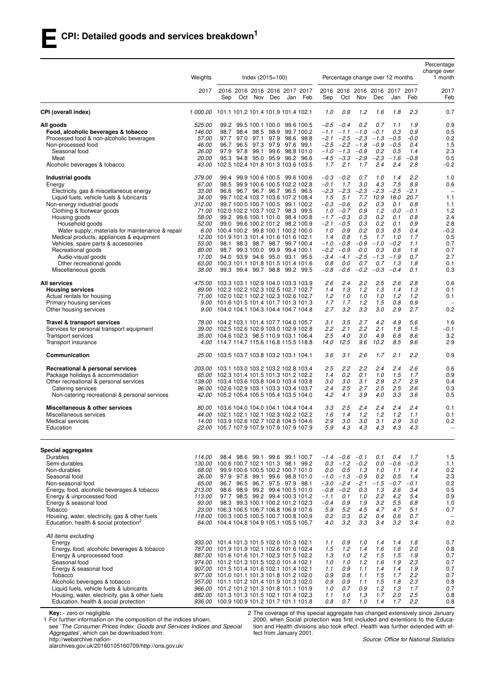|                                                                                                                                                                                                                                                                                                                                                                                                      | Weights                                                                                                                                 | Index $(2015=100)$<br>Percentage change over 12 months                                                                                                                                                                                                                                                                                                                                                                                                                                                                                                                                                                                                                                                                                                                                                                                                                                                                                                              | Percentage<br>change over<br>1 month                                                                                                                                                                                                                                                |
|------------------------------------------------------------------------------------------------------------------------------------------------------------------------------------------------------------------------------------------------------------------------------------------------------------------------------------------------------------------------------------------------------|-----------------------------------------------------------------------------------------------------------------------------------------|---------------------------------------------------------------------------------------------------------------------------------------------------------------------------------------------------------------------------------------------------------------------------------------------------------------------------------------------------------------------------------------------------------------------------------------------------------------------------------------------------------------------------------------------------------------------------------------------------------------------------------------------------------------------------------------------------------------------------------------------------------------------------------------------------------------------------------------------------------------------------------------------------------------------------------------------------------------------|-------------------------------------------------------------------------------------------------------------------------------------------------------------------------------------------------------------------------------------------------------------------------------------|
|                                                                                                                                                                                                                                                                                                                                                                                                      | 2017                                                                                                                                    | 2016 2016 2016 2016 2017 2017<br>2016 2016 2016 2016 2017 2017<br>Oct Nov Dec<br>Feb<br>Oct<br>Nov<br>Dec<br>Sep<br>Jan<br>Sep                                                                                                                                                                                                                                                                                                                                                                                                                                                                                                                                                                                                                                                                                                                                                                                                                                      | 2017<br>Feb<br>Feb<br>Jan                                                                                                                                                                                                                                                           |
| CPI (overall index)                                                                                                                                                                                                                                                                                                                                                                                  |                                                                                                                                         | 1 000.00 101.1 101.2 101.4 101.9 101.4 102.1<br>1.0<br>0.9<br>1.2<br>1.6                                                                                                                                                                                                                                                                                                                                                                                                                                                                                                                                                                                                                                                                                                                                                                                                                                                                                            | 1.8<br>2.3<br>0.7                                                                                                                                                                                                                                                                   |
| All goods<br>Food, alcoholic beverages & tobacco<br>Processed food & non-alcoholic beverages<br>Non-processed food<br>Seasonal food<br>Meat<br>Alcoholic beverages & tobacco                                                                                                                                                                                                                         | 525.00<br>146.00<br><i>57.00</i><br>46.00<br><i>26.00</i><br>20.00<br>43.00                                                             | 99.2 99.5 100.1 100.0 99.6 100.5<br>$-0.5 -0.4$<br>0.2<br>0.7<br>98.7<br>98.4 98.5 98.9<br>99.7 100.2<br>$-1.1$<br>$-1.1 - 1.0$<br>$-0.1$<br>97.0 97.1<br>97.9<br>$-2.1 -2.5$<br>$-2.3$<br>$-0.5$<br>97.7<br>98.6 98.8<br>$-1.3$<br>96.5 97.3 97.9 97.6 99.1<br>$-2.5 -2.2$<br>$-1.8$<br>$-0.9$<br>$-0.5$<br>96.7<br>97.9 97.8 99.1<br>99.6<br>98.8 101.0<br>$-1.0$ $-1.3$ $-0.9$<br>0.2<br>95.3 94.8 95.0 95.9<br>96.2 96.6<br>$-4.5$<br>$-3.3$<br>$-2.9$<br>$-2.3$<br>$-1.6$<br>2.1<br>102.5 102.4 101.8 101.3 103.6 103.5<br>1.7<br>1.7<br>2.4                                                                                                                                                                                                                                                                                                                                                                                                                   | 0.9<br>1.9<br>1.1<br>0.3<br>0.9<br>0.5<br>-0.0<br>0.2<br>1.5<br>0.4<br>2.3<br>0.5<br>1.4<br>$-0.8$<br>0.5<br>2.4<br>2.8<br>$-0.2$                                                                                                                                                   |
| Industrial goods<br>Energy<br>Electricity, gas & miscellaneous energy<br>Liquid fuels, vehicle fuels & lubricants<br>Non-energy industrial goods<br>Clothing & footwear goods<br>Housing goods<br>Household goods<br>Water supply; materials for maintenance & repair<br>Medical products, appliances & equipment<br>Vehicles, spare parts & accessories<br>Recreational goods<br>Audio-visual goods | 379.00<br>67.00<br>33.00<br>34.00<br>312.00<br>71.00<br><i>58.00</i><br><i>52.00</i><br>6.00<br>12.00<br><i>53.00</i><br>80.00<br>17.00 | 99.9 100.6 100.5 99.6 100.6<br>$-0.3$<br>$-0.2$<br>0.7<br>99.4<br>1.0<br>$-0.1$<br>1.7<br>3.0<br>4.3<br>98.5 99.9 100.6 100.5 102.2 102.8<br>$-2.3$<br>$-2.5$<br>96.6 96.7 96.7 96.7 96.5 96.5<br>$-2.3$<br>$-2.3$<br>$-2.3$<br>1.5<br>5.1<br>7.7<br>10.9<br>18.0<br>99.7 102.4 103.7 103.6 107.2 108.4<br>0.2<br>0.3<br>99.7 100.0 100.7 100.5 99.1 100.2<br>$-0.3 -0.6$<br>102.0 102.2 103.7 102.7 98.3 99.5<br>$1.0 -0.7$<br>0.9<br>1.2<br>$-1.7 -0.3$<br>0.2<br>99.2 99.6 100.1 101.0 98.4 100.8<br>0.3<br>$-2.1$<br>$-0.5$<br>0.3<br>0.2<br>99.0 99.6 100.2 101.2 98.2 100.9<br>100.4 100.2 99.8 100.1 100.2 100.0<br>1.0<br>0.9<br>0.2<br>0.3<br>0.8<br>1.5<br>1.7<br>101.9 101.3 101.4 101.6 101.6 102.1<br>1.4<br>-1.0<br>$-0.8$<br>$-0.9$<br>$-1.0$<br>$-0.2$<br>98.1 98.3 98.7 98.7 99.7 100.4<br>98.7 99.3 100.0 99.9 99.4 100.1<br>$-0.2$<br>$-0.9$<br>$-0.0$<br>0.3<br>94.0 93.9 94.6 95.0 93.1 95.5<br>$-3.4$<br>$-4.1$<br>$-2.5$<br>$-1.3$<br>$-1.9$ | 2.2<br>1.0<br>1.4<br>7.5<br>8.9<br>0.6<br>$-2.1$<br>$\overline{\phantom{m}}$<br>1.1<br>20.7<br>0.8<br>1.1<br>0.1<br>$-0.0$<br>$-0.1$<br>1.2<br>0.8<br>2.4<br>0.1<br>2.8<br>0.9<br>0.1<br>0.5<br>0.4<br>$-0.2$<br>1.0<br>1.7<br>0.5<br>1.1<br>0.7<br>0.6<br>1.6<br>0.7<br>0.7<br>2.7 |
| Other recreational goods<br>Miscellaneous goods<br>All services<br><b>Housing services</b><br>Actual rentals for housing<br>Primary housing services                                                                                                                                                                                                                                                 | 63.00<br>38.00<br>475.00<br>71.00<br>9.00                                                                                               | 0.8<br>0.0<br>0.7<br>0.7<br>100.3 101.1 101.8 101.5 101.4 101.6<br>$-0.2$<br>99.3 99.4 99.7 98.8 99.2 99.5<br>$-0.8$<br>$-0.6$<br>$-0.3$<br>$-0.4$<br>103.3 103.1 102.9 104.0 103.3 103.9<br>2.6<br>2.4<br>2.2<br>2.5<br>89.00 102.2 102.2 102.3 102.5 102.7 102.7<br>1.3<br>1.2<br>1.3<br>1.4<br>102.0 102.1 102.2 102.3 102.6 102.7<br>1.2<br>1.0<br>1.0<br>1.0<br>1.7<br>1.2<br>1.5<br>101.6 101.5 101.4 101.7 101.3 101.3<br>1.7                                                                                                                                                                                                                                                                                                                                                                                                                                                                                                                                | 1.8<br>0.1<br>1.3<br>0.1<br>0.3<br>2.8<br>0.6<br>2.6<br>1.4<br>1.3<br>0.1<br>1.2<br>1.2<br>0.1<br>0.8<br>0.9                                                                                                                                                                        |
| Other housing services<br>Travel & transport services<br>Services for personal transport equipment<br>Transport services<br>Transport insurance                                                                                                                                                                                                                                                      | 4.00                                                                                                                                    | 2.7<br>3.2<br>3.3<br>3.0<br>9.00 104.0 104.1 104.3 104.4 104.7 104.8<br>3.5<br>2.7<br>4.2<br>78.00 104.2 103.1 101.4 107.7 104.0 105.7<br>3.1<br>39.00 102.5 102.6 102.9 103.0 102.9 102.8<br>2.2<br>2.1<br>2.2<br>2.1<br>2.5<br>4.0<br>3.0<br>4.9<br>35.00 104.6 102.3 98.5 110.9 103.1 106.4<br>12.5<br>9.6<br>10.2<br>114.7 114.7 115.6 116.8 115.5 118.8<br>14.0                                                                                                                                                                                                                                                                                                                                                                                                                                                                                                                                                                                                | 2.9<br>2.7<br>0.2<br>1.6<br>4.9<br>5.6<br>1.8<br>1.5<br>$-0.1$<br>6.8<br>8.6<br>3.2<br>8.5<br>9.6<br>2.9                                                                                                                                                                            |
| Communication<br>Recreational & personal services<br>Package holidays & accommodation<br>Other recreational & personal services<br>Catering services<br>Non-catering recreational & personal services                                                                                                                                                                                                | <i>25.00</i><br><i>203.00</i><br>96.00<br>42.00                                                                                         | 3.1<br>2.6<br>103.5 103.7 103.8 103.2 103.1 104.1<br>3.6<br>1.7<br>2.2<br>2.2<br>2.4<br>103.1 103.0 103.2 103.2 102.8 103.4<br>2.5<br>0.2<br>0.1<br>1.0<br>65.00 102.3 101.4 101.5 101.3 101.2 102.2<br>1.4<br>3.0<br>3.1<br>2.9<br>138.00 103.4 103.6 103.8 104.0 103.4 103.8<br>3.0<br>2.5<br>2.7<br>2.5<br>102.6 102.9 103.1 103.3 103.4 103.7<br>2.4<br>4.2<br>4.1<br>3.9<br>105.2 105.4 105.5 105.4 103.5 104.0<br>4.0                                                                                                                                                                                                                                                                                                                                                                                                                                                                                                                                         | 2.1<br>2.2<br>0.9<br>2.4<br>2.6<br>0.6<br>1.5<br>1.7<br>0.9<br>2.9<br>2.7<br>0.4<br>2.5<br>2.6<br>0.3<br>3.3<br>3.6<br>0.5                                                                                                                                                          |
| Miscellaneous & other services<br>Miscellaneous services<br>Medical services<br>Education                                                                                                                                                                                                                                                                                                            | 80.00                                                                                                                                   | 2.5<br>2.4<br>2.4<br>103.6 104.0 104.0 104.1 104.4 104.4<br>3.3<br>1.2<br>1.2<br>44.00    102.1    102.1    102.1    102.3    102.2    102.2<br>1.6<br>1.4<br>2.9<br>3.0<br>3.0<br>14.00 103.9 102.6 102.7 102.8 104.5 104.6<br>3.1<br>5.9<br>22.00 105.7 107.9 107.9 107.9 107.9 107.9<br>4.3<br>4.3<br>4.3                                                                                                                                                                                                                                                                                                                                                                                                                                                                                                                                                                                                                                                        | 2.4<br>2.4<br>0.1<br>1.2<br>1.1<br>0.1<br>2.9<br>3.0<br>0.2<br>4.3<br>4.3<br>$\qquad \qquad -$                                                                                                                                                                                      |
| <b>Special aggregates</b><br>Durables<br>Semi-durables<br>Non-durables<br>Seasonal food<br>Non-seasonal food<br>Energy, food, alcoholic beverages & tobacco<br>Energy & unprocessed food<br>Energy & seasonal food<br>Tobacco<br>Housing, water, electricity, gas & other fuels<br>Education, health & social protection <sup>2</sup>                                                                | 114.00<br>130.00<br>68.00<br>26.00<br>65.00<br>213.00<br>113.00<br>93.00<br>23.00                                                       | 98.4 98.6 99.1 99.6 99.1 100.7<br>$-1.4$ $-0.6$ $-0.1$<br>0.1<br>100.6 100.7 102.1 101.3 98.1 99.2<br>0.3<br>$-1.2$<br>$-0.2$<br>0.0<br>$-0.6$<br>0.5<br>0.0<br>1.3<br>1.0<br>99.9 100.6 100.5 100.2 100.7 101.0<br>$-1.0 -1.3$<br>$-0.9$<br>97.9 97.8 99.1 99.6 98.8 101.0<br>0.2<br>96.7 96.5 96.7 97.5 97.9 98.1<br>$-3.0$<br>$-2.4$<br>$-2.1$<br>$-1.5$<br>$-0.7$<br>98.6 98.9 99.2 99.4 100.5 101.0<br>$-0.2$<br>$-0.8$<br>0.3<br>1.3<br>97.7 98.5 99.2 99.4 100.3 101.2<br>$-1.1$<br>0.1<br>1.0<br>$2.2\,$<br>98.3 99.3 100.1 100.2 101.2 102.3<br>$-0.4$<br>0.9<br>1.9<br>3.2<br>5.2<br>4.5<br>106.3 106.5 106.7 106.8 106.9 107.6<br>5.9<br>4.7<br>118.00 100.3 100.5 100.5 100.7 100.8 100.9<br>0.3<br>0.2<br>0.4<br>0.2<br>4.0<br>3.2<br>3.3<br>3.4<br>64.00 104.4 104.8 104.9 105.1 105.5 105.7                                                                                                                                                          | 0.4<br>1.7<br>1.5<br>$-0.3$<br>1.1<br>1.1<br>1.4<br>0.2<br>2.3<br>0.5<br>1.4<br>$-0.1$<br>0.2<br>3.4<br>0.5<br>2.6<br>4.2<br>5.4<br>0.9<br>5.5<br>6.8<br>1.0<br>4.7<br>5.1<br>0.7<br>0.6<br>0.7<br>0.2<br>3.2<br>3.4                                                                |
| All items excluding<br>Energy<br>Energy, food, alcoholic beverages & tobacco<br>Energy & unprocessed food<br>Seasonal food<br>Energy & seasonal food<br>Tobacco<br>Alcoholic beverages & tobacco<br>Liquid fuels, vehicle fuels & lubricants<br>Housing, water, electricity, gas & other fuels<br>Education, health & social protection                                                              |                                                                                                                                         | 933.00 101.4 101.3 101.5 102.0 101.3 102.1<br>1.1<br>0.9<br>1.0<br>1.4<br>1.5<br>1.2<br>1.4<br>1.6<br>787.00 101.9 101.9 102.1 102.6 101.6 102.4<br>1.2<br>1.5<br>887.00 101.6 101.6 101.7 102.3 101.5 102.2<br>1.3<br>1.0<br>1.0<br>974.00 101.2 101.3 101.5 102.0 101.4 102.1<br>1.0<br>1.2<br>1.6<br>907.00 101.5 101.4 101.6 102.1 101.4 102.1<br>0.9<br>1.1<br>1.4<br>1.1<br>977.00 101.0 101.1 101.3 101.8 101.2 102.0<br>0.8<br>1.5<br>0.9<br>1.1<br>0.9<br>1.1<br>1.5<br>957.00 101.1 101.2 101.4 101.9 101.3 102.0<br>0.9<br>0.7<br>0.9<br>966.00 101.2 101.2 101.3 101.8 101.1 101.9<br>1.0<br>1.2<br>882.00 101.3 101.3 101.5 102.1 101.4 102.3<br>1.3<br>1.7<br>1.1<br>1.0<br>936.00 100.9 100.9 101.2 101.7 101.1 101.8<br>0.8<br>0.7<br>1.0<br>1.4                                                                                                                                                                                                    | 1.4<br>1.8<br>0.7<br>2.0<br>1.6<br>0.8<br>0.7<br>1.5<br>1.9<br>2.3<br>0.7<br>1.9<br>1.9<br>1.4<br>0.7<br>1.7<br>2.2<br>0.7<br>1.8<br>2.3<br>0.8<br>1.3<br>1.7<br>0.7<br>2.5<br>2.0<br>0.8<br>1.7<br>2.2<br>0.8                                                                      |

**Key:** - zero or negligible

1 For further information on the composition of the indices shown,

see '*The Consumer Prices Index: Goods and Services Indices and Special Aggregates*', which can be downloaded from: http://webarchive.nation-

alarchives.gov.uk/20160105160709/http://ons.gov.uk/

2 The coverage of this special aggregate has changed extensively since January 2000, when Social protection was first included and extentions to the Education and Health divisions also took effect. Health was further extended with effect from January 2001.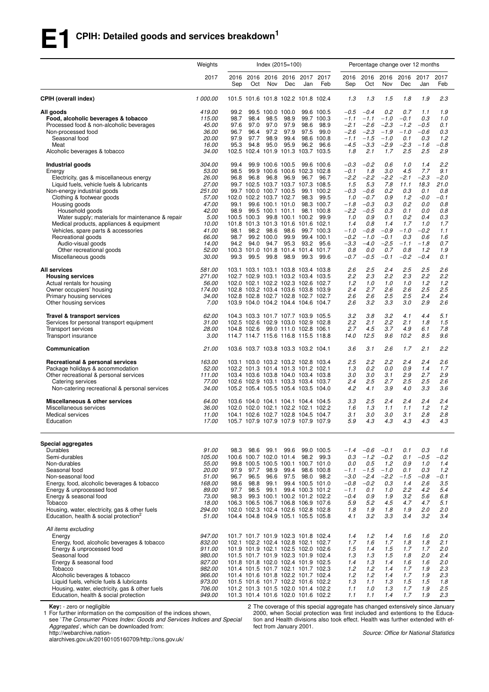## **E1 CPIH: Detailed goods and services breakdown<sup>1</sup>**

|                                                                                                                                                                                                                                                                                                                                                                                                      | Weights                                                                                                            | Index (2015=100)                                             |                                      |                                                                                   |                                                                                                                                                                                                                                                                                                                                                                                                    |                                                           |                                                                                                                  | Percentage change over 12 months                                                                                   |                                                                                                                    |                                                                                                     |                                                                                                   |                                                                                                      |                                                                                                |
|------------------------------------------------------------------------------------------------------------------------------------------------------------------------------------------------------------------------------------------------------------------------------------------------------------------------------------------------------------------------------------------------------|--------------------------------------------------------------------------------------------------------------------|--------------------------------------------------------------|--------------------------------------|-----------------------------------------------------------------------------------|----------------------------------------------------------------------------------------------------------------------------------------------------------------------------------------------------------------------------------------------------------------------------------------------------------------------------------------------------------------------------------------------------|-----------------------------------------------------------|------------------------------------------------------------------------------------------------------------------|--------------------------------------------------------------------------------------------------------------------|--------------------------------------------------------------------------------------------------------------------|-----------------------------------------------------------------------------------------------------|---------------------------------------------------------------------------------------------------|------------------------------------------------------------------------------------------------------|------------------------------------------------------------------------------------------------|
|                                                                                                                                                                                                                                                                                                                                                                                                      | 2017                                                                                                               | 2016<br>Sep                                                  | 2016<br>Oct                          | Nov                                                                               | 2016 2016<br>Dec                                                                                                                                                                                                                                                                                                                                                                                   | 2017<br>Jan                                               | 2017<br>Feb                                                                                                      | 2016<br>Sep                                                                                                        | 2016<br>Oct                                                                                                        | 2016<br>Nov                                                                                         | 2016<br>Dec                                                                                       | 2017<br>Jan                                                                                          | 2017<br>Feb                                                                                    |
| <b>CPIH (overall index)</b>                                                                                                                                                                                                                                                                                                                                                                          | 1 000.00                                                                                                           |                                                              |                                      |                                                                                   | 101.5 101.6 101.8 102.2 101.8 102.4                                                                                                                                                                                                                                                                                                                                                                |                                                           |                                                                                                                  | 1.3                                                                                                                | 1.3                                                                                                                | 1.5                                                                                                 | 1.8                                                                                               | 1.9                                                                                                  | 2.3                                                                                            |
| All goods<br>Food, alcoholic beverages & tobacco<br>Processed food & non-alcoholic beverages<br>Non-processed food                                                                                                                                                                                                                                                                                   | 419.00<br>115.00<br>45.00<br>36.00                                                                                 | 99.2<br>98.7<br>97.6<br>96.7                                 | 98.4<br>97.0<br>96.4                 | 99.5 100.0 100.0<br>98.5<br>97.0<br>97.2                                          | 98.9<br>97.9<br>97.9                                                                                                                                                                                                                                                                                                                                                                               | 98.6<br>97.5                                              | 99.6 100.5<br>99.7 100.3<br>98.9<br>99.0                                                                         | $-0.5$<br>$-1.1$<br>$-2.1$<br>$-2.6$                                                                               | $-0.4$<br>$-1.1$<br>$-2.6$<br>$-2.3$                                                                               | 0.2<br>$-1.0$<br>$-2.3$<br>$-1.9$                                                                   | 0.7<br>$-0.1$<br>$-1.2$<br>$-1.0$                                                                 | 1.1<br>0.3<br>$-0.5$<br>$-0.6$                                                                       | 1.9<br>1.0<br>0.1<br>0.3                                                                       |
| Seasonal food<br>Meat<br>Alcoholic beverages & tobacco                                                                                                                                                                                                                                                                                                                                               | 20.00<br>16.00<br>34.00                                                                                            | 97.9<br>95.3                                                 | 97.7<br>94.8                         | 98.9<br>95.0                                                                      | 99.4<br>95.9<br>102.5 102.4 101.9 101.3 103.7 103.5                                                                                                                                                                                                                                                                                                                                                | 96.2                                                      | 98.6 100.8<br>96.6                                                                                               | $-1.1$<br>$-4.5$<br>1.8                                                                                            | $-1.5$<br>$-3.3$<br>2.1                                                                                            | $-1.0$<br>$-2.9$<br>1.7                                                                             | 0.1<br>$-2.3$<br>2.5                                                                              | 0.3<br>$-1.6$<br>2.5                                                                                 | 1.2<br>$-0.8$<br>2.9                                                                           |
| Industrial goods<br>Energy<br>Electricity, gas & miscellaneous energy<br>Liquid fuels, vehicle fuels & lubricants<br>Non-energy industrial goods<br>Clothing & footwear goods<br>Housing goods<br>Household goods<br>Water supply; materials for maintenance & repair<br>Medical products, appliances & equipment<br>Vehicles, spare parts & accessories<br>Recreational goods<br>Audio-visual goods | 304.00<br>53.00<br>26.00<br>27.00<br>251.00<br>57.00<br>47.00<br>42.00<br>5.00<br>10.00<br>41.00<br>66.00<br>14.00 | 99.4<br>98.5<br>96.8<br>99.1<br>98.9<br>98.1<br>98.7<br>94.2 | 96.8<br>100.5 100.3<br>98.2<br>94.0  | 99.9 100.6 100.5<br>96.8<br>102.0 102.2 103.7 102.7<br>98.6<br>99.2 100.0<br>94.7 | 99.9 100.6 100.6 102.3 102.8<br>96.9<br>99.7 102.5 103.7 103.7 107.3 108.5<br>99.7 100.0 100.7 100.5<br>99.6 100.1 101.0<br>99.5 100.1 101.1<br>99.8 100.1 100.2<br>101.8 101.3 101.3 101.6 101.6 102.1<br>98.6<br>99.9<br>95.3                                                                                                                                                                    | 96.7<br>98.3<br>93.2                                      | 99.6 100.6<br>96.7<br>99.1 100.2<br>99.5<br>98.3 100.7<br>98.1 100.8<br>99.9<br>99.7 100.3<br>99.4 100.1<br>95.6 | $-0.3$<br>$-0.1$<br>$-2.2$<br>1.5<br>$-0.3$<br>1.0<br>$-1.8$<br>$-2.2$<br>1.0<br>1.4<br>$-1.0$<br>$-0.2$<br>$-3.3$ | $-0.2$<br>1.8<br>$-2.2$<br>5.3<br>$-0.6$<br>$-0.7$<br>$-0.3$<br>$-0.5$<br>0.9<br>0.8<br>$-0.8$<br>$-1.0$<br>$-4.0$ | 0.6<br>3.0<br>$-2.2$<br>7.8<br>0.2<br>0.9<br>0.3<br>0.3<br>0.1<br>1.4<br>$-0.9$<br>$-0.1$<br>$-2.5$ | 1.0<br>4.5<br>$-2.1$<br>11.1<br>0.3<br>1.2<br>0.2<br>0.1<br>0.2<br>1.7<br>$-1.0$<br>0.3<br>$-1.1$ | 1.4<br>7.7<br>$-2.3$<br>18.3<br>0.1<br>$-0.0$<br>0.0<br>0.0<br>0.4<br>1.0<br>$-0.2$<br>0.6<br>$-1.8$ | 2.2<br>9.1<br>$-2.0$<br>21.0<br>0.8<br>$-0.1$<br>0.8<br>0.8<br>0.3<br>1.7<br>1.1<br>1.6<br>0.7 |
| Other recreational goods<br>Miscellaneous goods<br><b>All services</b><br><b>Housing services</b><br>Actual rentals for housing<br>Owner occupiers' housing                                                                                                                                                                                                                                          | 52.00<br>30.00<br>581.00<br>271.00<br>56.00<br>174.00                                                              | 99.3                                                         | 99.5                                 | 99.8                                                                              | 100.3 101.0 101.8 101.4 101.4 101.7<br>98.9<br>103.1 103.1 103.1 103.8 103.4 103.8<br>102.7 102.9 103.1 103.2 103.4 103.5<br>102.0 102.1 102.2 102.3 102.6 102.7<br>102.8 103.2 103.4 103.6 103.8 103.9                                                                                                                                                                                            | 99.3                                                      | 99.6                                                                                                             | 0.8<br>$-0.7$<br>2.6<br>2.2<br>1.2<br>2.4                                                                          | 0.0<br>$-0.5$<br>2.5<br>2.3<br>1.0<br>2.7                                                                          | 0.7<br>$-0.1$<br>2.4<br>2.2<br>1.0<br>2.6                                                           | 0.8<br>$-0.2$<br>2.5<br>2.3<br>1.0<br>2.6                                                         | 1.2<br>$-0.4$<br>2.5<br>2.2<br>1.2<br>2.5                                                            | 1.9<br>0.1<br>2.6<br>2.2<br>1.2<br>2.5                                                         |
| Primary housing services<br>Other housing services<br>Travel & transport services<br>Services for personal transport equipment<br><b>Transport services</b><br>Transport insurance                                                                                                                                                                                                                   | 34.00<br>7.00<br>62.00<br>31.00<br>28.00<br>3.00                                                                   |                                                              |                                      |                                                                                   | 102.8 102.8 102.7 102.8 102.7 102.7<br>103.9 104.0 104.2 104.4 104.6 104.7<br>104.3 103.3 101.7 107.7 103.9 105.5<br>102.5 102.6 102.9 103.0 102.9 102.8<br>104.8 102.6 99.0 111.0 102.8 106.1<br>114.7 114.7 115.6 116.8 115.5 118.8                                                                                                                                                              |                                                           |                                                                                                                  | 2.6<br>2.6<br>3.2<br>2.2<br>2.7<br>14.0                                                                            | 2.6<br>3.2<br>3.8<br>2.1<br>4.5<br>12.5                                                                            | 2.5<br>3.3<br>3.2<br>2.2<br>3.7<br>9.6                                                              | 2.5<br>3.0<br>4.1<br>2.1<br>4.9<br>10.2                                                           | 2.4<br>2.9<br>4.4<br>1.8<br>6.1<br>8.5                                                               | 2.4<br>2.6<br>5.1<br>1.5<br>7.8<br>9.6                                                         |
| Communication                                                                                                                                                                                                                                                                                                                                                                                        | 21.00                                                                                                              |                                                              |                                      |                                                                                   | 103.6 103.7 103.8 103.3 103.2 104.1                                                                                                                                                                                                                                                                                                                                                                |                                                           |                                                                                                                  | 3.6                                                                                                                | 3.1                                                                                                                | 2.6                                                                                                 | 1.7                                                                                               | 2.1                                                                                                  | 2.2                                                                                            |
| Recreational & personal services<br>Package holidays & accommodation<br>Other recreational & personal services<br>Catering services<br>Non-catering recreational & personal services                                                                                                                                                                                                                 | 163.00<br>52.00<br>111.00<br>77.00<br>34.00                                                                        |                                                              |                                      |                                                                                   | 103.1 103.0 103.2 103.2 102.8 103.4<br>102.2 101.3 101.4 101.3 101.2 102.1<br>103.4 103.6 103.8 104.0 103.4 103.8<br>102.6 102.9 103.1 103.3 103.4 103.7<br>105.2 105.4 105.5 105.4 103.5 104.0                                                                                                                                                                                                    |                                                           |                                                                                                                  | 2.5<br>1.3<br>3.0<br>2.4<br>4.2                                                                                    | 2.2<br>0.2<br>3.0<br>2.5<br>4.1                                                                                    | 2.2<br>0.0<br>3.1<br>2.7<br>3.9                                                                     | 2.4<br>0.9<br>2.9<br>2.5<br>4.0                                                                   | 2.4<br>1.4<br>2.7<br>2.5<br>3.3                                                                      | 2.6<br>1.7<br>2.9<br>2.6<br>3.6                                                                |
| Miscellaneous & other services<br>Miscellaneous services<br>Medical services<br>Education                                                                                                                                                                                                                                                                                                            | 64.00<br>36.00<br>11.00<br>17.00                                                                                   |                                                              |                                      |                                                                                   | 103.6 104.0 104.1 104.1 104.4 104.5<br>102.0 102.0 102.1 102.2 102.1 102.2<br>104.1 102.6 102.7 102.8 104.5 104.7<br>105.7 107.9 107.9 107.9 107.9 107.9                                                                                                                                                                                                                                           |                                                           |                                                                                                                  | 3.3<br>1.6<br>3.1<br>5.9                                                                                           | 2.5<br>1.3<br>3.0<br>4.3                                                                                           | 2.4<br>1.1<br>3.0<br>4.3                                                                            | 2.4<br>1.1<br>3.1<br>4.3                                                                          | 2.4<br>1.2<br>2.8<br>4.3                                                                             | 2.4<br>1.2<br>2.8<br>4.3                                                                       |
| <b>Special aggregates</b><br>Durables<br>Semi-durables<br>Non-durables<br>Seasonal food<br>Non-seasonal food<br>Energy, food, alcoholic beverages & tobacco<br>Energy & unprocessed food<br>Energy & seasonal food<br>Tobacco<br>Housing, water, electricity, gas & other fuels<br>Education, health & social protection <sup>2</sup>                                                                | 91.00<br>105.00<br>55.00<br>20.00<br>51.00<br>168.00<br>89.00<br>73.00<br>18.00<br>294.00<br>51.00                 | 98.3<br>97.9<br>96.7<br>98.6<br>97.7<br>98.3                 | 98.6<br>97.7<br>96.5<br>98.8<br>98.5 | 99.1<br>98.9<br>96.6<br>99.1<br>99.1                                              | 99.6<br>100.6 100.7 102.0 101.4<br>99.8 100.5 100.5 100.1 100.7 101.0<br>99.4<br>99.3 100.1 100.2 101.2 102.2<br>106.3 106.5 106.7 106.8 106.9 107.6<br>102.0 102.3 102.4 102.6 102.8 102.8<br>104.4 104.8 104.9 105.1 105.5 105.8                                                                                                                                                                 | 98.2<br>97.5 98.0<br>99.4 100.5 101.0<br>99.4 100.3 101.2 | 99.0 100.5<br>99.3<br>98.6 100.8<br>98.2                                                                         | $-1.4$<br>0.3<br>0.0<br>$-1.1$<br>$-3.0$<br>$-0.8$<br>$-1.1$<br>$-0.4$<br>5.9<br>1.8<br>4.1                        | $-0.6$<br>$-1.2$<br>0.5<br>$-1.5$<br>$-2.4$<br>$-0.2$<br>0.1<br>0.9<br>5.2<br>1.9<br>3.2                           | $-0.1$<br>$-0.2$<br>1.2<br>$-1.0$<br>$-2.2$<br>0.3<br>1.0<br>1.9<br>4.5<br>1.8<br>3.3               | 0.1<br>0.1<br>0.9<br>0.1<br>$-1.5$<br>1.4<br>2.2<br>3.2<br>4.7<br>1.9<br>3.4                      | 0.3<br>$-0.5$<br>1.0<br>0.3<br>$-0.8$<br>2.6<br>4.2<br>5.6<br>4.7<br>2.0<br>3.2                      | 1.6<br>$-0.2$<br>1.4<br>1.2<br>-0.1<br>3.5<br>5.4<br>6.8<br>5.1<br>2.0<br>3.4                  |
| All items excluding<br>Energy<br>Energy, food, alcoholic beverages & tobacco<br>Energy & unprocessed food<br>Seasonal food<br>Energy & seasonal food<br>Tobacco<br>Alcoholic beverages & tobacco<br>Liquid fuels, vehicle fuels & lubricants<br>Housing, water, electricity, gas & other fuels<br>Education, health & social protection                                                              | 947.00<br>832.00<br>911.00<br>980.00<br>927.00<br>982.00<br>966.00<br>973.00<br>706.00<br>949.00                   |                                                              |                                      |                                                                                   | 101.7 101.7 101.9 102.3 101.8 102.4<br>102.1 102.2 102.4 102.8 102.1 102.7<br>101.9 101.9 102.1 102.5 102.0 102.6<br>101.5 101.7 101.9 102.3 101.9 102.4<br>101.8 101.8 102.0 102.4 101.9 102.5<br>101.4 101.5 101.7 102.1 101.7 102.3<br>101.4 101.6 101.8 102.2 101.7 102.4<br>101.5 101.6 101.7 102.2 101.6 102.2<br>101.2 101.3 101.5 102.0 101.4 102.2<br>101.3 101.4 101.6 102.0 101.6 102.2 |                                                           |                                                                                                                  | 1.4<br>1.7<br>1.5<br>1.3<br>1.4<br>1.2<br>1.2<br>1.3<br>1.1<br>1.1                                                 | 1.2<br>1.6<br>1.4<br>1.3<br>1.3<br>1.2<br>1.2<br>1.1<br>1.0<br>1.1                                                 | 1.4<br>1.7<br>1.5<br>1.5<br>1.4<br>1.4<br>1.4<br>1.3<br>1.3<br>1.4                                  | 1.6<br>1.8<br>1.7<br>1.8<br>1.6<br>1.7<br>1.7<br>1.5<br>1.7<br>1.7                                | 1.6<br>1.8<br>1.7<br>2.0<br>1.6<br>1.9<br>1.9<br>1.5<br>1.9<br>1.9                                   | 2.0<br>2.1<br>2.0<br>2.4<br>2.0<br>2.3<br>2.3<br>1.8<br>2.5<br>2.3                             |

**Key:** - zero or negligible

1 For further information on the composition of the indices shown,

see '*The Consumer Prices Index: Goods and Services Indices and Special Aggregates*', which can be downloaded from:

http://webarchive.nation-

alarchives.gov.uk/20160105160709/http://ons.gov.uk/

2 The coverage of this special aggregate has changed extensively since January 2000, when Social protection was first included and extentions to the Education and Health divisions also took effect. Health was further extended with effect from January 2001.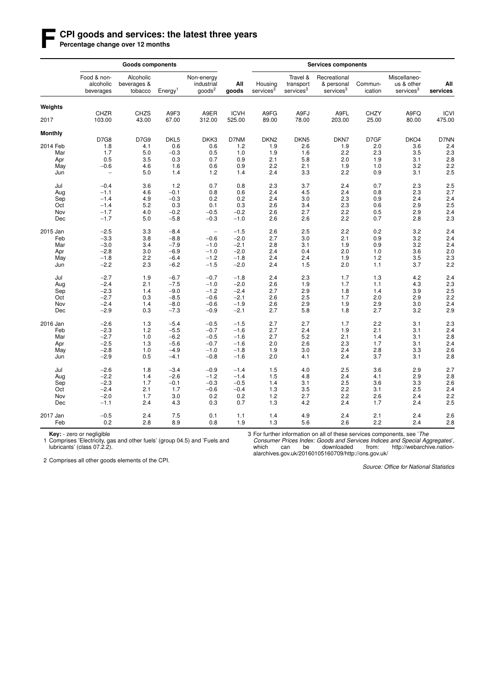#### **F CPI goods and services: the latest three years**

Percentage change over 12 months

|                | <b>Goods components</b>               |                                     |                     |                                               |                       | <b>Services components</b>       |                                                |                                                     |                      |                                                     |                       |  |  |
|----------------|---------------------------------------|-------------------------------------|---------------------|-----------------------------------------------|-----------------------|----------------------------------|------------------------------------------------|-----------------------------------------------------|----------------------|-----------------------------------------------------|-----------------------|--|--|
|                | Food & non-<br>alcoholic<br>beverages | Alcoholic<br>beverages &<br>tobacco | Energy <sup>1</sup> | Non-energy<br>industrial<br>$q$ oods ${}^{2}$ | All<br>goods          | Housing<br>services <sup>3</sup> | Travel &<br>transport<br>services <sup>3</sup> | Recreational<br>& personal<br>services <sup>3</sup> | Commun-<br>ication   | Miscellaneo-<br>us & other<br>services <sup>3</sup> | All<br>services       |  |  |
| Weights        |                                       |                                     |                     |                                               |                       |                                  |                                                |                                                     |                      |                                                     |                       |  |  |
| 2017           | CHZR<br>103.00                        | <b>CHZS</b><br>43.00                | A9F3<br>67.00       | A9ER<br>312.00                                | <b>ICVH</b><br>525.00 | A9FG<br>89.00                    | A9FJ<br>78.00                                  | A9FL<br>203.00                                      | <b>CHZY</b><br>25.00 | A9FQ<br>80.00                                       | <b>ICVI</b><br>475.00 |  |  |
| <b>Monthly</b> |                                       |                                     |                     |                                               |                       |                                  |                                                |                                                     |                      |                                                     |                       |  |  |
|                | D7G8                                  | D7G9                                | DKL <sub>5</sub>    | DKK3                                          | D7NM                  | DKN <sub>2</sub>                 | DKN <sub>5</sub>                               | DKN7                                                | D7GF                 | DKO4                                                | D7NN                  |  |  |
| 2014 Feb       | 1.8                                   | 4.1                                 | 0.6                 | 0.6                                           | 1.2                   | 1.9                              | 2.6                                            | 1.9                                                 | 2.0                  | 3.6                                                 | 2.4                   |  |  |
| Mar            | 1.7                                   | 5.0                                 | $-0.3$              | 0.5                                           | 1.0                   | 1.9                              | 1.6                                            | 2.2                                                 | 2.3                  | 3.5                                                 | 2.3                   |  |  |
| Apr            | 0.5                                   | 3.5                                 | 0.3                 | 0.7                                           | 0.9                   | 2.1                              | 5.8                                            | 2.0                                                 | 1.9                  | 3.1                                                 | 2.8                   |  |  |
| May            | $-0.6$                                | 4.6                                 | 1.6                 | 0.6                                           | 0.9                   | 2.2                              | 2.1                                            | 1.9                                                 | 1.0                  | 3.2                                                 | 2.2                   |  |  |
| Jun            | $\overline{\phantom{0}}$              | 5.0                                 | 1.4                 | $1.2$                                         | 1.4                   | 2.4                              | 3.3                                            | 2.2                                                 | 0.9                  | 3.1                                                 | 2.5                   |  |  |
| Jul            | $-0.4$                                | 3.6                                 | 1.2                 | 0.7                                           | 0.8                   | 2.3                              | 3.7                                            | 2.4                                                 | 0.7                  | 2.3                                                 | 2.5                   |  |  |
| Aug            | $-1.1$                                | 4.6                                 | $-0.1$              | 0.8                                           | 0.6                   | 2.4                              | 4.5                                            | 2.4                                                 | 0.8                  | 2.3                                                 | 2.7                   |  |  |
| Sep            | $-1.4$                                | 4.9                                 | $-0.3$              | 0.2                                           | 0.2                   | 2.4                              | 3.0                                            | 2.3                                                 | 0.9                  | 2.4                                                 | 2.4                   |  |  |
| Oct            | $-1.4$                                | 5.2                                 | 0.3                 | 0.1                                           | 0.3                   | 2.6                              | 3.4                                            | 2.3                                                 | 0.6                  | 2.9                                                 | 2.5                   |  |  |
| Nov            | $-1.7$                                | 4.0                                 | $-0.2$              | $-0.5$                                        | $-0.2$                | 2.6                              | 2.7                                            | 2.2                                                 | 0.5                  | 2.9                                                 | 2.4                   |  |  |
| Dec            | $-1.7$                                | 5.0                                 | $-5.8$              | $-0.3$                                        | $-1.0$                | 2.6                              | 2.6                                            | 2.2                                                 | 0.7                  | 2.8                                                 | 2.3                   |  |  |
| 2015 Jan       | $-2.5$                                | 3.3                                 | $-8.4$              | $\overline{\phantom{a}}$                      | $-1.5$                | 2.6                              | 2.5                                            | 2.2                                                 | 0.2                  | 3.2                                                 | 2.4                   |  |  |
| Feb            | $-3.3$                                | 3.8                                 | $-8.8$              | $-0.6$                                        | $-2.0$                | 2.7                              | 3.0                                            | 2.1                                                 | 0.9                  | 3.2                                                 | 2.4                   |  |  |
| Mar            | $-3.0$                                | 3.4                                 | $-7.9$              | $-1.0$                                        | $-2.1$                | 2.8                              | 3.1                                            | 1.9                                                 | 0.9                  | 3.2                                                 | 2.4                   |  |  |
| Apr            | $-2.8$                                | 3.0                                 | $-6.9$              | $-1.0$                                        | $-2.0$                | 2.4                              | 0.4                                            | 2.0                                                 | 1.0                  | 3.6                                                 | 2.0                   |  |  |
| May            | $-1.8$                                | 2.2                                 | $-6.4$              | $-1.2$                                        | $-1.8$                | 2.4                              | 2.4                                            | 1.9                                                 | 1.2                  | 3.5                                                 | 2.3                   |  |  |
| Jun            | $-2.2$                                | 2.3                                 | $-6.2$              | $-1.5$                                        | $-2.0$                | 2.4                              | 1.5                                            | 2.0                                                 | 1.1                  | 3.7                                                 | 2.2                   |  |  |
| Jul            | $-2.7$                                | 1.9                                 | $-6.7$              | $-0.7$                                        | $-1.8$                | 2.4                              | 2.3                                            | 1.7                                                 | 1.3                  | 4.2                                                 | 2.4                   |  |  |
| Aug            | $-2.4$                                | 2.1                                 | $-7.5$              | $-1.0$                                        | $-2.0$                | 2.6                              | 1.9                                            | 1.7                                                 | 1.1                  | 4.3                                                 | 2.3                   |  |  |
| Sep            | $-2.3$                                | 1.4                                 | $-9.0$              | $-1.2$                                        | $-2.4$                | 2.7                              | 2.9                                            | 1.8                                                 | 1.4                  | 3.9                                                 | 2.5                   |  |  |
| Oct            | $-2.7$                                | 0.3                                 | $-8.5$              | $-0.6$                                        | $-2.1$                | 2.6                              | 2.5                                            | 1.7                                                 | 2.0                  | 2.9                                                 | 2.2                   |  |  |
| Nov            | $-2.4$                                | 1.4                                 | $-8.0$              | $-0.6$                                        | $-1.9$                | 2.6                              | 2.9                                            | 1.9                                                 | 2.9                  | 3.0                                                 | 2.4                   |  |  |
| Dec            | $-2.9$                                | 0.3                                 | $-7.3$              | $-0.9$                                        | $-2.1$                | 2.7                              | 5.8                                            | 1.8                                                 | 2.7                  | 3.2                                                 | 2.9                   |  |  |
| 2016 Jan       | $-2.6$                                | 1.3                                 | $-5.4$              | $-0.5$                                        | $-1.5$                | 2.7                              | 2.7                                            | 1.7                                                 | 2.2                  | 3.1                                                 | 2.3                   |  |  |
| Feb            | $-2.3$                                | 1.2                                 | $-5.5$              | $-0.7$                                        | $-1.6$                | 2.7                              | 2.4                                            | 1.9                                                 | 2.1                  | 3.1                                                 | 2.4                   |  |  |
| Mar            | $-2.7$                                | 1.0                                 | $-6.2$              | $-0.5$                                        | $-1.6$                | 2.7                              | 5.2                                            | 2.1                                                 | 1.4                  | 3.1                                                 | 2.8                   |  |  |
| Apr            | $-2.5$                                | 1.3                                 | $-5.6$              | $-0.7$                                        | $-1.6$                | 2.0                              | 2.6                                            | 2.3                                                 | 1.7                  | 3.1                                                 | 2.4                   |  |  |
| May            | $-2.8$                                | 1.0                                 | $-4.9$              | $-1.0$                                        | $-1.8$                | 1.9                              | 3.0                                            | 2.4                                                 | 2.8                  | 3.3                                                 | 2.6                   |  |  |
| Jun            | $-2.9$                                | 0.5                                 | $-4.1$              | $-0.8$                                        | $-1.6$                | 2.0                              | 4.1                                            | 2.4                                                 | 3.7                  | 3.1                                                 | 2.8                   |  |  |
| Jul            | $-2.6$                                | 1.8                                 | $-3.4$              | $-0.9$                                        | $-1.4$                | 1.5                              | 4.0                                            | 2.5                                                 | 3.6                  | 2.9                                                 | 2.7                   |  |  |
| Aug            | $-2.2$                                | 1.4                                 | $-2.6$              | $-1.2$                                        | $-1.4$                | 1.5                              | 4.8                                            | 2.4                                                 | 4.1                  | 2.9                                                 | 2.8                   |  |  |
| Sep            | $-2.3$                                | 1.7                                 | $-0.1$              | $-0.3$                                        | $-0.5$                | 1.4                              | 3.1                                            | 2.5                                                 | 3.6                  | 3.3                                                 | 2.6                   |  |  |
| Oct            | $-2.4$                                | 2.1                                 | 1.7                 | $-0.6$                                        | $-0.4$                | 1.3                              | 3.5                                            | 2.2                                                 | 3.1                  | 2.5                                                 | 2.4                   |  |  |
| Nov            | $-2.0$                                | 1.7                                 | 3.0                 | 0.2                                           | 0.2                   | 1.2                              | 2.7                                            | 2.2                                                 | 2.6                  | 2.4                                                 | 2.2                   |  |  |
| Dec            | $-1.1$                                | 2.4                                 | 4.3                 | 0.3                                           | 0.7                   | 1.3                              | 4.2                                            | 2.4                                                 | 1.7                  | 2.4                                                 | 2.5                   |  |  |
| 2017 Jan       | $-0.5$                                | 2.4                                 | 7.5                 | 0.1                                           | 1.1                   | 1.4                              | 4.9                                            | 2.4                                                 | 2.1                  | 2.4                                                 | 2.6                   |  |  |
| Feb            | 0.2                                   | 2.8                                 | 8.9                 | 0.8                                           | 1.9                   | 1.3                              | 5.6                                            | 2.6                                                 | 2.2                  | 2.4                                                 | 2.8                   |  |  |

**Key:** - zero or negligible<br>1 Comprises 'Electricity, gas and other fuels' (group 04.5) and 'Fuels and lubricants' (class 07.2.2).

3 For further information on all of these services components, see 'The

*Consumer Prices Index: Goods and Services Indices and Special Aggregates*', which can be downloaded from: http://webarchive.nationalarchives.gov.uk/20160105160709/http://ons.gov.uk/

2 Comprises all other goods elements of the CPI.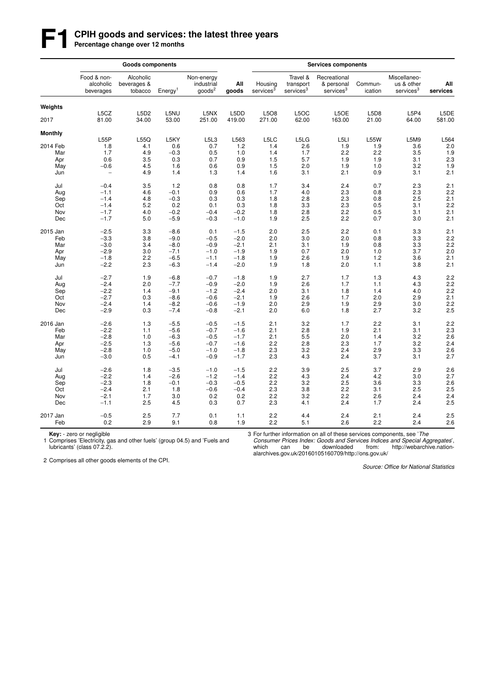## **F1 CPIH goods and services: the latest three years**<br>Percentage change over 12 months

|                |                                       | <b>Goods components</b>             |                     |                                          |              |                                  |                                                |                                                     |                    |                                                     |                  |
|----------------|---------------------------------------|-------------------------------------|---------------------|------------------------------------------|--------------|----------------------------------|------------------------------------------------|-----------------------------------------------------|--------------------|-----------------------------------------------------|------------------|
|                | Food & non-<br>alcoholic<br>beverages | Alcoholic<br>beverages &<br>tobacco | Energy <sup>1</sup> | Non-energy<br>industrial<br>$q$ oods $2$ | All<br>goods | Housing<br>services <sup>3</sup> | Travel &<br>transport<br>services <sup>3</sup> | Recreational<br>& personal<br>services <sup>3</sup> | Commun-<br>ication | Miscellaneo-<br>us & other<br>services <sup>3</sup> | All<br>services  |
| Weights        |                                       |                                     |                     |                                          |              |                                  |                                                |                                                     |                    |                                                     |                  |
|                | L5CZ                                  | L5D2                                | L5NU                | L5NX                                     | L5DD         | L5O8                             | L5OC                                           | L5OE                                                | L5D8               | L5P4                                                | L5DE             |
| 2017           | 81.00                                 | 34.00                               | 53.00               | 251.00                                   | 419.00       | 271.00                           | 62.00                                          | 163.00                                              | 21.00              | 64.00                                               | 581.00           |
| <b>Monthly</b> |                                       |                                     |                     |                                          |              |                                  |                                                |                                                     |                    |                                                     |                  |
|                | L55P                                  | L55Q                                | L5KY                | L5L3                                     | L563         | L5LC                             | L5LG                                           | L5LI                                                | <b>L55W</b>        | L5M9                                                | L564             |
| 2014 Feb       | 1.8                                   | 4.1                                 | 0.6                 | 0.7                                      | 1.2          | 1.4                              | 2.6                                            | 1.9                                                 | 1.9                | 3.6                                                 | 2.0              |
| Mar            | 1.7                                   | 4.9                                 | $-0.3$              | 0.5                                      | 1.0          | 1.4                              | 1.7                                            | 2.2                                                 | 2.2                | 3.5                                                 | 1.9              |
| Apr            | 0.6                                   | 3.5                                 | 0.3                 | 0.7                                      | 0.9          | 1.5                              | 5.7                                            | 1.9                                                 | 1.9                | 3.1                                                 | $2.\overline{3}$ |
| May            | $-0.6$                                | 4.5                                 | 1.6                 | 0.6                                      | 0.9          | 1.5                              | 2.0                                            | 1.9                                                 | 1.0                | 3.2                                                 | 1.9              |
| Jun            | $\overline{\phantom{0}}$              | 4.9                                 | 1.4                 | 1.3                                      | 1.4          | 1.6                              | 3.1                                            | 2.1                                                 | 0.9                | 3.1                                                 | 2.1              |
| Jul            | $-0.4$                                | 3.5                                 | 1.2                 | 0.8                                      | 0.8          | 1.7                              | 3.4                                            | 2.4                                                 | 0.7                | 2.3                                                 | 2.1              |
| Aug            | $-1.1$                                | 4.6                                 | $-0.1$              | 0.9                                      | 0.6          | 1.7                              | 4.0                                            | 2.3                                                 | 0.8                | $2.3\,$                                             | 2.2              |
| Sep            | $-1.4$                                | 4.8                                 | $-0.3$              | 0.3                                      | 0.3          | 1.8                              | 2.8                                            | 2.3                                                 | 0.8                | 2.5                                                 | 2.1              |
| Oct            | $-1.4$                                | 5.2                                 | 0.2                 | 0.1                                      | 0.3          | 1.8                              | 3.3                                            | 2.3                                                 | 0.5                | 3.1                                                 | 2.2              |
| Nov            | $-1.7$                                | 4.0                                 | $-0.2$              | $-0.4$                                   | $-0.2$       | 1.8                              | 2.8                                            | 2.2                                                 | 0.5                | 3.1                                                 | 2.1              |
| Dec            | $-1.7$                                | 5.0                                 | $-5.9$              | $-0.3$                                   | $-1.0$       | 1.9                              | 2.5                                            | 2.2                                                 | 0.7                | 3.0                                                 | 2.1              |
|                |                                       |                                     |                     |                                          |              |                                  |                                                |                                                     |                    |                                                     |                  |
| 2015 Jan       | $-2.5$                                | 3.3                                 | $-8.6$              | 0.1                                      | $-1.5$       | 2.0                              | 2.5                                            | 2.2                                                 | 0.1                | 3.3                                                 | 2.1              |
| Feb            | $-3.3$                                | 3.8                                 | $-9.0$              | $-0.5$                                   | $-2.0$       | 2.0                              | 3.0                                            | 2.0                                                 | 0.8                | 3.3                                                 | 2.2              |
| Mar            | $-3.0$                                | 3.4                                 | $-8.0$              | $-0.9$                                   | $-2.1$       | 2.1                              | 3.1                                            | 1.9                                                 | 0.8                | 3.3                                                 | 2.2              |
| Apr            | $-2.9$                                | 3.0                                 | $-7.1$              | $-1.0$                                   | $-1.9$       | 1.9                              | 0.7                                            | 2.0                                                 | 1.0                | 3.7                                                 | 2.0              |
| May            | $-1.8$                                | 2.2                                 | $-6.5$              | $-1.1$                                   | $-1.8$       | 1.9                              | 2.6                                            | 1.9                                                 | 1.2                | 3.6                                                 | 2.1              |
| Jun            | $-2.2$                                | 2.3                                 | $-6.3$              | $-1.4$                                   | $-2.0$       | 1.9                              | 1.8                                            | 2.0                                                 | 1.1                | 3.8                                                 | 2.1              |
|                |                                       |                                     |                     |                                          |              |                                  |                                                |                                                     |                    |                                                     |                  |
| Jul            | $-2.7$                                | 1.9                                 | $-6.8$              | $-0.7$                                   | $-1.8$       | 1.9                              | 2.7                                            | 1.7                                                 | 1.3                | 4.3                                                 | 2.2              |
| Aug            | $-2.4$                                | 2.0                                 | $-7.7$              | $-0.9$                                   | $-2.0$       | 1.9                              | 2.6                                            | 1.7                                                 | 1.1                | 4.3                                                 | 2.2              |
| Sep            | $-2.2$                                | 1.4                                 | $-9.1$              | $-1.2$                                   | $-2.4$       | 2.0                              | 3.1                                            | 1.8                                                 | 1.4                | 4.0                                                 | 2.2              |
| Oct            | $-2.7$                                | 0.3                                 | $-8.6$              | $-0.6$                                   | $-2.1$       | 1.9                              | 2.6                                            | 1.7                                                 | 2.0                | 2.9                                                 | 2.1              |
| Nov            | $-2.4$                                | 1.4                                 | $-8.2$              | $-0.6$                                   | $-1.9$       | 2.0                              | 2.9                                            | 1.9                                                 | 2.9                | 3.0                                                 | 2.2              |
| Dec            | $-2.9$                                | 0.3                                 | $-7.4$              | $-0.8$                                   | $-2.1$       | 2.0                              | 6.0                                            | 1.8                                                 | 2.7                | 3.2                                                 | 2.5              |
| 2016 Jan       | $-2.6$                                | 1.3                                 | $-5.5$              | $-0.5$                                   | $-1.5$       | 2.1                              | 3.2                                            | 1.7                                                 | 2.2                | 3.1                                                 | 2.2              |
| Feb            | $-2.2$                                | 1.1                                 | $-5.6$              | $-0.7$                                   | $-1.6$       | 2.1                              | 2.8                                            | 1.9                                                 | 2.1                | 3.1                                                 | 2.3              |
| Mar            | $-2.8$                                | 1.0                                 | $-6.3$              | $-0.5$                                   | $-1.7$       | 2.1                              | 5.5                                            | 2.0                                                 | 1.4                | 3.2                                                 | 2.6              |
| Apr            | $-2.5$                                | 1.3                                 | $-5.6$              | $-0.7$                                   | $-1.6$       | 2.2                              | 2.8                                            | 2.3                                                 | 1.7                | 3.2                                                 | 2.4              |
| May            | $-2.8$                                | 1.0                                 | $-5.0$              | $-1.0$                                   | $-1.8$       | 2.3                              | 3.2                                            | 2.4                                                 | 2.9                | 3.3                                                 | 2.6              |
| Jun            | $-3.0$                                | 0.5                                 | $-4.1$              | $-0.9$                                   | $-1.7$       | 2.3                              | 4.3                                            | 2.4                                                 | 3.7                | 3.1                                                 | 2.7              |
|                |                                       |                                     |                     |                                          |              |                                  |                                                |                                                     |                    |                                                     |                  |
| Jul            | $-2.6$                                | 1.8                                 | $-3.5$              | $-1.0$                                   | $-1.5$       | 2.2                              | 3.9                                            | 2.5                                                 | 3.7                | 2.9                                                 | 2.6              |
| Aug            | $-2.2$                                | 1.4                                 | $-2.6$              | $-1.2$                                   | $-1.4$       | 2.2                              | 4.3                                            | 2.4                                                 | 4.2                | 3.0                                                 | 2.7              |
| Sep            | $-2.3$                                | 1.8                                 | $-0.1$              | $-0.3$                                   | $-0.5$       | 2.2                              | 3.2                                            | 2.5                                                 | 3.6                | 3.3                                                 | 2.6              |
| Oct            | $-2.4$                                | 2.1                                 | 1.8                 | $-0.6$                                   | $-0.4$       | 2.3                              | 3.8                                            | 2.2                                                 | 3.1                | 2.5                                                 | 2.5              |
| Nov            | $-2.1$                                | 1.7                                 | 3.0                 | 0.2                                      | 0.2          | 2.2                              | 3.2                                            | 2.2                                                 | 2.6                | 2.4                                                 | 2.4              |
| Dec            | $-1.1$                                | 2.5                                 | 4.5                 | 0.3                                      | 0.7          | 2.3                              | 4.1                                            | 2.4                                                 | 1.7                | 2.4                                                 | 2.5              |
|                |                                       |                                     |                     |                                          |              |                                  |                                                |                                                     |                    |                                                     |                  |
| 2017 Jan       | $-0.5$                                | 2.5                                 | 7.7                 | 0.1                                      | 1.1          | 2.2                              | 4.4                                            | 2.4                                                 | 2.1                | 2.4                                                 | 2.5              |
| Feb            | 0.2                                   | 2.9                                 | 9.1                 | 0.8                                      | 1.9          | 2.2                              | 5.1                                            | 2.6                                                 | 2.2                | 2.4                                                 | 2.6              |

**Key:** - zero or negligible<br>1 Comprises 'Electricity, gas and other fuels' (group 04.5) and 'Fuels and lubricants' (class 07.2.2).

3 For further information on all of these services components, see 'The

*Consumer Prices Index: Goods and Services Indices and Special Aggregates*', which can be downloaded from: http://webarchive.nationalarchives.gov.uk/20160105160709/http://ons.gov.uk/

2 Comprises all other goods elements of the CPI.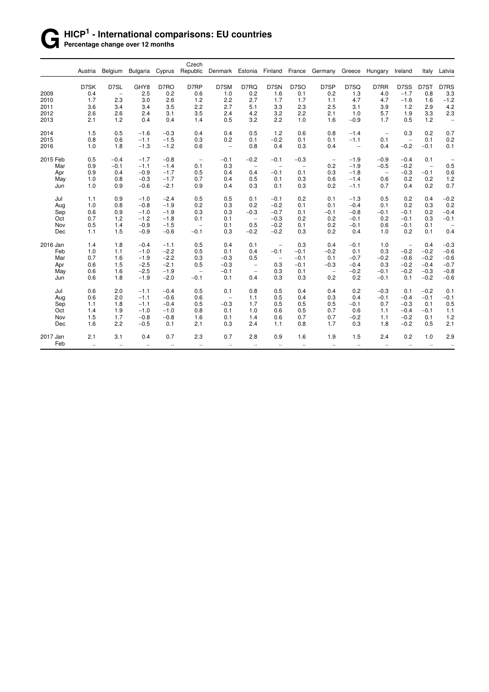#### **G HICP<sup>1</sup> - International comparisons: EU countries Percentage change over 12 months**

| Republic<br>Denmark Estonia<br>Finland<br>France<br>Austria<br>Belgium<br><b>Bulgaria</b><br>Cyprus<br>Germany<br>Greece<br>Hungary<br>Ireland<br>Italy<br>D7SN<br>D7SK<br>D7SL<br>GHY8<br>D7RO<br>D7RP<br>D7SM<br>D7RQ<br>D7SO<br>D7SP<br>D7SQ<br>D7RR<br>D7SS<br>D7ST<br>2009<br>2.5<br>0.2<br>0.6<br>0.2<br>0.2<br>0.4<br>1.0<br>1.6<br>0.1<br>1.3<br>4.0<br>$-1.7$<br>0.8<br>$\qquad \qquad -$<br>2.3<br>2010<br>1.7<br>3.0<br>2.6<br>1.2<br>2.2<br>2.7<br>1.7<br>1.7<br>4.7<br>4.7<br>$-1.6$<br>1.1<br>1.6<br>2.7<br>5.1<br>3.3<br>2.3<br>1.2<br>2.9<br>2011<br>3.6<br>3.4<br>3.4<br>3.5<br>2.2<br>2.5<br>3.1<br>3.9<br>2012<br>4.2<br>3.2<br>2.2<br>5.7<br>3.3<br>2.6<br>2.6<br>2.4<br>3.1<br>3.5<br>2.4<br>2.1<br>1.0<br>1.9<br>2.1<br>1.2<br>0.4<br>0.5<br>3.2<br>2.2<br>1.0<br>1.6<br>$-0.9$<br>1.7<br>0.5<br>1.2<br>2013<br>0.4<br>1.4<br>2014<br>0.5<br>1.2<br>0.3<br>0.2<br>1.5<br>$-1.6$<br>$-0.3$<br>0.4<br>0.4<br>0.5<br>0.6<br>0.8<br>$-1.4$<br>$\overline{\phantom{a}}$<br>2015<br>0.8<br>0.6<br>$-1.5$<br>0.2<br>$-0.2$<br>0.1<br>0.1<br>$-1.1$<br>0.3<br>0.1<br>0.1<br>0.1<br>$-1.1$<br>$\overline{\phantom{a}}$<br>$-1.2$<br>$-0.2$<br>2016<br>1.0<br>1.8<br>$-1.3$<br>0.8<br>0.4<br>0.3<br>0.4<br>0.4<br>$-0.1$<br>0.6<br>$\qquad \qquad -$<br>$\hspace{1.0cm} - \hspace{1.0cm}$<br>2015 Feb<br>0.5<br>$-0.8$<br>$-0.4$<br>$-1.7$<br>$-0.1$<br>$-0.2$<br>$-0.3$<br>$-1.9$<br>$-0.9$<br>$-0.4$<br>0.1<br>$-0.1$<br>$\overline{\phantom{m}}$<br>$\overline{\phantom{a}}$<br>0.3<br>Mar<br>0.9<br>$-0.1$<br>$-1.4$<br>0.1<br>0.2<br>$-1.9$<br>$-0.5$<br>$-0.2$<br>$-1.1$<br>$\overline{\phantom{0}}$<br>$\qquad \qquad -$<br>$\overline{\phantom{m}}$<br>$\qquad \qquad -$<br>$-1.7$<br>Apr<br>0.9<br>$-0.9$<br>0.5<br>0.4<br>0.4<br>$-0.1$<br>0.1<br>0.3<br>$-1.8$<br>$-0.3$<br>$-0.1$<br>0.4<br>$\overline{\phantom{a}}$<br>$-1.7$<br>0.6<br>1.0<br>0.8<br>$-0.3$<br>0.7<br>0.4<br>0.5<br>0.3<br>0.6<br>$-1.4$<br>0.2<br>0.2<br>May<br>0.1<br>$-2.1$<br>0.3<br>0.7<br>0.4<br>0.2<br>1.0<br>0.9<br>$-0.6$<br>0.9<br>0.4<br>0.3<br>0.1<br>0.2<br>$-1.1$<br>Jun<br>1.1<br>0.9<br>0.5<br>0.5<br>0.1<br>0.2<br>0.5<br>0.2<br>0.4<br>Jul<br>$-1.0$<br>$-2.4$<br>$-0.1$<br>0.1<br>$-1.3$<br>0.2<br>1.0<br>0.8<br>$-1.9$<br>0.2<br>0.3<br>0.2<br>0.1<br>0.1<br>0.3<br>Aug<br>$-0.8$<br>$-0.2$<br>0.1<br>$-0.4$<br>$-1.9$<br>$-0.3$<br>Sep<br>0.6<br>0.9<br>$-1.0$<br>0.3<br>0.3<br>$-0.7$<br>0.1<br>$-0.1$<br>$-0.8$<br>$-0.1$<br>$-0.1$<br>0.2<br>0.2<br>0.3<br>0.7<br>1.2<br>$-1.2$<br>$-1.8$<br>0.1<br>$-0.3$<br>0.2<br>0.2<br>$-0.1$<br>Oct<br>0.1<br>$-0.1$<br>$\overline{\phantom{0}}$<br>0.5<br>$-1.5$<br>0.5<br>Nov<br>1.4<br>0.1<br>$-0.2$<br>0.1<br>0.2<br>$-0.1$<br>0.6<br>$-0.1$<br>0.1<br>$-0.9$<br>$\qquad \qquad -$<br>1.1<br>1.5<br>$-0.9$<br>$-0.6$<br>$-0.1$<br>0.3<br>$-0.2$<br>$-0.2$<br>0.3<br>0.2<br>1.0<br>0.2<br>0.1<br>Dec<br>0.4<br>2016 Jan<br>1.4<br>1.8<br>$-0.4$<br>$-1.1$<br>0.5<br>0.4<br>0.1<br>0.3<br>0.4<br>$-0.1$<br>1.0<br>0.4<br>$\overline{\phantom{0}}$<br>$\overline{\phantom{0}}$<br>$-0.2$<br>1.0<br>1.1<br>$-2.2$<br>0.1<br>$-0.1$<br>$-0.1$<br>$-0.2$<br>0.1<br>0.3<br>$-0.2$<br>Feb<br>$-1.0$<br>0.5<br>0.4<br>Mar<br>0.7<br>1.6<br>$-2.2$<br>$-0.3$<br>0.5<br>$-0.2$<br>$-0.6$<br>$-0.2$<br>$-1.9$<br>0.3<br>$-0.1$<br>0.1<br>$-0.7$<br>$\qquad \qquad -$<br>$-2.1$<br>0.6<br>1.5<br>$-2.5$<br>0.5<br>$-0.3$<br>0.3<br>$-0.1$<br>$-0.3$<br>0.3<br>$-0.2$<br>$-0.4$<br>Apr<br>$-0.4$<br>$\qquad \qquad -$<br>$-1.9$<br>0.3<br>$-0.2$<br>$-0.3$<br>$-0.8$<br>0.6<br>1.6<br>$-2.5$<br>$-0.1$<br>0.1<br>$-0.2$<br>$-0.1$<br>May<br>$\qquad \qquad -$<br>$\overline{\phantom{m}}$<br>$\overline{\phantom{a}}$<br>0.6<br>$-1.9$<br>$-2.0$<br>0.1<br>0.4<br>0.3<br>0.3<br>0.2<br>0.2<br>$-0.2$<br>1.8<br>$-0.1$<br>$-0.1$<br>0.1<br>Jun<br>0.2<br>$-0.2$<br>Jul<br>0.6<br>2.0<br>$-1.1$<br>$-0.4$<br>0.5<br>0.1<br>0.8<br>0.5<br>0.4<br>0.4<br>$-0.3$<br>0.1<br>0.5<br>0.6<br>2.0<br>$-0.6$<br>0.4<br>0.3<br>0.4<br>$-0.1$<br>$-0.4$<br>$-0.1$<br>$-0.1$<br>Aug<br>$-1.1$<br>0.6<br>1.1<br>$\qquad \qquad -$<br>$-0.3$<br>1.1<br>$-0.4$<br>0.5<br>1.7<br>0.5<br>0.5<br>0.5<br>0.7<br>$-0.3$<br>0.1<br>Sep<br>1.8<br>$-1.1$<br>$-0.1$<br>0.5<br>Oct<br>1.4<br>1.9<br>$-1.0$<br>0.8<br>0.1<br>1.0<br>0.6<br>0.7<br>0.6<br>1.1<br>$-0.4$<br>$-0.1$<br>$-1.0$<br>1.5<br>Nov<br>1.7<br>$-0.8$<br>$-0.8$<br>1.6<br>0.1<br>1.4<br>0.6<br>0.7<br>0.7<br>$-0.2$<br>1.1<br>$-0.2$<br>0.1<br>1.6<br>2.2<br>0.3<br>0.8<br>1.7<br>0.3<br>1.8<br>$-0.2$<br>0.5<br>Dec<br>$-0.5$<br>0.1<br>2.1<br>2.4<br>1.1<br>2.1<br>2.3<br>0.7<br>2.8<br>0.9<br>1.6<br>1.9<br>1.5<br>2.4<br>0.2<br>1.0<br>2017 Jan<br>3.1<br>0.4<br>0.7 |     |           |          |           |          | Czech     |                      |          |           |           |          |          |           |          |                      |
|-----------------------------------------------------------------------------------------------------------------------------------------------------------------------------------------------------------------------------------------------------------------------------------------------------------------------------------------------------------------------------------------------------------------------------------------------------------------------------------------------------------------------------------------------------------------------------------------------------------------------------------------------------------------------------------------------------------------------------------------------------------------------------------------------------------------------------------------------------------------------------------------------------------------------------------------------------------------------------------------------------------------------------------------------------------------------------------------------------------------------------------------------------------------------------------------------------------------------------------------------------------------------------------------------------------------------------------------------------------------------------------------------------------------------------------------------------------------------------------------------------------------------------------------------------------------------------------------------------------------------------------------------------------------------------------------------------------------------------------------------------------------------------------------------------------------------------------------------------------------------------------------------------------------------------------------------------------------------------------------------------------------------------------------------------------------------------------------------------------------------------------------------------------------------------------------------------------------------------------------------------------------------------------------------------------------------------------------------------------------------------------------------------------------------------------------------------------------------------------------------------------------------------------------------------------------------------------------------------------------------------------------------------------------------------------------------------------------------------------------------------------------------------------------------------------------------------------------------------------------------------------------------------------------------------------------------------------------------------------------------------------------------------------------------------------------------------------------------------------------------------------------------------------------------------------------------------------------------------------------------------------------------------------------------------------------------------------------------------------------------------------------------------------------------------------------------------------------------------------------------------------------------------------------------------------------------------------------------------------------------------------------------------------------------------------------------------------------------------------------------------------------------------------------------------------------------------------------------------------------------------------------------------------------------------------------------------------------------------------------------------------------------------------------------------------------------------------------------------------------------------------------------------------------------------------------------------------------------------------------------------------------------------------------------------------------------------------------------------------------------------------------------------------------------------------------------------------------------------------------------------------------------------------------------------------------------------------------------------------------------------------------------------------------|-----|-----------|----------|-----------|----------|-----------|----------------------|----------|-----------|-----------|----------|----------|-----------|----------|----------------------|
|                                                                                                                                                                                                                                                                                                                                                                                                                                                                                                                                                                                                                                                                                                                                                                                                                                                                                                                                                                                                                                                                                                                                                                                                                                                                                                                                                                                                                                                                                                                                                                                                                                                                                                                                                                                                                                                                                                                                                                                                                                                                                                                                                                                                                                                                                                                                                                                                                                                                                                                                                                                                                                                                                                                                                                                                                                                                                                                                                                                                                                                                                                                                                                                                                                                                                                                                                                                                                                                                                                                                                                                                                                                                                                                                                                                                                                                                                                                                                                                                                                                                                                                                                                                                                                                                                                                                                                                                                                                                                                                                                                                                                                                                 |     |           |          |           |          |           |                      |          |           |           |          |          |           |          | Latvia               |
|                                                                                                                                                                                                                                                                                                                                                                                                                                                                                                                                                                                                                                                                                                                                                                                                                                                                                                                                                                                                                                                                                                                                                                                                                                                                                                                                                                                                                                                                                                                                                                                                                                                                                                                                                                                                                                                                                                                                                                                                                                                                                                                                                                                                                                                                                                                                                                                                                                                                                                                                                                                                                                                                                                                                                                                                                                                                                                                                                                                                                                                                                                                                                                                                                                                                                                                                                                                                                                                                                                                                                                                                                                                                                                                                                                                                                                                                                                                                                                                                                                                                                                                                                                                                                                                                                                                                                                                                                                                                                                                                                                                                                                                                 |     |           |          |           |          |           |                      |          |           |           |          |          |           |          | D7RS                 |
|                                                                                                                                                                                                                                                                                                                                                                                                                                                                                                                                                                                                                                                                                                                                                                                                                                                                                                                                                                                                                                                                                                                                                                                                                                                                                                                                                                                                                                                                                                                                                                                                                                                                                                                                                                                                                                                                                                                                                                                                                                                                                                                                                                                                                                                                                                                                                                                                                                                                                                                                                                                                                                                                                                                                                                                                                                                                                                                                                                                                                                                                                                                                                                                                                                                                                                                                                                                                                                                                                                                                                                                                                                                                                                                                                                                                                                                                                                                                                                                                                                                                                                                                                                                                                                                                                                                                                                                                                                                                                                                                                                                                                                                                 |     |           |          |           |          |           |                      |          |           |           |          |          |           |          | 3.3                  |
|                                                                                                                                                                                                                                                                                                                                                                                                                                                                                                                                                                                                                                                                                                                                                                                                                                                                                                                                                                                                                                                                                                                                                                                                                                                                                                                                                                                                                                                                                                                                                                                                                                                                                                                                                                                                                                                                                                                                                                                                                                                                                                                                                                                                                                                                                                                                                                                                                                                                                                                                                                                                                                                                                                                                                                                                                                                                                                                                                                                                                                                                                                                                                                                                                                                                                                                                                                                                                                                                                                                                                                                                                                                                                                                                                                                                                                                                                                                                                                                                                                                                                                                                                                                                                                                                                                                                                                                                                                                                                                                                                                                                                                                                 |     |           |          |           |          |           |                      |          |           |           |          |          |           |          | $-1.2$               |
|                                                                                                                                                                                                                                                                                                                                                                                                                                                                                                                                                                                                                                                                                                                                                                                                                                                                                                                                                                                                                                                                                                                                                                                                                                                                                                                                                                                                                                                                                                                                                                                                                                                                                                                                                                                                                                                                                                                                                                                                                                                                                                                                                                                                                                                                                                                                                                                                                                                                                                                                                                                                                                                                                                                                                                                                                                                                                                                                                                                                                                                                                                                                                                                                                                                                                                                                                                                                                                                                                                                                                                                                                                                                                                                                                                                                                                                                                                                                                                                                                                                                                                                                                                                                                                                                                                                                                                                                                                                                                                                                                                                                                                                                 |     |           |          |           |          |           |                      |          |           |           |          |          |           |          | 4.2                  |
|                                                                                                                                                                                                                                                                                                                                                                                                                                                                                                                                                                                                                                                                                                                                                                                                                                                                                                                                                                                                                                                                                                                                                                                                                                                                                                                                                                                                                                                                                                                                                                                                                                                                                                                                                                                                                                                                                                                                                                                                                                                                                                                                                                                                                                                                                                                                                                                                                                                                                                                                                                                                                                                                                                                                                                                                                                                                                                                                                                                                                                                                                                                                                                                                                                                                                                                                                                                                                                                                                                                                                                                                                                                                                                                                                                                                                                                                                                                                                                                                                                                                                                                                                                                                                                                                                                                                                                                                                                                                                                                                                                                                                                                                 |     |           |          |           |          |           |                      |          |           |           |          |          |           |          | 2.3                  |
|                                                                                                                                                                                                                                                                                                                                                                                                                                                                                                                                                                                                                                                                                                                                                                                                                                                                                                                                                                                                                                                                                                                                                                                                                                                                                                                                                                                                                                                                                                                                                                                                                                                                                                                                                                                                                                                                                                                                                                                                                                                                                                                                                                                                                                                                                                                                                                                                                                                                                                                                                                                                                                                                                                                                                                                                                                                                                                                                                                                                                                                                                                                                                                                                                                                                                                                                                                                                                                                                                                                                                                                                                                                                                                                                                                                                                                                                                                                                                                                                                                                                                                                                                                                                                                                                                                                                                                                                                                                                                                                                                                                                                                                                 |     |           |          |           |          |           |                      |          |           |           |          |          |           |          |                      |
|                                                                                                                                                                                                                                                                                                                                                                                                                                                                                                                                                                                                                                                                                                                                                                                                                                                                                                                                                                                                                                                                                                                                                                                                                                                                                                                                                                                                                                                                                                                                                                                                                                                                                                                                                                                                                                                                                                                                                                                                                                                                                                                                                                                                                                                                                                                                                                                                                                                                                                                                                                                                                                                                                                                                                                                                                                                                                                                                                                                                                                                                                                                                                                                                                                                                                                                                                                                                                                                                                                                                                                                                                                                                                                                                                                                                                                                                                                                                                                                                                                                                                                                                                                                                                                                                                                                                                                                                                                                                                                                                                                                                                                                                 |     |           |          |           |          |           |                      |          |           |           |          |          |           |          | 0.7                  |
|                                                                                                                                                                                                                                                                                                                                                                                                                                                                                                                                                                                                                                                                                                                                                                                                                                                                                                                                                                                                                                                                                                                                                                                                                                                                                                                                                                                                                                                                                                                                                                                                                                                                                                                                                                                                                                                                                                                                                                                                                                                                                                                                                                                                                                                                                                                                                                                                                                                                                                                                                                                                                                                                                                                                                                                                                                                                                                                                                                                                                                                                                                                                                                                                                                                                                                                                                                                                                                                                                                                                                                                                                                                                                                                                                                                                                                                                                                                                                                                                                                                                                                                                                                                                                                                                                                                                                                                                                                                                                                                                                                                                                                                                 |     |           |          |           |          |           |                      |          |           |           |          |          |           |          | 0.2                  |
|                                                                                                                                                                                                                                                                                                                                                                                                                                                                                                                                                                                                                                                                                                                                                                                                                                                                                                                                                                                                                                                                                                                                                                                                                                                                                                                                                                                                                                                                                                                                                                                                                                                                                                                                                                                                                                                                                                                                                                                                                                                                                                                                                                                                                                                                                                                                                                                                                                                                                                                                                                                                                                                                                                                                                                                                                                                                                                                                                                                                                                                                                                                                                                                                                                                                                                                                                                                                                                                                                                                                                                                                                                                                                                                                                                                                                                                                                                                                                                                                                                                                                                                                                                                                                                                                                                                                                                                                                                                                                                                                                                                                                                                                 |     |           |          |           |          |           |                      |          |           |           |          |          |           |          | 0.1                  |
|                                                                                                                                                                                                                                                                                                                                                                                                                                                                                                                                                                                                                                                                                                                                                                                                                                                                                                                                                                                                                                                                                                                                                                                                                                                                                                                                                                                                                                                                                                                                                                                                                                                                                                                                                                                                                                                                                                                                                                                                                                                                                                                                                                                                                                                                                                                                                                                                                                                                                                                                                                                                                                                                                                                                                                                                                                                                                                                                                                                                                                                                                                                                                                                                                                                                                                                                                                                                                                                                                                                                                                                                                                                                                                                                                                                                                                                                                                                                                                                                                                                                                                                                                                                                                                                                                                                                                                                                                                                                                                                                                                                                                                                                 |     |           |          |           |          |           |                      |          |           |           |          |          |           |          | $\overline{a}$       |
|                                                                                                                                                                                                                                                                                                                                                                                                                                                                                                                                                                                                                                                                                                                                                                                                                                                                                                                                                                                                                                                                                                                                                                                                                                                                                                                                                                                                                                                                                                                                                                                                                                                                                                                                                                                                                                                                                                                                                                                                                                                                                                                                                                                                                                                                                                                                                                                                                                                                                                                                                                                                                                                                                                                                                                                                                                                                                                                                                                                                                                                                                                                                                                                                                                                                                                                                                                                                                                                                                                                                                                                                                                                                                                                                                                                                                                                                                                                                                                                                                                                                                                                                                                                                                                                                                                                                                                                                                                                                                                                                                                                                                                                                 |     |           |          |           |          |           |                      |          |           |           |          |          |           |          | 0.5                  |
|                                                                                                                                                                                                                                                                                                                                                                                                                                                                                                                                                                                                                                                                                                                                                                                                                                                                                                                                                                                                                                                                                                                                                                                                                                                                                                                                                                                                                                                                                                                                                                                                                                                                                                                                                                                                                                                                                                                                                                                                                                                                                                                                                                                                                                                                                                                                                                                                                                                                                                                                                                                                                                                                                                                                                                                                                                                                                                                                                                                                                                                                                                                                                                                                                                                                                                                                                                                                                                                                                                                                                                                                                                                                                                                                                                                                                                                                                                                                                                                                                                                                                                                                                                                                                                                                                                                                                                                                                                                                                                                                                                                                                                                                 |     |           |          |           |          |           |                      |          |           |           |          |          |           |          | 0.6                  |
|                                                                                                                                                                                                                                                                                                                                                                                                                                                                                                                                                                                                                                                                                                                                                                                                                                                                                                                                                                                                                                                                                                                                                                                                                                                                                                                                                                                                                                                                                                                                                                                                                                                                                                                                                                                                                                                                                                                                                                                                                                                                                                                                                                                                                                                                                                                                                                                                                                                                                                                                                                                                                                                                                                                                                                                                                                                                                                                                                                                                                                                                                                                                                                                                                                                                                                                                                                                                                                                                                                                                                                                                                                                                                                                                                                                                                                                                                                                                                                                                                                                                                                                                                                                                                                                                                                                                                                                                                                                                                                                                                                                                                                                                 |     |           |          |           |          |           |                      |          |           |           |          |          |           |          | 1.2                  |
|                                                                                                                                                                                                                                                                                                                                                                                                                                                                                                                                                                                                                                                                                                                                                                                                                                                                                                                                                                                                                                                                                                                                                                                                                                                                                                                                                                                                                                                                                                                                                                                                                                                                                                                                                                                                                                                                                                                                                                                                                                                                                                                                                                                                                                                                                                                                                                                                                                                                                                                                                                                                                                                                                                                                                                                                                                                                                                                                                                                                                                                                                                                                                                                                                                                                                                                                                                                                                                                                                                                                                                                                                                                                                                                                                                                                                                                                                                                                                                                                                                                                                                                                                                                                                                                                                                                                                                                                                                                                                                                                                                                                                                                                 |     |           |          |           |          |           |                      |          |           |           |          |          |           |          | 0.7                  |
|                                                                                                                                                                                                                                                                                                                                                                                                                                                                                                                                                                                                                                                                                                                                                                                                                                                                                                                                                                                                                                                                                                                                                                                                                                                                                                                                                                                                                                                                                                                                                                                                                                                                                                                                                                                                                                                                                                                                                                                                                                                                                                                                                                                                                                                                                                                                                                                                                                                                                                                                                                                                                                                                                                                                                                                                                                                                                                                                                                                                                                                                                                                                                                                                                                                                                                                                                                                                                                                                                                                                                                                                                                                                                                                                                                                                                                                                                                                                                                                                                                                                                                                                                                                                                                                                                                                                                                                                                                                                                                                                                                                                                                                                 |     |           |          |           |          |           |                      |          |           |           |          |          |           |          | $-0.2$               |
|                                                                                                                                                                                                                                                                                                                                                                                                                                                                                                                                                                                                                                                                                                                                                                                                                                                                                                                                                                                                                                                                                                                                                                                                                                                                                                                                                                                                                                                                                                                                                                                                                                                                                                                                                                                                                                                                                                                                                                                                                                                                                                                                                                                                                                                                                                                                                                                                                                                                                                                                                                                                                                                                                                                                                                                                                                                                                                                                                                                                                                                                                                                                                                                                                                                                                                                                                                                                                                                                                                                                                                                                                                                                                                                                                                                                                                                                                                                                                                                                                                                                                                                                                                                                                                                                                                                                                                                                                                                                                                                                                                                                                                                                 |     |           |          |           |          |           |                      |          |           |           |          |          |           |          | 0.2                  |
|                                                                                                                                                                                                                                                                                                                                                                                                                                                                                                                                                                                                                                                                                                                                                                                                                                                                                                                                                                                                                                                                                                                                                                                                                                                                                                                                                                                                                                                                                                                                                                                                                                                                                                                                                                                                                                                                                                                                                                                                                                                                                                                                                                                                                                                                                                                                                                                                                                                                                                                                                                                                                                                                                                                                                                                                                                                                                                                                                                                                                                                                                                                                                                                                                                                                                                                                                                                                                                                                                                                                                                                                                                                                                                                                                                                                                                                                                                                                                                                                                                                                                                                                                                                                                                                                                                                                                                                                                                                                                                                                                                                                                                                                 |     |           |          |           |          |           |                      |          |           |           |          |          |           |          | $-0.4$               |
|                                                                                                                                                                                                                                                                                                                                                                                                                                                                                                                                                                                                                                                                                                                                                                                                                                                                                                                                                                                                                                                                                                                                                                                                                                                                                                                                                                                                                                                                                                                                                                                                                                                                                                                                                                                                                                                                                                                                                                                                                                                                                                                                                                                                                                                                                                                                                                                                                                                                                                                                                                                                                                                                                                                                                                                                                                                                                                                                                                                                                                                                                                                                                                                                                                                                                                                                                                                                                                                                                                                                                                                                                                                                                                                                                                                                                                                                                                                                                                                                                                                                                                                                                                                                                                                                                                                                                                                                                                                                                                                                                                                                                                                                 |     |           |          |           |          |           |                      |          |           |           |          |          |           |          | $-0.1$               |
|                                                                                                                                                                                                                                                                                                                                                                                                                                                                                                                                                                                                                                                                                                                                                                                                                                                                                                                                                                                                                                                                                                                                                                                                                                                                                                                                                                                                                                                                                                                                                                                                                                                                                                                                                                                                                                                                                                                                                                                                                                                                                                                                                                                                                                                                                                                                                                                                                                                                                                                                                                                                                                                                                                                                                                                                                                                                                                                                                                                                                                                                                                                                                                                                                                                                                                                                                                                                                                                                                                                                                                                                                                                                                                                                                                                                                                                                                                                                                                                                                                                                                                                                                                                                                                                                                                                                                                                                                                                                                                                                                                                                                                                                 |     |           |          |           |          |           |                      |          |           |           |          |          |           |          |                      |
|                                                                                                                                                                                                                                                                                                                                                                                                                                                                                                                                                                                                                                                                                                                                                                                                                                                                                                                                                                                                                                                                                                                                                                                                                                                                                                                                                                                                                                                                                                                                                                                                                                                                                                                                                                                                                                                                                                                                                                                                                                                                                                                                                                                                                                                                                                                                                                                                                                                                                                                                                                                                                                                                                                                                                                                                                                                                                                                                                                                                                                                                                                                                                                                                                                                                                                                                                                                                                                                                                                                                                                                                                                                                                                                                                                                                                                                                                                                                                                                                                                                                                                                                                                                                                                                                                                                                                                                                                                                                                                                                                                                                                                                                 |     |           |          |           |          |           |                      |          |           |           |          |          |           |          | 0.4                  |
|                                                                                                                                                                                                                                                                                                                                                                                                                                                                                                                                                                                                                                                                                                                                                                                                                                                                                                                                                                                                                                                                                                                                                                                                                                                                                                                                                                                                                                                                                                                                                                                                                                                                                                                                                                                                                                                                                                                                                                                                                                                                                                                                                                                                                                                                                                                                                                                                                                                                                                                                                                                                                                                                                                                                                                                                                                                                                                                                                                                                                                                                                                                                                                                                                                                                                                                                                                                                                                                                                                                                                                                                                                                                                                                                                                                                                                                                                                                                                                                                                                                                                                                                                                                                                                                                                                                                                                                                                                                                                                                                                                                                                                                                 |     |           |          |           |          |           |                      |          |           |           |          |          |           |          | $-0.3$               |
|                                                                                                                                                                                                                                                                                                                                                                                                                                                                                                                                                                                                                                                                                                                                                                                                                                                                                                                                                                                                                                                                                                                                                                                                                                                                                                                                                                                                                                                                                                                                                                                                                                                                                                                                                                                                                                                                                                                                                                                                                                                                                                                                                                                                                                                                                                                                                                                                                                                                                                                                                                                                                                                                                                                                                                                                                                                                                                                                                                                                                                                                                                                                                                                                                                                                                                                                                                                                                                                                                                                                                                                                                                                                                                                                                                                                                                                                                                                                                                                                                                                                                                                                                                                                                                                                                                                                                                                                                                                                                                                                                                                                                                                                 |     |           |          |           |          |           |                      |          |           |           |          |          |           |          | $-0.6$               |
|                                                                                                                                                                                                                                                                                                                                                                                                                                                                                                                                                                                                                                                                                                                                                                                                                                                                                                                                                                                                                                                                                                                                                                                                                                                                                                                                                                                                                                                                                                                                                                                                                                                                                                                                                                                                                                                                                                                                                                                                                                                                                                                                                                                                                                                                                                                                                                                                                                                                                                                                                                                                                                                                                                                                                                                                                                                                                                                                                                                                                                                                                                                                                                                                                                                                                                                                                                                                                                                                                                                                                                                                                                                                                                                                                                                                                                                                                                                                                                                                                                                                                                                                                                                                                                                                                                                                                                                                                                                                                                                                                                                                                                                                 |     |           |          |           |          |           |                      |          |           |           |          |          |           |          | $-0.6$               |
|                                                                                                                                                                                                                                                                                                                                                                                                                                                                                                                                                                                                                                                                                                                                                                                                                                                                                                                                                                                                                                                                                                                                                                                                                                                                                                                                                                                                                                                                                                                                                                                                                                                                                                                                                                                                                                                                                                                                                                                                                                                                                                                                                                                                                                                                                                                                                                                                                                                                                                                                                                                                                                                                                                                                                                                                                                                                                                                                                                                                                                                                                                                                                                                                                                                                                                                                                                                                                                                                                                                                                                                                                                                                                                                                                                                                                                                                                                                                                                                                                                                                                                                                                                                                                                                                                                                                                                                                                                                                                                                                                                                                                                                                 |     |           |          |           |          |           |                      |          |           |           |          |          |           |          | $-0.7$               |
|                                                                                                                                                                                                                                                                                                                                                                                                                                                                                                                                                                                                                                                                                                                                                                                                                                                                                                                                                                                                                                                                                                                                                                                                                                                                                                                                                                                                                                                                                                                                                                                                                                                                                                                                                                                                                                                                                                                                                                                                                                                                                                                                                                                                                                                                                                                                                                                                                                                                                                                                                                                                                                                                                                                                                                                                                                                                                                                                                                                                                                                                                                                                                                                                                                                                                                                                                                                                                                                                                                                                                                                                                                                                                                                                                                                                                                                                                                                                                                                                                                                                                                                                                                                                                                                                                                                                                                                                                                                                                                                                                                                                                                                                 |     |           |          |           |          |           |                      |          |           |           |          |          |           |          |                      |
|                                                                                                                                                                                                                                                                                                                                                                                                                                                                                                                                                                                                                                                                                                                                                                                                                                                                                                                                                                                                                                                                                                                                                                                                                                                                                                                                                                                                                                                                                                                                                                                                                                                                                                                                                                                                                                                                                                                                                                                                                                                                                                                                                                                                                                                                                                                                                                                                                                                                                                                                                                                                                                                                                                                                                                                                                                                                                                                                                                                                                                                                                                                                                                                                                                                                                                                                                                                                                                                                                                                                                                                                                                                                                                                                                                                                                                                                                                                                                                                                                                                                                                                                                                                                                                                                                                                                                                                                                                                                                                                                                                                                                                                                 |     |           |          |           |          |           |                      |          |           |           |          |          |           |          | $-0.6$               |
|                                                                                                                                                                                                                                                                                                                                                                                                                                                                                                                                                                                                                                                                                                                                                                                                                                                                                                                                                                                                                                                                                                                                                                                                                                                                                                                                                                                                                                                                                                                                                                                                                                                                                                                                                                                                                                                                                                                                                                                                                                                                                                                                                                                                                                                                                                                                                                                                                                                                                                                                                                                                                                                                                                                                                                                                                                                                                                                                                                                                                                                                                                                                                                                                                                                                                                                                                                                                                                                                                                                                                                                                                                                                                                                                                                                                                                                                                                                                                                                                                                                                                                                                                                                                                                                                                                                                                                                                                                                                                                                                                                                                                                                                 |     |           |          |           |          |           |                      |          |           |           |          |          |           |          | 0.1                  |
|                                                                                                                                                                                                                                                                                                                                                                                                                                                                                                                                                                                                                                                                                                                                                                                                                                                                                                                                                                                                                                                                                                                                                                                                                                                                                                                                                                                                                                                                                                                                                                                                                                                                                                                                                                                                                                                                                                                                                                                                                                                                                                                                                                                                                                                                                                                                                                                                                                                                                                                                                                                                                                                                                                                                                                                                                                                                                                                                                                                                                                                                                                                                                                                                                                                                                                                                                                                                                                                                                                                                                                                                                                                                                                                                                                                                                                                                                                                                                                                                                                                                                                                                                                                                                                                                                                                                                                                                                                                                                                                                                                                                                                                                 |     |           |          |           |          |           |                      |          |           |           |          |          |           |          |                      |
|                                                                                                                                                                                                                                                                                                                                                                                                                                                                                                                                                                                                                                                                                                                                                                                                                                                                                                                                                                                                                                                                                                                                                                                                                                                                                                                                                                                                                                                                                                                                                                                                                                                                                                                                                                                                                                                                                                                                                                                                                                                                                                                                                                                                                                                                                                                                                                                                                                                                                                                                                                                                                                                                                                                                                                                                                                                                                                                                                                                                                                                                                                                                                                                                                                                                                                                                                                                                                                                                                                                                                                                                                                                                                                                                                                                                                                                                                                                                                                                                                                                                                                                                                                                                                                                                                                                                                                                                                                                                                                                                                                                                                                                                 |     |           |          |           |          |           |                      |          |           |           |          |          |           |          | 0.5                  |
|                                                                                                                                                                                                                                                                                                                                                                                                                                                                                                                                                                                                                                                                                                                                                                                                                                                                                                                                                                                                                                                                                                                                                                                                                                                                                                                                                                                                                                                                                                                                                                                                                                                                                                                                                                                                                                                                                                                                                                                                                                                                                                                                                                                                                                                                                                                                                                                                                                                                                                                                                                                                                                                                                                                                                                                                                                                                                                                                                                                                                                                                                                                                                                                                                                                                                                                                                                                                                                                                                                                                                                                                                                                                                                                                                                                                                                                                                                                                                                                                                                                                                                                                                                                                                                                                                                                                                                                                                                                                                                                                                                                                                                                                 |     |           |          |           |          |           |                      |          |           |           |          |          |           |          | 1.1                  |
|                                                                                                                                                                                                                                                                                                                                                                                                                                                                                                                                                                                                                                                                                                                                                                                                                                                                                                                                                                                                                                                                                                                                                                                                                                                                                                                                                                                                                                                                                                                                                                                                                                                                                                                                                                                                                                                                                                                                                                                                                                                                                                                                                                                                                                                                                                                                                                                                                                                                                                                                                                                                                                                                                                                                                                                                                                                                                                                                                                                                                                                                                                                                                                                                                                                                                                                                                                                                                                                                                                                                                                                                                                                                                                                                                                                                                                                                                                                                                                                                                                                                                                                                                                                                                                                                                                                                                                                                                                                                                                                                                                                                                                                                 |     |           |          |           |          |           |                      |          |           |           |          |          |           |          | 1.2                  |
|                                                                                                                                                                                                                                                                                                                                                                                                                                                                                                                                                                                                                                                                                                                                                                                                                                                                                                                                                                                                                                                                                                                                                                                                                                                                                                                                                                                                                                                                                                                                                                                                                                                                                                                                                                                                                                                                                                                                                                                                                                                                                                                                                                                                                                                                                                                                                                                                                                                                                                                                                                                                                                                                                                                                                                                                                                                                                                                                                                                                                                                                                                                                                                                                                                                                                                                                                                                                                                                                                                                                                                                                                                                                                                                                                                                                                                                                                                                                                                                                                                                                                                                                                                                                                                                                                                                                                                                                                                                                                                                                                                                                                                                                 |     |           |          |           |          |           |                      |          |           |           |          |          |           |          | 2.1                  |
|                                                                                                                                                                                                                                                                                                                                                                                                                                                                                                                                                                                                                                                                                                                                                                                                                                                                                                                                                                                                                                                                                                                                                                                                                                                                                                                                                                                                                                                                                                                                                                                                                                                                                                                                                                                                                                                                                                                                                                                                                                                                                                                                                                                                                                                                                                                                                                                                                                                                                                                                                                                                                                                                                                                                                                                                                                                                                                                                                                                                                                                                                                                                                                                                                                                                                                                                                                                                                                                                                                                                                                                                                                                                                                                                                                                                                                                                                                                                                                                                                                                                                                                                                                                                                                                                                                                                                                                                                                                                                                                                                                                                                                                                 |     |           |          |           |          |           |                      |          |           |           |          |          |           |          | 2.9                  |
| $\ddot{\phantom{a}}$                                                                                                                                                                                                                                                                                                                                                                                                                                                                                                                                                                                                                                                                                                                                                                                                                                                                                                                                                                                                                                                                                                                                                                                                                                                                                                                                                                                                                                                                                                                                                                                                                                                                                                                                                                                                                                                                                                                                                                                                                                                                                                                                                                                                                                                                                                                                                                                                                                                                                                                                                                                                                                                                                                                                                                                                                                                                                                                                                                                                                                                                                                                                                                                                                                                                                                                                                                                                                                                                                                                                                                                                                                                                                                                                                                                                                                                                                                                                                                                                                                                                                                                                                                                                                                                                                                                                                                                                                                                                                                                                                                                                                                            | Feb | $\ddotsc$ | $\ldots$ | $\ddotsc$ | $\ldots$ | $\ddotsc$ | $\ddot{\phantom{1}}$ | $\ldots$ | $\ddotsc$ | $\ddotsc$ | $\ldots$ | $\ldots$ | $\ddotsc$ | $\ldots$ | $\ddot{\phantom{1}}$ |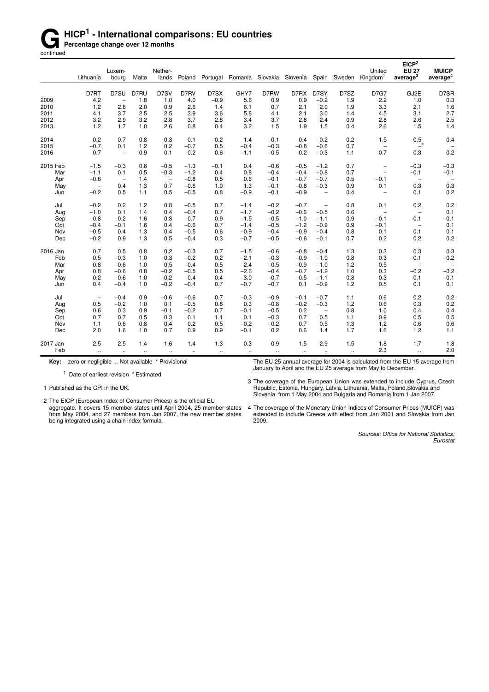## **G** HICP<sup>1</sup> - International comparisons: EU countries<br> **Gontinued**<br> **Gontinued**

**Percentage change over 12 months** continued

|          |                          | Luxem-                   |              | Nether-                  |           |           |         |        |                   |                          |              | United                   | EICP <sup>2</sup><br><b>EU 27</b> | <b>MUICP</b>             |
|----------|--------------------------|--------------------------|--------------|--------------------------|-----------|-----------|---------|--------|-------------------|--------------------------|--------------|--------------------------|-----------------------------------|--------------------------|
|          | Lithuania                | bourg                    | Malta        | lands                    | Poland    | Portugal  | Romania |        | Slovakia Slovenia |                          | Spain Sweden | Kingdom <sup>1</sup>     | average <sup>3</sup>              | average <sup>4</sup>     |
|          | D7RT                     | D7SU                     | D7RU         | D7SV                     | D7RV      | D7SX      | GHY7    | D7RW   | D7RX              | D7SY                     | D7SZ         | <b>D7G7</b>              | GJ2E                              | D7SR                     |
| 2009     | 4.2                      | $\overline{\phantom{a}}$ | 1.8          | 1.0                      | 4.0       | $-0.9$    | 5.6     | 0.9    | 0.9               | $-0.2$                   | 1.9          | 2.2                      | 1.0                               | 0.3                      |
| 2010     | 1.2                      | 2.8                      | 2.0          | 0.9                      | 2.6       | 1.4       | 6.1     | 0.7    | 2.1               | 2.0                      | 1.9          | 3.3                      | 2.1                               | 1.6                      |
| 2011     | 4.1                      | 3.7                      | 2.5          | 2.5                      | 3.9       | 3.6       | 5.8     | 4.1    | 2.1               | 3.0                      | 1.4          | 4.5                      | 3.1                               | 2.7                      |
| 2012     | 3.2                      | 2.9                      | 3.2          | 2.8                      | 3.7       | 2.8       | 3.4     | 3.7    | 2.8               | 2.4                      | 0.9          | 2.8                      | 2.6                               | 2.5                      |
| 2013     | 1.2                      | 1.7                      | 1.0          | 2.6                      | 0.8       | 0.4       | 3.2     | 1.5    | 1.9               | 1.5                      | 0.4          | 2.6                      | 1.5                               | 1.4                      |
| 2014     | 0.2                      | 0.7                      | 0.8          | 0.3                      | 0.1       | $-0.2$    | 1.4     | $-0.1$ | 0.4               | $-0.2$                   | 0.2          | 1.5                      | 0.5                               | 0.4                      |
| 2015     | $-0.7$                   | 0.1                      | 1.2          | 0.2                      | $-0.7$    | 0.5       | $-0.4$  | $-0.3$ | $-0.8$            | $-0.6$                   | 0.7          | $\overline{\phantom{a}}$ | $\mathbf{R}^*$                    |                          |
| 2016     | 0.7                      | $\overline{\phantom{0}}$ | 0.9          | 0.1                      | $-0.2$    | 0.6       | $-1.1$  | $-0.5$ | $-0.2$            | $-0.3$                   | 1.1          | 0.7                      | 0.3                               | 0.2                      |
| 2015 Feb | $-1.5$                   | $-0.3$                   | 0.6          | $-0.5$                   | $-1.3$    | $-0.1$    | 0.4     | $-0.6$ | $-0.5$            | $-1.2$                   | 0.7          | $\qquad \qquad -$        | $-0.3$                            | $-0.3$                   |
| Mar      | $-1.1$                   | 0.1                      | 0.5          | $-0.3$                   | $-1.2$    | 0.4       | 0.8     | $-0.4$ | $-0.4$            | $-0.8$                   | 0.7          | $\overline{\phantom{a}}$ | $-0.1$                            | $-0.1$                   |
| Apr      | $-0.6$                   | $\overline{\phantom{a}}$ | 1.4          | $\overline{\phantom{a}}$ | $-0.8$    | 0.5       | 0.6     | $-0.1$ | $-0.7$            | $-0.7$                   | 0.5          | $-0.1$                   | $\qquad \qquad -$                 |                          |
| May      | $\overline{\phantom{a}}$ | 0.4                      | 1.3          | 0.7                      | $-0.6$    | 1.0       | 1.3     | $-0.1$ | $-0.8$            | $-0.3$                   | 0.9          | 0.1                      | 0.3                               | 0.3                      |
| Jun      | $-0.2$                   | 0.5                      | 1.1          | 0.5                      | $-0.5$    | 0.8       | $-0.9$  | $-0.1$ | $-0.9$            | $\overline{\phantom{a}}$ | 0.4          | $\overline{\phantom{0}}$ | 0.1                               | 0.2                      |
| Jul      | $-0.2$                   | 0.2                      | 1.2          | 0.8                      | $-0.5$    | 0.7       | $-1.4$  | $-0.2$ | $-0.7$            | $\qquad \qquad -$        | 0.8          | 0.1                      | 0.2                               | 0.2                      |
| Aug      | $-1.0$                   | 0.1                      | 1.4          | 0.4                      | $-0.4$    | 0.7       | $-1.7$  | $-0.2$ | $-0.6$            | $-0.5$                   | 0.6          | $\overline{\phantom{a}}$ | $\overline{\phantom{a}}$          | 0.1                      |
| Sep      | $-0.8$                   | $-0.2$                   | 1.6          | 0.3                      | $-0.7$    | 0.9       | $-1.5$  | $-0.5$ | $-1.0$            | $-1.1$                   | 0.9          | $-0.1$                   | $-0.1$                            | $-0.1$                   |
| Oct      | $-0.4$                   | $-0.1$                   | 1.6          | 0.4                      | $-0.6$    | 0.7       | $-1.4$  | $-0.5$ | $-1.2$            | $-0.9$                   | 0.9          | $-0.1$                   | $\overline{\phantom{a}}$          | 0.1                      |
| Nov      | $-0.5$                   | 0.4                      | 1.3          | 0.4                      | $-0.5$    | 0.6       | $-0.9$  | $-0.4$ | $-0.9$            | $-0.4$                   | 0.8          | 0.1                      | 0.1                               | 0.1                      |
| Dec      | $-0.2$                   | 0.9                      | 1.3          | 0.5                      | $-0.4$    | 0.3       | $-0.7$  | $-0.5$ | $-0.6$            | $-0.1$                   | 0.7          | 0.2                      | 0.2                               | 0.2                      |
| 2016 Jan | 0.7                      | 0.5                      | 0.8          | 0.2                      | $-0.3$    | 0.7       | $-1.5$  | $-0.6$ | $-0.8$            | $-0.4$                   | 1.3          | 0.3                      | 0.3                               | 0.3                      |
| Feb      | 0.5                      | $-0.3$                   | 1.0          | 0.3                      | $-0.2$    | 0.2       | $-2.1$  | $-0.3$ | $-0.9$            | $-1.0$                   | 0.8          | 0.3                      | $-0.1$                            | $-0.2$                   |
| Mar      | 0.8                      | $-0.6$                   | 1.0          | 0.5                      | $-0.4$    | 0.5       | $-2.4$  | $-0.5$ | $-0.9$            | $-1.0$                   | 1.2          | 0.5                      | $\overline{\phantom{a}}$          | $\overline{\phantom{a}}$ |
| Apr      | 0.8                      | $-0.6$                   | 0.8          | $-0.2$                   | $-0.5$    | 0.5       | $-2.6$  | $-0.4$ | $-0.7$            | $-1.2$                   | 1.0          | 0.3                      | $-0.2$                            | $-0.2$                   |
| May      | 0.2                      | $-0.6$                   | 1.0          | $-0.2$                   | $-0.4$    | 0.4       | $-3.0$  | $-0.7$ | $-0.5$            | $-1.1$                   | 0.8          | 0.3                      | $-0.1$                            | $-0.1$                   |
| Jun      | 0.4                      | $-0.4$                   | 1.0          | $-0.2$                   | $-0.4$    | 0.7       | $-0.7$  | $-0.7$ | 0.1               | $-0.9$                   | 1.2          | 0.5                      | 0.1                               | 0.1                      |
| Jul      | $\overline{\phantom{a}}$ | $-0.4$                   | 0.9          | $-0.6$                   | $-0.6$    | 0.7       | $-0.3$  | $-0.9$ | $-0.1$            | $-0.7$                   | 1.1          | 0.6                      | 0.2                               | 0.2                      |
| Aug      | 0.5                      | $-0.2$                   | 1.0          | 0.1                      | $-0.5$    | 0.8       | 0.3     | $-0.8$ | $-0.2$            | $-0.3$                   | 1.2          | 0.6                      | 0.3                               | 0.2                      |
| Sep      | 0.6                      | 0.3                      | 0.9          | $-0.1$                   | $-0.2$    | 0.7       | $-0.1$  | $-0.5$ | 0.2               | $\overline{\phantom{m}}$ | 0.8          | 1.0                      | 0.4                               | 0.4                      |
| Oct      | 0.7                      | 0.7                      | 0.5          | 0.3                      | 0.1       | 1.1       | 0.1     | $-0.3$ | 0.7               | 0.5                      | 1.1          | 0.9                      | 0.5                               | 0.5                      |
| Nov      | 1.1                      | 0.6                      | 0.8          | 0.4                      | 0.2       | 0.5       | $-0.2$  | $-0.2$ | 0.7               | 0.5                      | 1.3          | 1.2                      | 0.6                               | 0.6                      |
| Dec      | 2.0                      | 1.6                      | 1.0          | 0.7                      | 0.9       | 0.9       | $-0.1$  | 0.2    | 0.6               | 1.4                      | 1.7          | 1.6                      | 1.2                               | 1.1                      |
| 2017 Jan | 2.5                      | 2.5                      | 1.4          | 1.6                      | 1.4       | 1.3       | 0.3     | 0.9    | 1.5               | 2.9                      | 1.5          | 1.8                      | 1.7                               | 1.8                      |
| Feb      | $\ddotsc$                | $\ddot{\phantom{1}}$     | $\mathbf{r}$ | $\ddotsc$                | $\ddotsc$ | $\ddotsc$ | $\sim$  | $\sim$ | $\sim$            | $\ddotsc$                | $\sim$       | 2.3                      | $\mathcal{L}_{\mathcal{A}}$       | 2.0                      |

**Key:** - zero or negligible .. Not available \* Provisional

 $\dagger$  Date of earliest revision  $\mathcal ^{\phi }$  Estimated

1 Published as the CPI in the UK.

2 The EICP (European Index of Consumer Prices) is the official EU aggregate. It covers 15 member states until April 2004, 25 member states from May 2004, and 27 members from Jan 2007, the new member states being integrated using a chain index formula.

The EU 25 annual average for 2004 is calculated from the EU 15 average from January to April and the EU 25 average from May to December.

3 The coverage of the European Union was extended to include Cyprus, Czech Republic, Estonia, Hungary, Latvia, Lithuania, Malta, Poland,Slovakia and Slovenia from 1 May 2004 and Bulgaria and Romania from 1 Jan 2007.

4 The coverage of the Monetary Union Indices of Consumer Prices (MUICP) was extended to include Greece with effect from Jan 2001 and Slovakia from Jan 2009.

> *Sources: Office for National Statistics; Eurostat*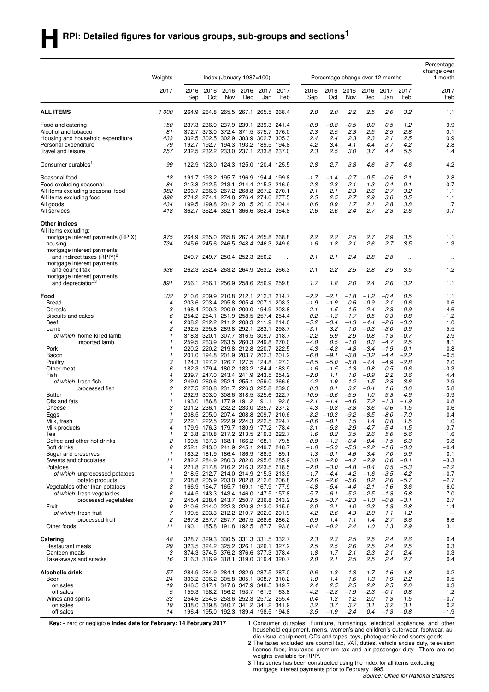| Weights<br>Index (January $1987 = 100$ )<br>Percentage change over 12 months<br>1 month<br>2017<br>2017<br>2017<br>2017<br>2016<br>2016<br>2016<br>2016<br>2017<br>2016<br>2016<br>2016<br>2016<br>2017<br>Sep<br>Oct<br>Dec<br>Feb<br>Oct<br>Nov<br>Dec<br>Feb<br>Feb<br>Nov<br>Jan<br>Sep<br>Jan<br>2.2<br>3.2<br><b>ALL ITEMS</b><br>1000<br>264.8 265.5 267.1 265.5 268.4<br>2.0<br>2.0<br>2.5<br>2.6<br>264.9<br>1.1<br>$-0.5$<br>0.5<br>1.2<br>0.9<br>Food and catering<br>150<br>237.3 236.9 237.9 239.1 239.3 241.4<br>$-0.8$<br>$-0.8$<br>0.0<br>2.5<br>2.3<br>2.5<br>2.8<br>81<br>372.7 373.0 372.4 371.5 375.7 376.0<br>2.3<br>2.5<br>Alcohol and tobacco<br>0.1<br>0.9<br>Housing and household expenditure<br>433<br>302.5 302.5 302.9 303.9 302.7<br>305.3<br>2.4<br>2.4<br>2.3<br>2.3<br>2.1<br>2.5<br>79<br>192.7 192.7 194.3 193.2 189.5 194.8<br>4.2<br>4.2<br>2.8<br>Personal expenditure<br>3.4<br>4.1<br>4.4<br>3.7<br>257<br>232.5 232.2 233.0 237.1 233.8 237.0<br>2.3<br>2.5<br>3.0<br>3.7<br>5.5<br>1.4<br>Travel and leisure<br>4.4<br>99<br>2.8<br>2.7<br>3.8<br>4.6<br>3.7<br>4.2<br>Consumer durables <sup>1</sup><br>122.9 123.0 124.3 125.0 120.4 125.5<br>4.6<br>2.8<br>Seasonal food<br>18<br>191.7 193.2 195.7 196.9 194.4 199.8<br>$-1.7$<br>$-1.4$<br>$-0.7$<br>$-0.5$<br>$-0.6$<br>2.1<br>84<br>213.8 212.5 213.1 214.4 215.3 216.9<br>$-2.3$<br>$-2.3$<br>$-2.1$<br>$-1.3$<br>0.1<br>0.7<br>Food excluding seasonal<br>$-0.4$<br>982<br>2.1<br>266.7 266.6 267.2 268.8 267.2 270.1<br>2.1<br>2.3<br>2.6<br>2.7<br>3.2<br>All items excluding seasonal food<br>1.1<br>898<br>274.2 274.1 274.8 276.4 274.6 277.5<br>2.5<br>3.0<br>3.5<br>All items excluding food<br>2.5<br>2.7<br>2.9<br>1.1<br>434<br>199.5 199.8 201.2 201.5 201.0 204.4<br>2.1<br>3.8<br>All goods<br>0.6<br>0.9<br>1.7<br>2.8<br>1.7<br>2.4<br>2.7<br>2.3<br>2.6<br>All services<br>418<br>362.7 362.4 362.1 366.6 362.4 364.8<br>2.6<br>2.6<br>0.7<br><b>Other indices</b><br>All items excluding:<br>2.2<br>2.5<br>2.7<br>2.9<br>3.5<br>mortgage interest payments (RPIX)<br>975<br>264.9 265.0 265.8 267.4 265.8 268.8<br>2.2<br>1.1<br>1.8<br>2.1<br>2.6<br>2.7<br>3.5<br>734<br>245.6 245.6 246.5 248.4 246.3 249.6<br>1.6<br>1.3<br>housing<br>mortgage interest payments<br>and indirect taxes (RPIY) <sup>2</sup><br>249.7 249.7 250.4 252.3 250.2<br>2.1<br>2.1<br>2.4<br>2.8<br>2.8<br>$\ddotsc$<br>$\ddotsc$<br>mortgage interest payments<br>936<br>262.3 262.4 263.2 264.9 263.2 266.3<br>2.1<br>2.2<br>2.5<br>2.8<br>2.9<br>3.5<br>1.2<br>and council tax<br>mortgage interest payments<br>1.7<br>2.0<br>2.4<br>and depreciation <sup>3</sup><br>891<br>256.1 256.1 256.9 258.6 256.9 259.8<br>1.8<br>2.6<br>3.2<br>1.1<br>Food<br>102<br>210.6 209.9 210.8 212.1 212.3 214.7<br>$-2.2$<br>$-2.1$<br>$-1.8$<br>$-1.2$<br>$-0.4$<br>0.5<br>1.1<br>203.6 203.4 205.8 205.4 207.1 208.3<br>$-1.9$<br>$-1.9$<br>0.6<br>$-0.9$<br>2.1<br><b>Bread</b><br>4<br>0.6<br>0.6<br>3<br>198.4 200.3 200.9 200.0 194.9 203.8<br>$-2.1$<br>$-1.5$<br>$-1.5$<br>$-2.4$<br>$-2.3$<br>0.9<br>4.6<br>Cereals<br>6<br>254.2 254.1 251.9 258.5 257.4 254.4<br>$-1.2$<br>Biscuits and cakes<br>0.2<br>$-1.3$<br>$-1.7$<br>0.5<br>0.3<br>0.8<br>4<br>208.2 212.2 211.2 208.3 211.9 214.0<br>$-5.2$<br>$-3.4$<br>$-4.3$<br>$-3.0$<br>Beef<br>$-4.4$<br>$-2.8$<br>1.0<br>2<br>292.5 295.8 289.8 292.1 283.1 298.7<br>$-3.1$<br>3.2<br>1.0<br>$-0.3$<br>$-3.0$<br>0.9<br>5.5<br>Lamb<br>318.3 320.1 307.7 316.5 309.7 318.7<br>$-2.2$<br>$-0.8$<br>$-0.7$<br>2.9<br>of which home-killed lamb<br>1<br>5.9<br>2.9<br>$-1.3$<br>$\mathbf{1}$<br>259.5 263.9 263.5 260.3 249.8 270.0<br>$-4.0$<br>0.5<br>$-1.0$<br>0.3<br>$-4.7$<br>2.5<br>8.1<br>imported lamb<br>Pork<br>220.2 220.2 219.8 212.8 220.7 222.5<br>$-4.3$<br>$-4.8$<br>$-4.8$<br>$-3.4$<br>$-1.9$<br>$-0.1$<br>0.8<br>1<br>$\mathbf{1}$<br>201.0 194.8 201.9 203.7 202.3 201.2<br>$-3.8$<br>$-0.5$<br>Bacon<br>$-6.8$<br>$-9.1$<br>$-3.2$<br>$-4.4$<br>$-2.2$<br>З<br>124.3 127.2 126.7 127.5 124.8 127.3<br>$-8.5$<br>$-5.0$<br>$-5.8$<br>$-4.4$<br>$-4.9$<br>$-2.8$<br>2.0<br>Poultry<br>6<br>179.4 180.2 183.2 184.4 183.9<br>$-1.6$<br>$-1.5$<br>$-1.3$<br>$-0.8$<br>0.5<br>0.6<br>Other meat<br>182.3<br>$-0.3$<br>4<br>4.4<br>Fish<br>239.7 247.0 243.4 241.9 243.5 254.2<br>$-2.0$<br>1.1<br>1.0<br>$-0.9$<br>2.2<br>3.6<br>2<br>249.0 260.6 252.1 255.1 259.0 266.6<br>$-4.2$<br>1.9<br>$-1.2$<br>$-1.5$<br>2.8<br>3.6<br>2.9<br>of which fresh fish<br>2<br>230.8 231.7 226.3 225.8 239.0<br>0.3<br>0.1<br>3.2<br>$-0.4$<br>1.6<br>3.6<br>5.8<br>227.5<br>processed fish<br>303.0 308.6 318.5 325.6 322.7<br>5.3<br>$-0.9$<br><b>Butter</b><br>1<br>292.9<br>-10.5<br>$-0.6$<br>$-5.5$<br>1.0<br>4.9<br>$\mathbf{1}$<br>193.0 186.8 177.9 191.2 191.1 192.6<br>$-2.1$<br>$-1.4$<br>$-4.6$<br>7.2<br>$-1.3$<br>$-1.9$<br>0.8<br>Oils and fats<br>З<br>231.2 236.1 232.2 233.0 235.7 237.2<br>$-4.3$<br>$-0.8$<br>$-3.8$<br>$-0.6$<br>0.6<br>Cheese<br>$-3.6$<br>$-1.5$<br>$-8.5$<br>1<br>208.5 205.0 207.4 208.8 209.7 210.6<br>$-8.2$<br>$-10.3$<br>$-9.2$<br>$-8.0$<br>$-7.0$<br>0.4<br>Eggs<br>3<br>222.1 222.5 222.9 224.3 222.5 224.7<br>$-0.6$<br>$-0.1$<br>1.5<br>1.4<br>0.8<br>1.5<br>Milk, fresh<br>1.0<br>179.9 176.3 179.7 180.9 177.2 178.4<br>$-2.9$<br>Milk products<br>$-3.1$<br>$-5.8$<br>$-4.7$<br>$-5.4$<br>$-1.5$<br>0.7<br>4<br>3.5<br>2.6<br>1.6<br>1<br>213.8 210.8 217.2 213.5 219.3 222.7<br>1.6<br>0.2<br>5.6<br>5.6<br>Tea<br>2<br>169.5 167.3 168.1 166.2 168.1 179.5<br>$-0.8$<br>$-1.3$<br>$-0.4$<br>$-0.4$<br>$-1.5$<br>6.3<br>6.8<br>Coffee and other hot drinks<br>8<br>$-5.3$<br>$-5.3$<br>$-2.2$<br>$-0.4$<br>Soft drinks<br>252.1 243.0 241.9 245.1 249.7 248.7<br>$-1.8$<br>$-1.8$<br>$-3.0$<br>3.4<br>Sugar and preserves<br>$\mathbf{1}$<br>183.2 181.9 186.4 186.9 188.9 189.1<br>1.3<br>$-0.1$<br>4.6<br>7.0<br>5.9<br>0.1<br>282.2 284.9 280.3 282.0 295.6 285.9<br>$-3.0$<br>$-2.0$<br>$-4.2$<br>$-2.9$<br>0.6<br>$-0.1$<br>$-3.3$<br>Sweets and chocolates<br>11<br>221.8 217.8 216.2 216.3 223.5 218.5<br>$-2.0$<br>$-3.0$<br>$-0.4$<br>$-5.3$<br>$-2.2$<br>Potatoes<br>4<br>$-4.8$<br>0.5<br>218.5 212.7 214.0 214.9 215.3 213.9<br>$-1.6$<br>$-0.7$<br>of which unprocessed potatoes<br>1<br>$-1.7$<br>$-4.4$<br>$-4.2$<br>$-3.5$<br>$-4.2$<br>$-2.7$<br>3<br>208.8 205.9 203.0 202.8 212.6 206.8<br>$-2.6$<br>$-2.6$<br>$-5.6$<br>0.2<br>2.6<br>$-5.7$<br>potato products<br>8<br>$-4.8$<br>$-5.4$<br>$-2.1$<br>6.0<br>Vegetables other than potatoes<br>166.9 164.7 165.7 169.1 167.9 177.9<br>$-4.4$<br>$-1.6$<br>3.6<br>6<br>$-5.7$<br>$-5.2$<br>7.0<br>of which fresh vegetables<br>144.5 143.3 143.4 146.0 147.5 157.8<br>$-6.1$<br>$-2.5$<br>$-1.8$<br>5.8<br>2<br>245.4 238.4 243.7 250.7 236.8 243.2<br>$-2.5$<br>$-3.7$<br>$-2.3$<br>$-1.0$<br>$-0.8$<br>$-3.1$<br>2.7<br>processed vegetables<br>9<br>210.6 214.0 222.3 220.8 213.0 215.9<br>3.0<br>2.1<br>2.3<br>2.8<br>Fruit<br>4.0<br>1.3<br>1.4<br>7<br>4.2<br>of which fresh fruit<br>199.5 203.3 212.2 210.7 202.0 201.9<br>2.6<br>4.3<br>2.0<br>1.1<br>1.2<br>$\overline{\phantom{0}}$<br>2<br>267.8 267.7 267.7 267.5 268.6 286.2<br>0.9<br>1.4<br>1.1<br>1.4<br>2.7<br>8.6<br>6.6<br>processed fruit<br>$-0.2$<br>2.4<br>1.3<br>2.9<br>Other foods<br>11<br>190.1 185.8 191.8 192.5 187.7 193.6<br>$-0.4$<br>1.0<br>3.1<br>48<br>328.7 329.3 330.5 331.3 331.5 332.7<br>2.3<br>2.5<br>2.4<br>2.6<br>0.4<br>Catering<br>2.3<br>2.5<br>29<br>323.5 324.2 325.2 326.1 326.1 327.2<br>2.5<br>2.6<br>2.5<br>2.4<br>2.5<br>Restaurant meals<br>2.5<br>0.3<br>3<br>1.7<br>Canteen meals<br>374.3 374.5 376.2 376.6 377.3 378.4<br>1.8<br>2.1<br>2.3<br>2.1<br>2.4<br>0.3<br>316.3 316.9 318.1 319.0 319.4 320.7<br>2.0<br>2.1<br>2.5<br>2.5<br>2.4<br>2.7<br>Take-aways and snacks<br>16<br>0.4<br>Alcoholic drink<br>57<br>284.9 284.9 284.1 282.9 287.5 287.0<br>0.6<br>1.3<br>1.3<br>1.7<br>1.6<br>1.8<br>$-0.2$<br>24<br>306.2 306.2 305.8 305.1 308.7 310.2<br>1.3<br>1.9<br>2.2<br>0.5<br>Beer<br>1.0<br>1.4<br>1.6<br>19<br>2.5<br>2.5<br>2.2<br>2.6<br>0.3<br>346.5 347.1 347.6 347.9 348.5 349.7<br>2.4<br>2.5<br>on sales<br>5<br>1.2<br>off sales<br>159.3 158.2 156.2 153.7 161.9 163.8<br>$-4.2$<br>$-2.8$<br>$-1.9$<br>$-2.3$<br>$-0.1$<br>0.8<br>33<br>254.6 254.6 253.6 252.3 257.2 255.4<br>1.3<br>1.2<br>2.0<br>1.3<br>1.5<br>$-0.7$<br>Wines and spirits<br>0.4<br>on sales<br>19<br>338.0 339.8 340.7 341.2 341.2 341.9<br>3.2<br>3.7<br>3.7<br>3.1<br>3.2<br>3.1<br>0.2<br>off sales<br>196.4 195.0 192.3 189.4 198.5 194.8<br>$-3.5$<br>$-1.9$<br>$-2.4$<br>$-1.3$<br>$-0.8$<br>$-1.9$<br>14<br>0.4 |  |  |  |  |  |  |  | Percentage<br>change over |
|---------------------------------------------------------------------------------------------------------------------------------------------------------------------------------------------------------------------------------------------------------------------------------------------------------------------------------------------------------------------------------------------------------------------------------------------------------------------------------------------------------------------------------------------------------------------------------------------------------------------------------------------------------------------------------------------------------------------------------------------------------------------------------------------------------------------------------------------------------------------------------------------------------------------------------------------------------------------------------------------------------------------------------------------------------------------------------------------------------------------------------------------------------------------------------------------------------------------------------------------------------------------------------------------------------------------------------------------------------------------------------------------------------------------------------------------------------------------------------------------------------------------------------------------------------------------------------------------------------------------------------------------------------------------------------------------------------------------------------------------------------------------------------------------------------------------------------------------------------------------------------------------------------------------------------------------------------------------------------------------------------------------------------------------------------------------------------------------------------------------------------------------------------------------------------------------------------------------------------------------------------------------------------------------------------------------------------------------------------------------------------------------------------------------------------------------------------------------------------------------------------------------------------------------------------------------------------------------------------------------------------------------------------------------------------------------------------------------------------------------------------------------------------------------------------------------------------------------------------------------------------------------------------------------------------------------------------------------------------------------------------------------------------------------------------------------------------------------------------------------------------------------------------------------------------------------------------------------------------------------------------------------------------------------------------------------------------------------------------------------------------------------------------------------------------------------------------------------------------------------------------------------------------------------------------------------------------------------------------------------------------------------------------------------------------------------------------------------------------------------------------------------------------------------------------------------------------------------------------------------------------------------------------------------------------------------------------------------------------------------------------------------------------------------------------------------------------------------------------------------------------------------------------------------------------------------------------------------------------------------------------------------------------------------------------------------------------------------------------------------------------------------------------------------------------------------------------------------------------------------------------------------------------------------------------------------------------------------------------------------------------------------------------------------------------------------------------------------------------------------------------------------------------------------------------------------------------------------------------------------------------------------------------------------------------------------------------------------------------------------------------------------------------------------------------------------------------------------------------------------------------------------------------------------------------------------------------------------------------------------------------------------------------------------------------------------------------------------------------------------------------------------------------------------------------------------------------------------------------------------------------------------------------------------------------------------------------------------------------------------------------------------------------------------------------------------------------------------------------------------------------------------------------------------------------------------------------------------------------------------------------------------------------------------------------------------------------------------------------------------------------------------------------------------------------------------------------------------------------------------------------------------------------------------------------------------------------------------------------------------------------------------------------------------------------------------------------------------------------------------------------------------------------------------------------------------------------------------------------------------------------------------------------------------------------------------------------------------------------------------------------------------------------------------------------------------------------------------------------------------------------------------------------------------------------------------------------------------------------------------------------------------------------------------------------------------------------------------------------------------------------------------------------------------------------------------------------------------------------------------------------------------------------------------------------------------------------------------------------------------------------------------------------------------------------------------------------------------------------------------------------------------------------------------------------------------------------------------------------------------------------------------------------------------------------------------------------------------------------------------------------------------------------------------------------------------------------------------------------------------------------------------------------------------------------------------------------------------------------------------------------------------------------------------------------------------------------------------------------------------------------------------------------------------------------------------------------------------------------------------------------------------------------------------------------------------------------------------------------------------------------------------------------------------------------------------------------------------------------------------------------------------------------------------------------------------------------------------------------------------------------------------------------------------------------------------------------------------------------------------------------------------------------------------------------------------------------|--|--|--|--|--|--|--|---------------------------|
|                                                                                                                                                                                                                                                                                                                                                                                                                                                                                                                                                                                                                                                                                                                                                                                                                                                                                                                                                                                                                                                                                                                                                                                                                                                                                                                                                                                                                                                                                                                                                                                                                                                                                                                                                                                                                                                                                                                                                                                                                                                                                                                                                                                                                                                                                                                                                                                                                                                                                                                                                                                                                                                                                                                                                                                                                                                                                                                                                                                                                                                                                                                                                                                                                                                                                                                                                                                                                                                                                                                                                                                                                                                                                                                                                                                                                                                                                                                                                                                                                                                                                                                                                                                                                                                                                                                                                                                                                                                                                                                                                                                                                                                                                                                                                                                                                                                                                                                                                                                                                                                                                                                                                                                                                                                                                                                                                                                                                                                                                                                                                                                                                                                                                                                                                                                                                                                                                                                                                                                                                                                                                                                                                                                                                                                                                                                                                                                                                                                                                                                                                                                                                                                                                                                                                                                                                                                                                                                                                                                                                                                                                                                                                                                                                                                                                                                                                                                                                                                                                                                                                                                                                                                                                                                                                                                                                                                                                                                                                                                                                                                                                                                                                                                                                                                                                                                                                                                                                                                                                                                                                                                                                                                                                                         |  |  |  |  |  |  |  |                           |
|                                                                                                                                                                                                                                                                                                                                                                                                                                                                                                                                                                                                                                                                                                                                                                                                                                                                                                                                                                                                                                                                                                                                                                                                                                                                                                                                                                                                                                                                                                                                                                                                                                                                                                                                                                                                                                                                                                                                                                                                                                                                                                                                                                                                                                                                                                                                                                                                                                                                                                                                                                                                                                                                                                                                                                                                                                                                                                                                                                                                                                                                                                                                                                                                                                                                                                                                                                                                                                                                                                                                                                                                                                                                                                                                                                                                                                                                                                                                                                                                                                                                                                                                                                                                                                                                                                                                                                                                                                                                                                                                                                                                                                                                                                                                                                                                                                                                                                                                                                                                                                                                                                                                                                                                                                                                                                                                                                                                                                                                                                                                                                                                                                                                                                                                                                                                                                                                                                                                                                                                                                                                                                                                                                                                                                                                                                                                                                                                                                                                                                                                                                                                                                                                                                                                                                                                                                                                                                                                                                                                                                                                                                                                                                                                                                                                                                                                                                                                                                                                                                                                                                                                                                                                                                                                                                                                                                                                                                                                                                                                                                                                                                                                                                                                                                                                                                                                                                                                                                                                                                                                                                                                                                                                                                         |  |  |  |  |  |  |  |                           |
|                                                                                                                                                                                                                                                                                                                                                                                                                                                                                                                                                                                                                                                                                                                                                                                                                                                                                                                                                                                                                                                                                                                                                                                                                                                                                                                                                                                                                                                                                                                                                                                                                                                                                                                                                                                                                                                                                                                                                                                                                                                                                                                                                                                                                                                                                                                                                                                                                                                                                                                                                                                                                                                                                                                                                                                                                                                                                                                                                                                                                                                                                                                                                                                                                                                                                                                                                                                                                                                                                                                                                                                                                                                                                                                                                                                                                                                                                                                                                                                                                                                                                                                                                                                                                                                                                                                                                                                                                                                                                                                                                                                                                                                                                                                                                                                                                                                                                                                                                                                                                                                                                                                                                                                                                                                                                                                                                                                                                                                                                                                                                                                                                                                                                                                                                                                                                                                                                                                                                                                                                                                                                                                                                                                                                                                                                                                                                                                                                                                                                                                                                                                                                                                                                                                                                                                                                                                                                                                                                                                                                                                                                                                                                                                                                                                                                                                                                                                                                                                                                                                                                                                                                                                                                                                                                                                                                                                                                                                                                                                                                                                                                                                                                                                                                                                                                                                                                                                                                                                                                                                                                                                                                                                                                                         |  |  |  |  |  |  |  |                           |
|                                                                                                                                                                                                                                                                                                                                                                                                                                                                                                                                                                                                                                                                                                                                                                                                                                                                                                                                                                                                                                                                                                                                                                                                                                                                                                                                                                                                                                                                                                                                                                                                                                                                                                                                                                                                                                                                                                                                                                                                                                                                                                                                                                                                                                                                                                                                                                                                                                                                                                                                                                                                                                                                                                                                                                                                                                                                                                                                                                                                                                                                                                                                                                                                                                                                                                                                                                                                                                                                                                                                                                                                                                                                                                                                                                                                                                                                                                                                                                                                                                                                                                                                                                                                                                                                                                                                                                                                                                                                                                                                                                                                                                                                                                                                                                                                                                                                                                                                                                                                                                                                                                                                                                                                                                                                                                                                                                                                                                                                                                                                                                                                                                                                                                                                                                                                                                                                                                                                                                                                                                                                                                                                                                                                                                                                                                                                                                                                                                                                                                                                                                                                                                                                                                                                                                                                                                                                                                                                                                                                                                                                                                                                                                                                                                                                                                                                                                                                                                                                                                                                                                                                                                                                                                                                                                                                                                                                                                                                                                                                                                                                                                                                                                                                                                                                                                                                                                                                                                                                                                                                                                                                                                                                                                         |  |  |  |  |  |  |  |                           |
|                                                                                                                                                                                                                                                                                                                                                                                                                                                                                                                                                                                                                                                                                                                                                                                                                                                                                                                                                                                                                                                                                                                                                                                                                                                                                                                                                                                                                                                                                                                                                                                                                                                                                                                                                                                                                                                                                                                                                                                                                                                                                                                                                                                                                                                                                                                                                                                                                                                                                                                                                                                                                                                                                                                                                                                                                                                                                                                                                                                                                                                                                                                                                                                                                                                                                                                                                                                                                                                                                                                                                                                                                                                                                                                                                                                                                                                                                                                                                                                                                                                                                                                                                                                                                                                                                                                                                                                                                                                                                                                                                                                                                                                                                                                                                                                                                                                                                                                                                                                                                                                                                                                                                                                                                                                                                                                                                                                                                                                                                                                                                                                                                                                                                                                                                                                                                                                                                                                                                                                                                                                                                                                                                                                                                                                                                                                                                                                                                                                                                                                                                                                                                                                                                                                                                                                                                                                                                                                                                                                                                                                                                                                                                                                                                                                                                                                                                                                                                                                                                                                                                                                                                                                                                                                                                                                                                                                                                                                                                                                                                                                                                                                                                                                                                                                                                                                                                                                                                                                                                                                                                                                                                                                                                                         |  |  |  |  |  |  |  |                           |
|                                                                                                                                                                                                                                                                                                                                                                                                                                                                                                                                                                                                                                                                                                                                                                                                                                                                                                                                                                                                                                                                                                                                                                                                                                                                                                                                                                                                                                                                                                                                                                                                                                                                                                                                                                                                                                                                                                                                                                                                                                                                                                                                                                                                                                                                                                                                                                                                                                                                                                                                                                                                                                                                                                                                                                                                                                                                                                                                                                                                                                                                                                                                                                                                                                                                                                                                                                                                                                                                                                                                                                                                                                                                                                                                                                                                                                                                                                                                                                                                                                                                                                                                                                                                                                                                                                                                                                                                                                                                                                                                                                                                                                                                                                                                                                                                                                                                                                                                                                                                                                                                                                                                                                                                                                                                                                                                                                                                                                                                                                                                                                                                                                                                                                                                                                                                                                                                                                                                                                                                                                                                                                                                                                                                                                                                                                                                                                                                                                                                                                                                                                                                                                                                                                                                                                                                                                                                                                                                                                                                                                                                                                                                                                                                                                                                                                                                                                                                                                                                                                                                                                                                                                                                                                                                                                                                                                                                                                                                                                                                                                                                                                                                                                                                                                                                                                                                                                                                                                                                                                                                                                                                                                                                                                         |  |  |  |  |  |  |  |                           |
|                                                                                                                                                                                                                                                                                                                                                                                                                                                                                                                                                                                                                                                                                                                                                                                                                                                                                                                                                                                                                                                                                                                                                                                                                                                                                                                                                                                                                                                                                                                                                                                                                                                                                                                                                                                                                                                                                                                                                                                                                                                                                                                                                                                                                                                                                                                                                                                                                                                                                                                                                                                                                                                                                                                                                                                                                                                                                                                                                                                                                                                                                                                                                                                                                                                                                                                                                                                                                                                                                                                                                                                                                                                                                                                                                                                                                                                                                                                                                                                                                                                                                                                                                                                                                                                                                                                                                                                                                                                                                                                                                                                                                                                                                                                                                                                                                                                                                                                                                                                                                                                                                                                                                                                                                                                                                                                                                                                                                                                                                                                                                                                                                                                                                                                                                                                                                                                                                                                                                                                                                                                                                                                                                                                                                                                                                                                                                                                                                                                                                                                                                                                                                                                                                                                                                                                                                                                                                                                                                                                                                                                                                                                                                                                                                                                                                                                                                                                                                                                                                                                                                                                                                                                                                                                                                                                                                                                                                                                                                                                                                                                                                                                                                                                                                                                                                                                                                                                                                                                                                                                                                                                                                                                                                                         |  |  |  |  |  |  |  |                           |
|                                                                                                                                                                                                                                                                                                                                                                                                                                                                                                                                                                                                                                                                                                                                                                                                                                                                                                                                                                                                                                                                                                                                                                                                                                                                                                                                                                                                                                                                                                                                                                                                                                                                                                                                                                                                                                                                                                                                                                                                                                                                                                                                                                                                                                                                                                                                                                                                                                                                                                                                                                                                                                                                                                                                                                                                                                                                                                                                                                                                                                                                                                                                                                                                                                                                                                                                                                                                                                                                                                                                                                                                                                                                                                                                                                                                                                                                                                                                                                                                                                                                                                                                                                                                                                                                                                                                                                                                                                                                                                                                                                                                                                                                                                                                                                                                                                                                                                                                                                                                                                                                                                                                                                                                                                                                                                                                                                                                                                                                                                                                                                                                                                                                                                                                                                                                                                                                                                                                                                                                                                                                                                                                                                                                                                                                                                                                                                                                                                                                                                                                                                                                                                                                                                                                                                                                                                                                                                                                                                                                                                                                                                                                                                                                                                                                                                                                                                                                                                                                                                                                                                                                                                                                                                                                                                                                                                                                                                                                                                                                                                                                                                                                                                                                                                                                                                                                                                                                                                                                                                                                                                                                                                                                                                         |  |  |  |  |  |  |  |                           |
|                                                                                                                                                                                                                                                                                                                                                                                                                                                                                                                                                                                                                                                                                                                                                                                                                                                                                                                                                                                                                                                                                                                                                                                                                                                                                                                                                                                                                                                                                                                                                                                                                                                                                                                                                                                                                                                                                                                                                                                                                                                                                                                                                                                                                                                                                                                                                                                                                                                                                                                                                                                                                                                                                                                                                                                                                                                                                                                                                                                                                                                                                                                                                                                                                                                                                                                                                                                                                                                                                                                                                                                                                                                                                                                                                                                                                                                                                                                                                                                                                                                                                                                                                                                                                                                                                                                                                                                                                                                                                                                                                                                                                                                                                                                                                                                                                                                                                                                                                                                                                                                                                                                                                                                                                                                                                                                                                                                                                                                                                                                                                                                                                                                                                                                                                                                                                                                                                                                                                                                                                                                                                                                                                                                                                                                                                                                                                                                                                                                                                                                                                                                                                                                                                                                                                                                                                                                                                                                                                                                                                                                                                                                                                                                                                                                                                                                                                                                                                                                                                                                                                                                                                                                                                                                                                                                                                                                                                                                                                                                                                                                                                                                                                                                                                                                                                                                                                                                                                                                                                                                                                                                                                                                                                                         |  |  |  |  |  |  |  |                           |
|                                                                                                                                                                                                                                                                                                                                                                                                                                                                                                                                                                                                                                                                                                                                                                                                                                                                                                                                                                                                                                                                                                                                                                                                                                                                                                                                                                                                                                                                                                                                                                                                                                                                                                                                                                                                                                                                                                                                                                                                                                                                                                                                                                                                                                                                                                                                                                                                                                                                                                                                                                                                                                                                                                                                                                                                                                                                                                                                                                                                                                                                                                                                                                                                                                                                                                                                                                                                                                                                                                                                                                                                                                                                                                                                                                                                                                                                                                                                                                                                                                                                                                                                                                                                                                                                                                                                                                                                                                                                                                                                                                                                                                                                                                                                                                                                                                                                                                                                                                                                                                                                                                                                                                                                                                                                                                                                                                                                                                                                                                                                                                                                                                                                                                                                                                                                                                                                                                                                                                                                                                                                                                                                                                                                                                                                                                                                                                                                                                                                                                                                                                                                                                                                                                                                                                                                                                                                                                                                                                                                                                                                                                                                                                                                                                                                                                                                                                                                                                                                                                                                                                                                                                                                                                                                                                                                                                                                                                                                                                                                                                                                                                                                                                                                                                                                                                                                                                                                                                                                                                                                                                                                                                                                                                         |  |  |  |  |  |  |  |                           |
|                                                                                                                                                                                                                                                                                                                                                                                                                                                                                                                                                                                                                                                                                                                                                                                                                                                                                                                                                                                                                                                                                                                                                                                                                                                                                                                                                                                                                                                                                                                                                                                                                                                                                                                                                                                                                                                                                                                                                                                                                                                                                                                                                                                                                                                                                                                                                                                                                                                                                                                                                                                                                                                                                                                                                                                                                                                                                                                                                                                                                                                                                                                                                                                                                                                                                                                                                                                                                                                                                                                                                                                                                                                                                                                                                                                                                                                                                                                                                                                                                                                                                                                                                                                                                                                                                                                                                                                                                                                                                                                                                                                                                                                                                                                                                                                                                                                                                                                                                                                                                                                                                                                                                                                                                                                                                                                                                                                                                                                                                                                                                                                                                                                                                                                                                                                                                                                                                                                                                                                                                                                                                                                                                                                                                                                                                                                                                                                                                                                                                                                                                                                                                                                                                                                                                                                                                                                                                                                                                                                                                                                                                                                                                                                                                                                                                                                                                                                                                                                                                                                                                                                                                                                                                                                                                                                                                                                                                                                                                                                                                                                                                                                                                                                                                                                                                                                                                                                                                                                                                                                                                                                                                                                                                                         |  |  |  |  |  |  |  |                           |
|                                                                                                                                                                                                                                                                                                                                                                                                                                                                                                                                                                                                                                                                                                                                                                                                                                                                                                                                                                                                                                                                                                                                                                                                                                                                                                                                                                                                                                                                                                                                                                                                                                                                                                                                                                                                                                                                                                                                                                                                                                                                                                                                                                                                                                                                                                                                                                                                                                                                                                                                                                                                                                                                                                                                                                                                                                                                                                                                                                                                                                                                                                                                                                                                                                                                                                                                                                                                                                                                                                                                                                                                                                                                                                                                                                                                                                                                                                                                                                                                                                                                                                                                                                                                                                                                                                                                                                                                                                                                                                                                                                                                                                                                                                                                                                                                                                                                                                                                                                                                                                                                                                                                                                                                                                                                                                                                                                                                                                                                                                                                                                                                                                                                                                                                                                                                                                                                                                                                                                                                                                                                                                                                                                                                                                                                                                                                                                                                                                                                                                                                                                                                                                                                                                                                                                                                                                                                                                                                                                                                                                                                                                                                                                                                                                                                                                                                                                                                                                                                                                                                                                                                                                                                                                                                                                                                                                                                                                                                                                                                                                                                                                                                                                                                                                                                                                                                                                                                                                                                                                                                                                                                                                                                                                         |  |  |  |  |  |  |  |                           |
|                                                                                                                                                                                                                                                                                                                                                                                                                                                                                                                                                                                                                                                                                                                                                                                                                                                                                                                                                                                                                                                                                                                                                                                                                                                                                                                                                                                                                                                                                                                                                                                                                                                                                                                                                                                                                                                                                                                                                                                                                                                                                                                                                                                                                                                                                                                                                                                                                                                                                                                                                                                                                                                                                                                                                                                                                                                                                                                                                                                                                                                                                                                                                                                                                                                                                                                                                                                                                                                                                                                                                                                                                                                                                                                                                                                                                                                                                                                                                                                                                                                                                                                                                                                                                                                                                                                                                                                                                                                                                                                                                                                                                                                                                                                                                                                                                                                                                                                                                                                                                                                                                                                                                                                                                                                                                                                                                                                                                                                                                                                                                                                                                                                                                                                                                                                                                                                                                                                                                                                                                                                                                                                                                                                                                                                                                                                                                                                                                                                                                                                                                                                                                                                                                                                                                                                                                                                                                                                                                                                                                                                                                                                                                                                                                                                                                                                                                                                                                                                                                                                                                                                                                                                                                                                                                                                                                                                                                                                                                                                                                                                                                                                                                                                                                                                                                                                                                                                                                                                                                                                                                                                                                                                                                                         |  |  |  |  |  |  |  |                           |
|                                                                                                                                                                                                                                                                                                                                                                                                                                                                                                                                                                                                                                                                                                                                                                                                                                                                                                                                                                                                                                                                                                                                                                                                                                                                                                                                                                                                                                                                                                                                                                                                                                                                                                                                                                                                                                                                                                                                                                                                                                                                                                                                                                                                                                                                                                                                                                                                                                                                                                                                                                                                                                                                                                                                                                                                                                                                                                                                                                                                                                                                                                                                                                                                                                                                                                                                                                                                                                                                                                                                                                                                                                                                                                                                                                                                                                                                                                                                                                                                                                                                                                                                                                                                                                                                                                                                                                                                                                                                                                                                                                                                                                                                                                                                                                                                                                                                                                                                                                                                                                                                                                                                                                                                                                                                                                                                                                                                                                                                                                                                                                                                                                                                                                                                                                                                                                                                                                                                                                                                                                                                                                                                                                                                                                                                                                                                                                                                                                                                                                                                                                                                                                                                                                                                                                                                                                                                                                                                                                                                                                                                                                                                                                                                                                                                                                                                                                                                                                                                                                                                                                                                                                                                                                                                                                                                                                                                                                                                                                                                                                                                                                                                                                                                                                                                                                                                                                                                                                                                                                                                                                                                                                                                                                         |  |  |  |  |  |  |  |                           |
|                                                                                                                                                                                                                                                                                                                                                                                                                                                                                                                                                                                                                                                                                                                                                                                                                                                                                                                                                                                                                                                                                                                                                                                                                                                                                                                                                                                                                                                                                                                                                                                                                                                                                                                                                                                                                                                                                                                                                                                                                                                                                                                                                                                                                                                                                                                                                                                                                                                                                                                                                                                                                                                                                                                                                                                                                                                                                                                                                                                                                                                                                                                                                                                                                                                                                                                                                                                                                                                                                                                                                                                                                                                                                                                                                                                                                                                                                                                                                                                                                                                                                                                                                                                                                                                                                                                                                                                                                                                                                                                                                                                                                                                                                                                                                                                                                                                                                                                                                                                                                                                                                                                                                                                                                                                                                                                                                                                                                                                                                                                                                                                                                                                                                                                                                                                                                                                                                                                                                                                                                                                                                                                                                                                                                                                                                                                                                                                                                                                                                                                                                                                                                                                                                                                                                                                                                                                                                                                                                                                                                                                                                                                                                                                                                                                                                                                                                                                                                                                                                                                                                                                                                                                                                                                                                                                                                                                                                                                                                                                                                                                                                                                                                                                                                                                                                                                                                                                                                                                                                                                                                                                                                                                                                                         |  |  |  |  |  |  |  |                           |
|                                                                                                                                                                                                                                                                                                                                                                                                                                                                                                                                                                                                                                                                                                                                                                                                                                                                                                                                                                                                                                                                                                                                                                                                                                                                                                                                                                                                                                                                                                                                                                                                                                                                                                                                                                                                                                                                                                                                                                                                                                                                                                                                                                                                                                                                                                                                                                                                                                                                                                                                                                                                                                                                                                                                                                                                                                                                                                                                                                                                                                                                                                                                                                                                                                                                                                                                                                                                                                                                                                                                                                                                                                                                                                                                                                                                                                                                                                                                                                                                                                                                                                                                                                                                                                                                                                                                                                                                                                                                                                                                                                                                                                                                                                                                                                                                                                                                                                                                                                                                                                                                                                                                                                                                                                                                                                                                                                                                                                                                                                                                                                                                                                                                                                                                                                                                                                                                                                                                                                                                                                                                                                                                                                                                                                                                                                                                                                                                                                                                                                                                                                                                                                                                                                                                                                                                                                                                                                                                                                                                                                                                                                                                                                                                                                                                                                                                                                                                                                                                                                                                                                                                                                                                                                                                                                                                                                                                                                                                                                                                                                                                                                                                                                                                                                                                                                                                                                                                                                                                                                                                                                                                                                                                                                         |  |  |  |  |  |  |  |                           |
|                                                                                                                                                                                                                                                                                                                                                                                                                                                                                                                                                                                                                                                                                                                                                                                                                                                                                                                                                                                                                                                                                                                                                                                                                                                                                                                                                                                                                                                                                                                                                                                                                                                                                                                                                                                                                                                                                                                                                                                                                                                                                                                                                                                                                                                                                                                                                                                                                                                                                                                                                                                                                                                                                                                                                                                                                                                                                                                                                                                                                                                                                                                                                                                                                                                                                                                                                                                                                                                                                                                                                                                                                                                                                                                                                                                                                                                                                                                                                                                                                                                                                                                                                                                                                                                                                                                                                                                                                                                                                                                                                                                                                                                                                                                                                                                                                                                                                                                                                                                                                                                                                                                                                                                                                                                                                                                                                                                                                                                                                                                                                                                                                                                                                                                                                                                                                                                                                                                                                                                                                                                                                                                                                                                                                                                                                                                                                                                                                                                                                                                                                                                                                                                                                                                                                                                                                                                                                                                                                                                                                                                                                                                                                                                                                                                                                                                                                                                                                                                                                                                                                                                                                                                                                                                                                                                                                                                                                                                                                                                                                                                                                                                                                                                                                                                                                                                                                                                                                                                                                                                                                                                                                                                                                                         |  |  |  |  |  |  |  |                           |
|                                                                                                                                                                                                                                                                                                                                                                                                                                                                                                                                                                                                                                                                                                                                                                                                                                                                                                                                                                                                                                                                                                                                                                                                                                                                                                                                                                                                                                                                                                                                                                                                                                                                                                                                                                                                                                                                                                                                                                                                                                                                                                                                                                                                                                                                                                                                                                                                                                                                                                                                                                                                                                                                                                                                                                                                                                                                                                                                                                                                                                                                                                                                                                                                                                                                                                                                                                                                                                                                                                                                                                                                                                                                                                                                                                                                                                                                                                                                                                                                                                                                                                                                                                                                                                                                                                                                                                                                                                                                                                                                                                                                                                                                                                                                                                                                                                                                                                                                                                                                                                                                                                                                                                                                                                                                                                                                                                                                                                                                                                                                                                                                                                                                                                                                                                                                                                                                                                                                                                                                                                                                                                                                                                                                                                                                                                                                                                                                                                                                                                                                                                                                                                                                                                                                                                                                                                                                                                                                                                                                                                                                                                                                                                                                                                                                                                                                                                                                                                                                                                                                                                                                                                                                                                                                                                                                                                                                                                                                                                                                                                                                                                                                                                                                                                                                                                                                                                                                                                                                                                                                                                                                                                                                                                         |  |  |  |  |  |  |  |                           |
|                                                                                                                                                                                                                                                                                                                                                                                                                                                                                                                                                                                                                                                                                                                                                                                                                                                                                                                                                                                                                                                                                                                                                                                                                                                                                                                                                                                                                                                                                                                                                                                                                                                                                                                                                                                                                                                                                                                                                                                                                                                                                                                                                                                                                                                                                                                                                                                                                                                                                                                                                                                                                                                                                                                                                                                                                                                                                                                                                                                                                                                                                                                                                                                                                                                                                                                                                                                                                                                                                                                                                                                                                                                                                                                                                                                                                                                                                                                                                                                                                                                                                                                                                                                                                                                                                                                                                                                                                                                                                                                                                                                                                                                                                                                                                                                                                                                                                                                                                                                                                                                                                                                                                                                                                                                                                                                                                                                                                                                                                                                                                                                                                                                                                                                                                                                                                                                                                                                                                                                                                                                                                                                                                                                                                                                                                                                                                                                                                                                                                                                                                                                                                                                                                                                                                                                                                                                                                                                                                                                                                                                                                                                                                                                                                                                                                                                                                                                                                                                                                                                                                                                                                                                                                                                                                                                                                                                                                                                                                                                                                                                                                                                                                                                                                                                                                                                                                                                                                                                                                                                                                                                                                                                                                                         |  |  |  |  |  |  |  |                           |
|                                                                                                                                                                                                                                                                                                                                                                                                                                                                                                                                                                                                                                                                                                                                                                                                                                                                                                                                                                                                                                                                                                                                                                                                                                                                                                                                                                                                                                                                                                                                                                                                                                                                                                                                                                                                                                                                                                                                                                                                                                                                                                                                                                                                                                                                                                                                                                                                                                                                                                                                                                                                                                                                                                                                                                                                                                                                                                                                                                                                                                                                                                                                                                                                                                                                                                                                                                                                                                                                                                                                                                                                                                                                                                                                                                                                                                                                                                                                                                                                                                                                                                                                                                                                                                                                                                                                                                                                                                                                                                                                                                                                                                                                                                                                                                                                                                                                                                                                                                                                                                                                                                                                                                                                                                                                                                                                                                                                                                                                                                                                                                                                                                                                                                                                                                                                                                                                                                                                                                                                                                                                                                                                                                                                                                                                                                                                                                                                                                                                                                                                                                                                                                                                                                                                                                                                                                                                                                                                                                                                                                                                                                                                                                                                                                                                                                                                                                                                                                                                                                                                                                                                                                                                                                                                                                                                                                                                                                                                                                                                                                                                                                                                                                                                                                                                                                                                                                                                                                                                                                                                                                                                                                                                                                         |  |  |  |  |  |  |  |                           |
|                                                                                                                                                                                                                                                                                                                                                                                                                                                                                                                                                                                                                                                                                                                                                                                                                                                                                                                                                                                                                                                                                                                                                                                                                                                                                                                                                                                                                                                                                                                                                                                                                                                                                                                                                                                                                                                                                                                                                                                                                                                                                                                                                                                                                                                                                                                                                                                                                                                                                                                                                                                                                                                                                                                                                                                                                                                                                                                                                                                                                                                                                                                                                                                                                                                                                                                                                                                                                                                                                                                                                                                                                                                                                                                                                                                                                                                                                                                                                                                                                                                                                                                                                                                                                                                                                                                                                                                                                                                                                                                                                                                                                                                                                                                                                                                                                                                                                                                                                                                                                                                                                                                                                                                                                                                                                                                                                                                                                                                                                                                                                                                                                                                                                                                                                                                                                                                                                                                                                                                                                                                                                                                                                                                                                                                                                                                                                                                                                                                                                                                                                                                                                                                                                                                                                                                                                                                                                                                                                                                                                                                                                                                                                                                                                                                                                                                                                                                                                                                                                                                                                                                                                                                                                                                                                                                                                                                                                                                                                                                                                                                                                                                                                                                                                                                                                                                                                                                                                                                                                                                                                                                                                                                                                                         |  |  |  |  |  |  |  |                           |
|                                                                                                                                                                                                                                                                                                                                                                                                                                                                                                                                                                                                                                                                                                                                                                                                                                                                                                                                                                                                                                                                                                                                                                                                                                                                                                                                                                                                                                                                                                                                                                                                                                                                                                                                                                                                                                                                                                                                                                                                                                                                                                                                                                                                                                                                                                                                                                                                                                                                                                                                                                                                                                                                                                                                                                                                                                                                                                                                                                                                                                                                                                                                                                                                                                                                                                                                                                                                                                                                                                                                                                                                                                                                                                                                                                                                                                                                                                                                                                                                                                                                                                                                                                                                                                                                                                                                                                                                                                                                                                                                                                                                                                                                                                                                                                                                                                                                                                                                                                                                                                                                                                                                                                                                                                                                                                                                                                                                                                                                                                                                                                                                                                                                                                                                                                                                                                                                                                                                                                                                                                                                                                                                                                                                                                                                                                                                                                                                                                                                                                                                                                                                                                                                                                                                                                                                                                                                                                                                                                                                                                                                                                                                                                                                                                                                                                                                                                                                                                                                                                                                                                                                                                                                                                                                                                                                                                                                                                                                                                                                                                                                                                                                                                                                                                                                                                                                                                                                                                                                                                                                                                                                                                                                                                         |  |  |  |  |  |  |  |                           |
|                                                                                                                                                                                                                                                                                                                                                                                                                                                                                                                                                                                                                                                                                                                                                                                                                                                                                                                                                                                                                                                                                                                                                                                                                                                                                                                                                                                                                                                                                                                                                                                                                                                                                                                                                                                                                                                                                                                                                                                                                                                                                                                                                                                                                                                                                                                                                                                                                                                                                                                                                                                                                                                                                                                                                                                                                                                                                                                                                                                                                                                                                                                                                                                                                                                                                                                                                                                                                                                                                                                                                                                                                                                                                                                                                                                                                                                                                                                                                                                                                                                                                                                                                                                                                                                                                                                                                                                                                                                                                                                                                                                                                                                                                                                                                                                                                                                                                                                                                                                                                                                                                                                                                                                                                                                                                                                                                                                                                                                                                                                                                                                                                                                                                                                                                                                                                                                                                                                                                                                                                                                                                                                                                                                                                                                                                                                                                                                                                                                                                                                                                                                                                                                                                                                                                                                                                                                                                                                                                                                                                                                                                                                                                                                                                                                                                                                                                                                                                                                                                                                                                                                                                                                                                                                                                                                                                                                                                                                                                                                                                                                                                                                                                                                                                                                                                                                                                                                                                                                                                                                                                                                                                                                                                                         |  |  |  |  |  |  |  |                           |
|                                                                                                                                                                                                                                                                                                                                                                                                                                                                                                                                                                                                                                                                                                                                                                                                                                                                                                                                                                                                                                                                                                                                                                                                                                                                                                                                                                                                                                                                                                                                                                                                                                                                                                                                                                                                                                                                                                                                                                                                                                                                                                                                                                                                                                                                                                                                                                                                                                                                                                                                                                                                                                                                                                                                                                                                                                                                                                                                                                                                                                                                                                                                                                                                                                                                                                                                                                                                                                                                                                                                                                                                                                                                                                                                                                                                                                                                                                                                                                                                                                                                                                                                                                                                                                                                                                                                                                                                                                                                                                                                                                                                                                                                                                                                                                                                                                                                                                                                                                                                                                                                                                                                                                                                                                                                                                                                                                                                                                                                                                                                                                                                                                                                                                                                                                                                                                                                                                                                                                                                                                                                                                                                                                                                                                                                                                                                                                                                                                                                                                                                                                                                                                                                                                                                                                                                                                                                                                                                                                                                                                                                                                                                                                                                                                                                                                                                                                                                                                                                                                                                                                                                                                                                                                                                                                                                                                                                                                                                                                                                                                                                                                                                                                                                                                                                                                                                                                                                                                                                                                                                                                                                                                                                                                         |  |  |  |  |  |  |  |                           |
|                                                                                                                                                                                                                                                                                                                                                                                                                                                                                                                                                                                                                                                                                                                                                                                                                                                                                                                                                                                                                                                                                                                                                                                                                                                                                                                                                                                                                                                                                                                                                                                                                                                                                                                                                                                                                                                                                                                                                                                                                                                                                                                                                                                                                                                                                                                                                                                                                                                                                                                                                                                                                                                                                                                                                                                                                                                                                                                                                                                                                                                                                                                                                                                                                                                                                                                                                                                                                                                                                                                                                                                                                                                                                                                                                                                                                                                                                                                                                                                                                                                                                                                                                                                                                                                                                                                                                                                                                                                                                                                                                                                                                                                                                                                                                                                                                                                                                                                                                                                                                                                                                                                                                                                                                                                                                                                                                                                                                                                                                                                                                                                                                                                                                                                                                                                                                                                                                                                                                                                                                                                                                                                                                                                                                                                                                                                                                                                                                                                                                                                                                                                                                                                                                                                                                                                                                                                                                                                                                                                                                                                                                                                                                                                                                                                                                                                                                                                                                                                                                                                                                                                                                                                                                                                                                                                                                                                                                                                                                                                                                                                                                                                                                                                                                                                                                                                                                                                                                                                                                                                                                                                                                                                                                                         |  |  |  |  |  |  |  |                           |
|                                                                                                                                                                                                                                                                                                                                                                                                                                                                                                                                                                                                                                                                                                                                                                                                                                                                                                                                                                                                                                                                                                                                                                                                                                                                                                                                                                                                                                                                                                                                                                                                                                                                                                                                                                                                                                                                                                                                                                                                                                                                                                                                                                                                                                                                                                                                                                                                                                                                                                                                                                                                                                                                                                                                                                                                                                                                                                                                                                                                                                                                                                                                                                                                                                                                                                                                                                                                                                                                                                                                                                                                                                                                                                                                                                                                                                                                                                                                                                                                                                                                                                                                                                                                                                                                                                                                                                                                                                                                                                                                                                                                                                                                                                                                                                                                                                                                                                                                                                                                                                                                                                                                                                                                                                                                                                                                                                                                                                                                                                                                                                                                                                                                                                                                                                                                                                                                                                                                                                                                                                                                                                                                                                                                                                                                                                                                                                                                                                                                                                                                                                                                                                                                                                                                                                                                                                                                                                                                                                                                                                                                                                                                                                                                                                                                                                                                                                                                                                                                                                                                                                                                                                                                                                                                                                                                                                                                                                                                                                                                                                                                                                                                                                                                                                                                                                                                                                                                                                                                                                                                                                                                                                                                                                         |  |  |  |  |  |  |  |                           |
|                                                                                                                                                                                                                                                                                                                                                                                                                                                                                                                                                                                                                                                                                                                                                                                                                                                                                                                                                                                                                                                                                                                                                                                                                                                                                                                                                                                                                                                                                                                                                                                                                                                                                                                                                                                                                                                                                                                                                                                                                                                                                                                                                                                                                                                                                                                                                                                                                                                                                                                                                                                                                                                                                                                                                                                                                                                                                                                                                                                                                                                                                                                                                                                                                                                                                                                                                                                                                                                                                                                                                                                                                                                                                                                                                                                                                                                                                                                                                                                                                                                                                                                                                                                                                                                                                                                                                                                                                                                                                                                                                                                                                                                                                                                                                                                                                                                                                                                                                                                                                                                                                                                                                                                                                                                                                                                                                                                                                                                                                                                                                                                                                                                                                                                                                                                                                                                                                                                                                                                                                                                                                                                                                                                                                                                                                                                                                                                                                                                                                                                                                                                                                                                                                                                                                                                                                                                                                                                                                                                                                                                                                                                                                                                                                                                                                                                                                                                                                                                                                                                                                                                                                                                                                                                                                                                                                                                                                                                                                                                                                                                                                                                                                                                                                                                                                                                                                                                                                                                                                                                                                                                                                                                                                                         |  |  |  |  |  |  |  |                           |
|                                                                                                                                                                                                                                                                                                                                                                                                                                                                                                                                                                                                                                                                                                                                                                                                                                                                                                                                                                                                                                                                                                                                                                                                                                                                                                                                                                                                                                                                                                                                                                                                                                                                                                                                                                                                                                                                                                                                                                                                                                                                                                                                                                                                                                                                                                                                                                                                                                                                                                                                                                                                                                                                                                                                                                                                                                                                                                                                                                                                                                                                                                                                                                                                                                                                                                                                                                                                                                                                                                                                                                                                                                                                                                                                                                                                                                                                                                                                                                                                                                                                                                                                                                                                                                                                                                                                                                                                                                                                                                                                                                                                                                                                                                                                                                                                                                                                                                                                                                                                                                                                                                                                                                                                                                                                                                                                                                                                                                                                                                                                                                                                                                                                                                                                                                                                                                                                                                                                                                                                                                                                                                                                                                                                                                                                                                                                                                                                                                                                                                                                                                                                                                                                                                                                                                                                                                                                                                                                                                                                                                                                                                                                                                                                                                                                                                                                                                                                                                                                                                                                                                                                                                                                                                                                                                                                                                                                                                                                                                                                                                                                                                                                                                                                                                                                                                                                                                                                                                                                                                                                                                                                                                                                                                         |  |  |  |  |  |  |  |                           |
|                                                                                                                                                                                                                                                                                                                                                                                                                                                                                                                                                                                                                                                                                                                                                                                                                                                                                                                                                                                                                                                                                                                                                                                                                                                                                                                                                                                                                                                                                                                                                                                                                                                                                                                                                                                                                                                                                                                                                                                                                                                                                                                                                                                                                                                                                                                                                                                                                                                                                                                                                                                                                                                                                                                                                                                                                                                                                                                                                                                                                                                                                                                                                                                                                                                                                                                                                                                                                                                                                                                                                                                                                                                                                                                                                                                                                                                                                                                                                                                                                                                                                                                                                                                                                                                                                                                                                                                                                                                                                                                                                                                                                                                                                                                                                                                                                                                                                                                                                                                                                                                                                                                                                                                                                                                                                                                                                                                                                                                                                                                                                                                                                                                                                                                                                                                                                                                                                                                                                                                                                                                                                                                                                                                                                                                                                                                                                                                                                                                                                                                                                                                                                                                                                                                                                                                                                                                                                                                                                                                                                                                                                                                                                                                                                                                                                                                                                                                                                                                                                                                                                                                                                                                                                                                                                                                                                                                                                                                                                                                                                                                                                                                                                                                                                                                                                                                                                                                                                                                                                                                                                                                                                                                                                                         |  |  |  |  |  |  |  |                           |
|                                                                                                                                                                                                                                                                                                                                                                                                                                                                                                                                                                                                                                                                                                                                                                                                                                                                                                                                                                                                                                                                                                                                                                                                                                                                                                                                                                                                                                                                                                                                                                                                                                                                                                                                                                                                                                                                                                                                                                                                                                                                                                                                                                                                                                                                                                                                                                                                                                                                                                                                                                                                                                                                                                                                                                                                                                                                                                                                                                                                                                                                                                                                                                                                                                                                                                                                                                                                                                                                                                                                                                                                                                                                                                                                                                                                                                                                                                                                                                                                                                                                                                                                                                                                                                                                                                                                                                                                                                                                                                                                                                                                                                                                                                                                                                                                                                                                                                                                                                                                                                                                                                                                                                                                                                                                                                                                                                                                                                                                                                                                                                                                                                                                                                                                                                                                                                                                                                                                                                                                                                                                                                                                                                                                                                                                                                                                                                                                                                                                                                                                                                                                                                                                                                                                                                                                                                                                                                                                                                                                                                                                                                                                                                                                                                                                                                                                                                                                                                                                                                                                                                                                                                                                                                                                                                                                                                                                                                                                                                                                                                                                                                                                                                                                                                                                                                                                                                                                                                                                                                                                                                                                                                                                                                         |  |  |  |  |  |  |  |                           |
|                                                                                                                                                                                                                                                                                                                                                                                                                                                                                                                                                                                                                                                                                                                                                                                                                                                                                                                                                                                                                                                                                                                                                                                                                                                                                                                                                                                                                                                                                                                                                                                                                                                                                                                                                                                                                                                                                                                                                                                                                                                                                                                                                                                                                                                                                                                                                                                                                                                                                                                                                                                                                                                                                                                                                                                                                                                                                                                                                                                                                                                                                                                                                                                                                                                                                                                                                                                                                                                                                                                                                                                                                                                                                                                                                                                                                                                                                                                                                                                                                                                                                                                                                                                                                                                                                                                                                                                                                                                                                                                                                                                                                                                                                                                                                                                                                                                                                                                                                                                                                                                                                                                                                                                                                                                                                                                                                                                                                                                                                                                                                                                                                                                                                                                                                                                                                                                                                                                                                                                                                                                                                                                                                                                                                                                                                                                                                                                                                                                                                                                                                                                                                                                                                                                                                                                                                                                                                                                                                                                                                                                                                                                                                                                                                                                                                                                                                                                                                                                                                                                                                                                                                                                                                                                                                                                                                                                                                                                                                                                                                                                                                                                                                                                                                                                                                                                                                                                                                                                                                                                                                                                                                                                                                                         |  |  |  |  |  |  |  |                           |
|                                                                                                                                                                                                                                                                                                                                                                                                                                                                                                                                                                                                                                                                                                                                                                                                                                                                                                                                                                                                                                                                                                                                                                                                                                                                                                                                                                                                                                                                                                                                                                                                                                                                                                                                                                                                                                                                                                                                                                                                                                                                                                                                                                                                                                                                                                                                                                                                                                                                                                                                                                                                                                                                                                                                                                                                                                                                                                                                                                                                                                                                                                                                                                                                                                                                                                                                                                                                                                                                                                                                                                                                                                                                                                                                                                                                                                                                                                                                                                                                                                                                                                                                                                                                                                                                                                                                                                                                                                                                                                                                                                                                                                                                                                                                                                                                                                                                                                                                                                                                                                                                                                                                                                                                                                                                                                                                                                                                                                                                                                                                                                                                                                                                                                                                                                                                                                                                                                                                                                                                                                                                                                                                                                                                                                                                                                                                                                                                                                                                                                                                                                                                                                                                                                                                                                                                                                                                                                                                                                                                                                                                                                                                                                                                                                                                                                                                                                                                                                                                                                                                                                                                                                                                                                                                                                                                                                                                                                                                                                                                                                                                                                                                                                                                                                                                                                                                                                                                                                                                                                                                                                                                                                                                                                         |  |  |  |  |  |  |  |                           |
|                                                                                                                                                                                                                                                                                                                                                                                                                                                                                                                                                                                                                                                                                                                                                                                                                                                                                                                                                                                                                                                                                                                                                                                                                                                                                                                                                                                                                                                                                                                                                                                                                                                                                                                                                                                                                                                                                                                                                                                                                                                                                                                                                                                                                                                                                                                                                                                                                                                                                                                                                                                                                                                                                                                                                                                                                                                                                                                                                                                                                                                                                                                                                                                                                                                                                                                                                                                                                                                                                                                                                                                                                                                                                                                                                                                                                                                                                                                                                                                                                                                                                                                                                                                                                                                                                                                                                                                                                                                                                                                                                                                                                                                                                                                                                                                                                                                                                                                                                                                                                                                                                                                                                                                                                                                                                                                                                                                                                                                                                                                                                                                                                                                                                                                                                                                                                                                                                                                                                                                                                                                                                                                                                                                                                                                                                                                                                                                                                                                                                                                                                                                                                                                                                                                                                                                                                                                                                                                                                                                                                                                                                                                                                                                                                                                                                                                                                                                                                                                                                                                                                                                                                                                                                                                                                                                                                                                                                                                                                                                                                                                                                                                                                                                                                                                                                                                                                                                                                                                                                                                                                                                                                                                                                                         |  |  |  |  |  |  |  |                           |
|                                                                                                                                                                                                                                                                                                                                                                                                                                                                                                                                                                                                                                                                                                                                                                                                                                                                                                                                                                                                                                                                                                                                                                                                                                                                                                                                                                                                                                                                                                                                                                                                                                                                                                                                                                                                                                                                                                                                                                                                                                                                                                                                                                                                                                                                                                                                                                                                                                                                                                                                                                                                                                                                                                                                                                                                                                                                                                                                                                                                                                                                                                                                                                                                                                                                                                                                                                                                                                                                                                                                                                                                                                                                                                                                                                                                                                                                                                                                                                                                                                                                                                                                                                                                                                                                                                                                                                                                                                                                                                                                                                                                                                                                                                                                                                                                                                                                                                                                                                                                                                                                                                                                                                                                                                                                                                                                                                                                                                                                                                                                                                                                                                                                                                                                                                                                                                                                                                                                                                                                                                                                                                                                                                                                                                                                                                                                                                                                                                                                                                                                                                                                                                                                                                                                                                                                                                                                                                                                                                                                                                                                                                                                                                                                                                                                                                                                                                                                                                                                                                                                                                                                                                                                                                                                                                                                                                                                                                                                                                                                                                                                                                                                                                                                                                                                                                                                                                                                                                                                                                                                                                                                                                                                                                         |  |  |  |  |  |  |  |                           |
|                                                                                                                                                                                                                                                                                                                                                                                                                                                                                                                                                                                                                                                                                                                                                                                                                                                                                                                                                                                                                                                                                                                                                                                                                                                                                                                                                                                                                                                                                                                                                                                                                                                                                                                                                                                                                                                                                                                                                                                                                                                                                                                                                                                                                                                                                                                                                                                                                                                                                                                                                                                                                                                                                                                                                                                                                                                                                                                                                                                                                                                                                                                                                                                                                                                                                                                                                                                                                                                                                                                                                                                                                                                                                                                                                                                                                                                                                                                                                                                                                                                                                                                                                                                                                                                                                                                                                                                                                                                                                                                                                                                                                                                                                                                                                                                                                                                                                                                                                                                                                                                                                                                                                                                                                                                                                                                                                                                                                                                                                                                                                                                                                                                                                                                                                                                                                                                                                                                                                                                                                                                                                                                                                                                                                                                                                                                                                                                                                                                                                                                                                                                                                                                                                                                                                                                                                                                                                                                                                                                                                                                                                                                                                                                                                                                                                                                                                                                                                                                                                                                                                                                                                                                                                                                                                                                                                                                                                                                                                                                                                                                                                                                                                                                                                                                                                                                                                                                                                                                                                                                                                                                                                                                                                                         |  |  |  |  |  |  |  |                           |
|                                                                                                                                                                                                                                                                                                                                                                                                                                                                                                                                                                                                                                                                                                                                                                                                                                                                                                                                                                                                                                                                                                                                                                                                                                                                                                                                                                                                                                                                                                                                                                                                                                                                                                                                                                                                                                                                                                                                                                                                                                                                                                                                                                                                                                                                                                                                                                                                                                                                                                                                                                                                                                                                                                                                                                                                                                                                                                                                                                                                                                                                                                                                                                                                                                                                                                                                                                                                                                                                                                                                                                                                                                                                                                                                                                                                                                                                                                                                                                                                                                                                                                                                                                                                                                                                                                                                                                                                                                                                                                                                                                                                                                                                                                                                                                                                                                                                                                                                                                                                                                                                                                                                                                                                                                                                                                                                                                                                                                                                                                                                                                                                                                                                                                                                                                                                                                                                                                                                                                                                                                                                                                                                                                                                                                                                                                                                                                                                                                                                                                                                                                                                                                                                                                                                                                                                                                                                                                                                                                                                                                                                                                                                                                                                                                                                                                                                                                                                                                                                                                                                                                                                                                                                                                                                                                                                                                                                                                                                                                                                                                                                                                                                                                                                                                                                                                                                                                                                                                                                                                                                                                                                                                                                                                         |  |  |  |  |  |  |  |                           |
|                                                                                                                                                                                                                                                                                                                                                                                                                                                                                                                                                                                                                                                                                                                                                                                                                                                                                                                                                                                                                                                                                                                                                                                                                                                                                                                                                                                                                                                                                                                                                                                                                                                                                                                                                                                                                                                                                                                                                                                                                                                                                                                                                                                                                                                                                                                                                                                                                                                                                                                                                                                                                                                                                                                                                                                                                                                                                                                                                                                                                                                                                                                                                                                                                                                                                                                                                                                                                                                                                                                                                                                                                                                                                                                                                                                                                                                                                                                                                                                                                                                                                                                                                                                                                                                                                                                                                                                                                                                                                                                                                                                                                                                                                                                                                                                                                                                                                                                                                                                                                                                                                                                                                                                                                                                                                                                                                                                                                                                                                                                                                                                                                                                                                                                                                                                                                                                                                                                                                                                                                                                                                                                                                                                                                                                                                                                                                                                                                                                                                                                                                                                                                                                                                                                                                                                                                                                                                                                                                                                                                                                                                                                                                                                                                                                                                                                                                                                                                                                                                                                                                                                                                                                                                                                                                                                                                                                                                                                                                                                                                                                                                                                                                                                                                                                                                                                                                                                                                                                                                                                                                                                                                                                                                                         |  |  |  |  |  |  |  |                           |
|                                                                                                                                                                                                                                                                                                                                                                                                                                                                                                                                                                                                                                                                                                                                                                                                                                                                                                                                                                                                                                                                                                                                                                                                                                                                                                                                                                                                                                                                                                                                                                                                                                                                                                                                                                                                                                                                                                                                                                                                                                                                                                                                                                                                                                                                                                                                                                                                                                                                                                                                                                                                                                                                                                                                                                                                                                                                                                                                                                                                                                                                                                                                                                                                                                                                                                                                                                                                                                                                                                                                                                                                                                                                                                                                                                                                                                                                                                                                                                                                                                                                                                                                                                                                                                                                                                                                                                                                                                                                                                                                                                                                                                                                                                                                                                                                                                                                                                                                                                                                                                                                                                                                                                                                                                                                                                                                                                                                                                                                                                                                                                                                                                                                                                                                                                                                                                                                                                                                                                                                                                                                                                                                                                                                                                                                                                                                                                                                                                                                                                                                                                                                                                                                                                                                                                                                                                                                                                                                                                                                                                                                                                                                                                                                                                                                                                                                                                                                                                                                                                                                                                                                                                                                                                                                                                                                                                                                                                                                                                                                                                                                                                                                                                                                                                                                                                                                                                                                                                                                                                                                                                                                                                                                                                         |  |  |  |  |  |  |  |                           |
|                                                                                                                                                                                                                                                                                                                                                                                                                                                                                                                                                                                                                                                                                                                                                                                                                                                                                                                                                                                                                                                                                                                                                                                                                                                                                                                                                                                                                                                                                                                                                                                                                                                                                                                                                                                                                                                                                                                                                                                                                                                                                                                                                                                                                                                                                                                                                                                                                                                                                                                                                                                                                                                                                                                                                                                                                                                                                                                                                                                                                                                                                                                                                                                                                                                                                                                                                                                                                                                                                                                                                                                                                                                                                                                                                                                                                                                                                                                                                                                                                                                                                                                                                                                                                                                                                                                                                                                                                                                                                                                                                                                                                                                                                                                                                                                                                                                                                                                                                                                                                                                                                                                                                                                                                                                                                                                                                                                                                                                                                                                                                                                                                                                                                                                                                                                                                                                                                                                                                                                                                                                                                                                                                                                                                                                                                                                                                                                                                                                                                                                                                                                                                                                                                                                                                                                                                                                                                                                                                                                                                                                                                                                                                                                                                                                                                                                                                                                                                                                                                                                                                                                                                                                                                                                                                                                                                                                                                                                                                                                                                                                                                                                                                                                                                                                                                                                                                                                                                                                                                                                                                                                                                                                                                                         |  |  |  |  |  |  |  |                           |
|                                                                                                                                                                                                                                                                                                                                                                                                                                                                                                                                                                                                                                                                                                                                                                                                                                                                                                                                                                                                                                                                                                                                                                                                                                                                                                                                                                                                                                                                                                                                                                                                                                                                                                                                                                                                                                                                                                                                                                                                                                                                                                                                                                                                                                                                                                                                                                                                                                                                                                                                                                                                                                                                                                                                                                                                                                                                                                                                                                                                                                                                                                                                                                                                                                                                                                                                                                                                                                                                                                                                                                                                                                                                                                                                                                                                                                                                                                                                                                                                                                                                                                                                                                                                                                                                                                                                                                                                                                                                                                                                                                                                                                                                                                                                                                                                                                                                                                                                                                                                                                                                                                                                                                                                                                                                                                                                                                                                                                                                                                                                                                                                                                                                                                                                                                                                                                                                                                                                                                                                                                                                                                                                                                                                                                                                                                                                                                                                                                                                                                                                                                                                                                                                                                                                                                                                                                                                                                                                                                                                                                                                                                                                                                                                                                                                                                                                                                                                                                                                                                                                                                                                                                                                                                                                                                                                                                                                                                                                                                                                                                                                                                                                                                                                                                                                                                                                                                                                                                                                                                                                                                                                                                                                                                         |  |  |  |  |  |  |  |                           |
|                                                                                                                                                                                                                                                                                                                                                                                                                                                                                                                                                                                                                                                                                                                                                                                                                                                                                                                                                                                                                                                                                                                                                                                                                                                                                                                                                                                                                                                                                                                                                                                                                                                                                                                                                                                                                                                                                                                                                                                                                                                                                                                                                                                                                                                                                                                                                                                                                                                                                                                                                                                                                                                                                                                                                                                                                                                                                                                                                                                                                                                                                                                                                                                                                                                                                                                                                                                                                                                                                                                                                                                                                                                                                                                                                                                                                                                                                                                                                                                                                                                                                                                                                                                                                                                                                                                                                                                                                                                                                                                                                                                                                                                                                                                                                                                                                                                                                                                                                                                                                                                                                                                                                                                                                                                                                                                                                                                                                                                                                                                                                                                                                                                                                                                                                                                                                                                                                                                                                                                                                                                                                                                                                                                                                                                                                                                                                                                                                                                                                                                                                                                                                                                                                                                                                                                                                                                                                                                                                                                                                                                                                                                                                                                                                                                                                                                                                                                                                                                                                                                                                                                                                                                                                                                                                                                                                                                                                                                                                                                                                                                                                                                                                                                                                                                                                                                                                                                                                                                                                                                                                                                                                                                                                                         |  |  |  |  |  |  |  |                           |
|                                                                                                                                                                                                                                                                                                                                                                                                                                                                                                                                                                                                                                                                                                                                                                                                                                                                                                                                                                                                                                                                                                                                                                                                                                                                                                                                                                                                                                                                                                                                                                                                                                                                                                                                                                                                                                                                                                                                                                                                                                                                                                                                                                                                                                                                                                                                                                                                                                                                                                                                                                                                                                                                                                                                                                                                                                                                                                                                                                                                                                                                                                                                                                                                                                                                                                                                                                                                                                                                                                                                                                                                                                                                                                                                                                                                                                                                                                                                                                                                                                                                                                                                                                                                                                                                                                                                                                                                                                                                                                                                                                                                                                                                                                                                                                                                                                                                                                                                                                                                                                                                                                                                                                                                                                                                                                                                                                                                                                                                                                                                                                                                                                                                                                                                                                                                                                                                                                                                                                                                                                                                                                                                                                                                                                                                                                                                                                                                                                                                                                                                                                                                                                                                                                                                                                                                                                                                                                                                                                                                                                                                                                                                                                                                                                                                                                                                                                                                                                                                                                                                                                                                                                                                                                                                                                                                                                                                                                                                                                                                                                                                                                                                                                                                                                                                                                                                                                                                                                                                                                                                                                                                                                                                                                         |  |  |  |  |  |  |  |                           |
|                                                                                                                                                                                                                                                                                                                                                                                                                                                                                                                                                                                                                                                                                                                                                                                                                                                                                                                                                                                                                                                                                                                                                                                                                                                                                                                                                                                                                                                                                                                                                                                                                                                                                                                                                                                                                                                                                                                                                                                                                                                                                                                                                                                                                                                                                                                                                                                                                                                                                                                                                                                                                                                                                                                                                                                                                                                                                                                                                                                                                                                                                                                                                                                                                                                                                                                                                                                                                                                                                                                                                                                                                                                                                                                                                                                                                                                                                                                                                                                                                                                                                                                                                                                                                                                                                                                                                                                                                                                                                                                                                                                                                                                                                                                                                                                                                                                                                                                                                                                                                                                                                                                                                                                                                                                                                                                                                                                                                                                                                                                                                                                                                                                                                                                                                                                                                                                                                                                                                                                                                                                                                                                                                                                                                                                                                                                                                                                                                                                                                                                                                                                                                                                                                                                                                                                                                                                                                                                                                                                                                                                                                                                                                                                                                                                                                                                                                                                                                                                                                                                                                                                                                                                                                                                                                                                                                                                                                                                                                                                                                                                                                                                                                                                                                                                                                                                                                                                                                                                                                                                                                                                                                                                                                                         |  |  |  |  |  |  |  |                           |
|                                                                                                                                                                                                                                                                                                                                                                                                                                                                                                                                                                                                                                                                                                                                                                                                                                                                                                                                                                                                                                                                                                                                                                                                                                                                                                                                                                                                                                                                                                                                                                                                                                                                                                                                                                                                                                                                                                                                                                                                                                                                                                                                                                                                                                                                                                                                                                                                                                                                                                                                                                                                                                                                                                                                                                                                                                                                                                                                                                                                                                                                                                                                                                                                                                                                                                                                                                                                                                                                                                                                                                                                                                                                                                                                                                                                                                                                                                                                                                                                                                                                                                                                                                                                                                                                                                                                                                                                                                                                                                                                                                                                                                                                                                                                                                                                                                                                                                                                                                                                                                                                                                                                                                                                                                                                                                                                                                                                                                                                                                                                                                                                                                                                                                                                                                                                                                                                                                                                                                                                                                                                                                                                                                                                                                                                                                                                                                                                                                                                                                                                                                                                                                                                                                                                                                                                                                                                                                                                                                                                                                                                                                                                                                                                                                                                                                                                                                                                                                                                                                                                                                                                                                                                                                                                                                                                                                                                                                                                                                                                                                                                                                                                                                                                                                                                                                                                                                                                                                                                                                                                                                                                                                                                                                         |  |  |  |  |  |  |  |                           |
|                                                                                                                                                                                                                                                                                                                                                                                                                                                                                                                                                                                                                                                                                                                                                                                                                                                                                                                                                                                                                                                                                                                                                                                                                                                                                                                                                                                                                                                                                                                                                                                                                                                                                                                                                                                                                                                                                                                                                                                                                                                                                                                                                                                                                                                                                                                                                                                                                                                                                                                                                                                                                                                                                                                                                                                                                                                                                                                                                                                                                                                                                                                                                                                                                                                                                                                                                                                                                                                                                                                                                                                                                                                                                                                                                                                                                                                                                                                                                                                                                                                                                                                                                                                                                                                                                                                                                                                                                                                                                                                                                                                                                                                                                                                                                                                                                                                                                                                                                                                                                                                                                                                                                                                                                                                                                                                                                                                                                                                                                                                                                                                                                                                                                                                                                                                                                                                                                                                                                                                                                                                                                                                                                                                                                                                                                                                                                                                                                                                                                                                                                                                                                                                                                                                                                                                                                                                                                                                                                                                                                                                                                                                                                                                                                                                                                                                                                                                                                                                                                                                                                                                                                                                                                                                                                                                                                                                                                                                                                                                                                                                                                                                                                                                                                                                                                                                                                                                                                                                                                                                                                                                                                                                                                                         |  |  |  |  |  |  |  |                           |
|                                                                                                                                                                                                                                                                                                                                                                                                                                                                                                                                                                                                                                                                                                                                                                                                                                                                                                                                                                                                                                                                                                                                                                                                                                                                                                                                                                                                                                                                                                                                                                                                                                                                                                                                                                                                                                                                                                                                                                                                                                                                                                                                                                                                                                                                                                                                                                                                                                                                                                                                                                                                                                                                                                                                                                                                                                                                                                                                                                                                                                                                                                                                                                                                                                                                                                                                                                                                                                                                                                                                                                                                                                                                                                                                                                                                                                                                                                                                                                                                                                                                                                                                                                                                                                                                                                                                                                                                                                                                                                                                                                                                                                                                                                                                                                                                                                                                                                                                                                                                                                                                                                                                                                                                                                                                                                                                                                                                                                                                                                                                                                                                                                                                                                                                                                                                                                                                                                                                                                                                                                                                                                                                                                                                                                                                                                                                                                                                                                                                                                                                                                                                                                                                                                                                                                                                                                                                                                                                                                                                                                                                                                                                                                                                                                                                                                                                                                                                                                                                                                                                                                                                                                                                                                                                                                                                                                                                                                                                                                                                                                                                                                                                                                                                                                                                                                                                                                                                                                                                                                                                                                                                                                                                                                         |  |  |  |  |  |  |  |                           |
|                                                                                                                                                                                                                                                                                                                                                                                                                                                                                                                                                                                                                                                                                                                                                                                                                                                                                                                                                                                                                                                                                                                                                                                                                                                                                                                                                                                                                                                                                                                                                                                                                                                                                                                                                                                                                                                                                                                                                                                                                                                                                                                                                                                                                                                                                                                                                                                                                                                                                                                                                                                                                                                                                                                                                                                                                                                                                                                                                                                                                                                                                                                                                                                                                                                                                                                                                                                                                                                                                                                                                                                                                                                                                                                                                                                                                                                                                                                                                                                                                                                                                                                                                                                                                                                                                                                                                                                                                                                                                                                                                                                                                                                                                                                                                                                                                                                                                                                                                                                                                                                                                                                                                                                                                                                                                                                                                                                                                                                                                                                                                                                                                                                                                                                                                                                                                                                                                                                                                                                                                                                                                                                                                                                                                                                                                                                                                                                                                                                                                                                                                                                                                                                                                                                                                                                                                                                                                                                                                                                                                                                                                                                                                                                                                                                                                                                                                                                                                                                                                                                                                                                                                                                                                                                                                                                                                                                                                                                                                                                                                                                                                                                                                                                                                                                                                                                                                                                                                                                                                                                                                                                                                                                                                                         |  |  |  |  |  |  |  |                           |
|                                                                                                                                                                                                                                                                                                                                                                                                                                                                                                                                                                                                                                                                                                                                                                                                                                                                                                                                                                                                                                                                                                                                                                                                                                                                                                                                                                                                                                                                                                                                                                                                                                                                                                                                                                                                                                                                                                                                                                                                                                                                                                                                                                                                                                                                                                                                                                                                                                                                                                                                                                                                                                                                                                                                                                                                                                                                                                                                                                                                                                                                                                                                                                                                                                                                                                                                                                                                                                                                                                                                                                                                                                                                                                                                                                                                                                                                                                                                                                                                                                                                                                                                                                                                                                                                                                                                                                                                                                                                                                                                                                                                                                                                                                                                                                                                                                                                                                                                                                                                                                                                                                                                                                                                                                                                                                                                                                                                                                                                                                                                                                                                                                                                                                                                                                                                                                                                                                                                                                                                                                                                                                                                                                                                                                                                                                                                                                                                                                                                                                                                                                                                                                                                                                                                                                                                                                                                                                                                                                                                                                                                                                                                                                                                                                                                                                                                                                                                                                                                                                                                                                                                                                                                                                                                                                                                                                                                                                                                                                                                                                                                                                                                                                                                                                                                                                                                                                                                                                                                                                                                                                                                                                                                                                         |  |  |  |  |  |  |  |                           |
|                                                                                                                                                                                                                                                                                                                                                                                                                                                                                                                                                                                                                                                                                                                                                                                                                                                                                                                                                                                                                                                                                                                                                                                                                                                                                                                                                                                                                                                                                                                                                                                                                                                                                                                                                                                                                                                                                                                                                                                                                                                                                                                                                                                                                                                                                                                                                                                                                                                                                                                                                                                                                                                                                                                                                                                                                                                                                                                                                                                                                                                                                                                                                                                                                                                                                                                                                                                                                                                                                                                                                                                                                                                                                                                                                                                                                                                                                                                                                                                                                                                                                                                                                                                                                                                                                                                                                                                                                                                                                                                                                                                                                                                                                                                                                                                                                                                                                                                                                                                                                                                                                                                                                                                                                                                                                                                                                                                                                                                                                                                                                                                                                                                                                                                                                                                                                                                                                                                                                                                                                                                                                                                                                                                                                                                                                                                                                                                                                                                                                                                                                                                                                                                                                                                                                                                                                                                                                                                                                                                                                                                                                                                                                                                                                                                                                                                                                                                                                                                                                                                                                                                                                                                                                                                                                                                                                                                                                                                                                                                                                                                                                                                                                                                                                                                                                                                                                                                                                                                                                                                                                                                                                                                                                                         |  |  |  |  |  |  |  |                           |
|                                                                                                                                                                                                                                                                                                                                                                                                                                                                                                                                                                                                                                                                                                                                                                                                                                                                                                                                                                                                                                                                                                                                                                                                                                                                                                                                                                                                                                                                                                                                                                                                                                                                                                                                                                                                                                                                                                                                                                                                                                                                                                                                                                                                                                                                                                                                                                                                                                                                                                                                                                                                                                                                                                                                                                                                                                                                                                                                                                                                                                                                                                                                                                                                                                                                                                                                                                                                                                                                                                                                                                                                                                                                                                                                                                                                                                                                                                                                                                                                                                                                                                                                                                                                                                                                                                                                                                                                                                                                                                                                                                                                                                                                                                                                                                                                                                                                                                                                                                                                                                                                                                                                                                                                                                                                                                                                                                                                                                                                                                                                                                                                                                                                                                                                                                                                                                                                                                                                                                                                                                                                                                                                                                                                                                                                                                                                                                                                                                                                                                                                                                                                                                                                                                                                                                                                                                                                                                                                                                                                                                                                                                                                                                                                                                                                                                                                                                                                                                                                                                                                                                                                                                                                                                                                                                                                                                                                                                                                                                                                                                                                                                                                                                                                                                                                                                                                                                                                                                                                                                                                                                                                                                                                                                         |  |  |  |  |  |  |  |                           |
|                                                                                                                                                                                                                                                                                                                                                                                                                                                                                                                                                                                                                                                                                                                                                                                                                                                                                                                                                                                                                                                                                                                                                                                                                                                                                                                                                                                                                                                                                                                                                                                                                                                                                                                                                                                                                                                                                                                                                                                                                                                                                                                                                                                                                                                                                                                                                                                                                                                                                                                                                                                                                                                                                                                                                                                                                                                                                                                                                                                                                                                                                                                                                                                                                                                                                                                                                                                                                                                                                                                                                                                                                                                                                                                                                                                                                                                                                                                                                                                                                                                                                                                                                                                                                                                                                                                                                                                                                                                                                                                                                                                                                                                                                                                                                                                                                                                                                                                                                                                                                                                                                                                                                                                                                                                                                                                                                                                                                                                                                                                                                                                                                                                                                                                                                                                                                                                                                                                                                                                                                                                                                                                                                                                                                                                                                                                                                                                                                                                                                                                                                                                                                                                                                                                                                                                                                                                                                                                                                                                                                                                                                                                                                                                                                                                                                                                                                                                                                                                                                                                                                                                                                                                                                                                                                                                                                                                                                                                                                                                                                                                                                                                                                                                                                                                                                                                                                                                                                                                                                                                                                                                                                                                                                                         |  |  |  |  |  |  |  |                           |
|                                                                                                                                                                                                                                                                                                                                                                                                                                                                                                                                                                                                                                                                                                                                                                                                                                                                                                                                                                                                                                                                                                                                                                                                                                                                                                                                                                                                                                                                                                                                                                                                                                                                                                                                                                                                                                                                                                                                                                                                                                                                                                                                                                                                                                                                                                                                                                                                                                                                                                                                                                                                                                                                                                                                                                                                                                                                                                                                                                                                                                                                                                                                                                                                                                                                                                                                                                                                                                                                                                                                                                                                                                                                                                                                                                                                                                                                                                                                                                                                                                                                                                                                                                                                                                                                                                                                                                                                                                                                                                                                                                                                                                                                                                                                                                                                                                                                                                                                                                                                                                                                                                                                                                                                                                                                                                                                                                                                                                                                                                                                                                                                                                                                                                                                                                                                                                                                                                                                                                                                                                                                                                                                                                                                                                                                                                                                                                                                                                                                                                                                                                                                                                                                                                                                                                                                                                                                                                                                                                                                                                                                                                                                                                                                                                                                                                                                                                                                                                                                                                                                                                                                                                                                                                                                                                                                                                                                                                                                                                                                                                                                                                                                                                                                                                                                                                                                                                                                                                                                                                                                                                                                                                                                                                         |  |  |  |  |  |  |  |                           |
|                                                                                                                                                                                                                                                                                                                                                                                                                                                                                                                                                                                                                                                                                                                                                                                                                                                                                                                                                                                                                                                                                                                                                                                                                                                                                                                                                                                                                                                                                                                                                                                                                                                                                                                                                                                                                                                                                                                                                                                                                                                                                                                                                                                                                                                                                                                                                                                                                                                                                                                                                                                                                                                                                                                                                                                                                                                                                                                                                                                                                                                                                                                                                                                                                                                                                                                                                                                                                                                                                                                                                                                                                                                                                                                                                                                                                                                                                                                                                                                                                                                                                                                                                                                                                                                                                                                                                                                                                                                                                                                                                                                                                                                                                                                                                                                                                                                                                                                                                                                                                                                                                                                                                                                                                                                                                                                                                                                                                                                                                                                                                                                                                                                                                                                                                                                                                                                                                                                                                                                                                                                                                                                                                                                                                                                                                                                                                                                                                                                                                                                                                                                                                                                                                                                                                                                                                                                                                                                                                                                                                                                                                                                                                                                                                                                                                                                                                                                                                                                                                                                                                                                                                                                                                                                                                                                                                                                                                                                                                                                                                                                                                                                                                                                                                                                                                                                                                                                                                                                                                                                                                                                                                                                                                                         |  |  |  |  |  |  |  |                           |
|                                                                                                                                                                                                                                                                                                                                                                                                                                                                                                                                                                                                                                                                                                                                                                                                                                                                                                                                                                                                                                                                                                                                                                                                                                                                                                                                                                                                                                                                                                                                                                                                                                                                                                                                                                                                                                                                                                                                                                                                                                                                                                                                                                                                                                                                                                                                                                                                                                                                                                                                                                                                                                                                                                                                                                                                                                                                                                                                                                                                                                                                                                                                                                                                                                                                                                                                                                                                                                                                                                                                                                                                                                                                                                                                                                                                                                                                                                                                                                                                                                                                                                                                                                                                                                                                                                                                                                                                                                                                                                                                                                                                                                                                                                                                                                                                                                                                                                                                                                                                                                                                                                                                                                                                                                                                                                                                                                                                                                                                                                                                                                                                                                                                                                                                                                                                                                                                                                                                                                                                                                                                                                                                                                                                                                                                                                                                                                                                                                                                                                                                                                                                                                                                                                                                                                                                                                                                                                                                                                                                                                                                                                                                                                                                                                                                                                                                                                                                                                                                                                                                                                                                                                                                                                                                                                                                                                                                                                                                                                                                                                                                                                                                                                                                                                                                                                                                                                                                                                                                                                                                                                                                                                                                                                         |  |  |  |  |  |  |  |                           |
|                                                                                                                                                                                                                                                                                                                                                                                                                                                                                                                                                                                                                                                                                                                                                                                                                                                                                                                                                                                                                                                                                                                                                                                                                                                                                                                                                                                                                                                                                                                                                                                                                                                                                                                                                                                                                                                                                                                                                                                                                                                                                                                                                                                                                                                                                                                                                                                                                                                                                                                                                                                                                                                                                                                                                                                                                                                                                                                                                                                                                                                                                                                                                                                                                                                                                                                                                                                                                                                                                                                                                                                                                                                                                                                                                                                                                                                                                                                                                                                                                                                                                                                                                                                                                                                                                                                                                                                                                                                                                                                                                                                                                                                                                                                                                                                                                                                                                                                                                                                                                                                                                                                                                                                                                                                                                                                                                                                                                                                                                                                                                                                                                                                                                                                                                                                                                                                                                                                                                                                                                                                                                                                                                                                                                                                                                                                                                                                                                                                                                                                                                                                                                                                                                                                                                                                                                                                                                                                                                                                                                                                                                                                                                                                                                                                                                                                                                                                                                                                                                                                                                                                                                                                                                                                                                                                                                                                                                                                                                                                                                                                                                                                                                                                                                                                                                                                                                                                                                                                                                                                                                                                                                                                                                                         |  |  |  |  |  |  |  |                           |
|                                                                                                                                                                                                                                                                                                                                                                                                                                                                                                                                                                                                                                                                                                                                                                                                                                                                                                                                                                                                                                                                                                                                                                                                                                                                                                                                                                                                                                                                                                                                                                                                                                                                                                                                                                                                                                                                                                                                                                                                                                                                                                                                                                                                                                                                                                                                                                                                                                                                                                                                                                                                                                                                                                                                                                                                                                                                                                                                                                                                                                                                                                                                                                                                                                                                                                                                                                                                                                                                                                                                                                                                                                                                                                                                                                                                                                                                                                                                                                                                                                                                                                                                                                                                                                                                                                                                                                                                                                                                                                                                                                                                                                                                                                                                                                                                                                                                                                                                                                                                                                                                                                                                                                                                                                                                                                                                                                                                                                                                                                                                                                                                                                                                                                                                                                                                                                                                                                                                                                                                                                                                                                                                                                                                                                                                                                                                                                                                                                                                                                                                                                                                                                                                                                                                                                                                                                                                                                                                                                                                                                                                                                                                                                                                                                                                                                                                                                                                                                                                                                                                                                                                                                                                                                                                                                                                                                                                                                                                                                                                                                                                                                                                                                                                                                                                                                                                                                                                                                                                                                                                                                                                                                                                                                         |  |  |  |  |  |  |  |                           |
|                                                                                                                                                                                                                                                                                                                                                                                                                                                                                                                                                                                                                                                                                                                                                                                                                                                                                                                                                                                                                                                                                                                                                                                                                                                                                                                                                                                                                                                                                                                                                                                                                                                                                                                                                                                                                                                                                                                                                                                                                                                                                                                                                                                                                                                                                                                                                                                                                                                                                                                                                                                                                                                                                                                                                                                                                                                                                                                                                                                                                                                                                                                                                                                                                                                                                                                                                                                                                                                                                                                                                                                                                                                                                                                                                                                                                                                                                                                                                                                                                                                                                                                                                                                                                                                                                                                                                                                                                                                                                                                                                                                                                                                                                                                                                                                                                                                                                                                                                                                                                                                                                                                                                                                                                                                                                                                                                                                                                                                                                                                                                                                                                                                                                                                                                                                                                                                                                                                                                                                                                                                                                                                                                                                                                                                                                                                                                                                                                                                                                                                                                                                                                                                                                                                                                                                                                                                                                                                                                                                                                                                                                                                                                                                                                                                                                                                                                                                                                                                                                                                                                                                                                                                                                                                                                                                                                                                                                                                                                                                                                                                                                                                                                                                                                                                                                                                                                                                                                                                                                                                                                                                                                                                                                                         |  |  |  |  |  |  |  |                           |
|                                                                                                                                                                                                                                                                                                                                                                                                                                                                                                                                                                                                                                                                                                                                                                                                                                                                                                                                                                                                                                                                                                                                                                                                                                                                                                                                                                                                                                                                                                                                                                                                                                                                                                                                                                                                                                                                                                                                                                                                                                                                                                                                                                                                                                                                                                                                                                                                                                                                                                                                                                                                                                                                                                                                                                                                                                                                                                                                                                                                                                                                                                                                                                                                                                                                                                                                                                                                                                                                                                                                                                                                                                                                                                                                                                                                                                                                                                                                                                                                                                                                                                                                                                                                                                                                                                                                                                                                                                                                                                                                                                                                                                                                                                                                                                                                                                                                                                                                                                                                                                                                                                                                                                                                                                                                                                                                                                                                                                                                                                                                                                                                                                                                                                                                                                                                                                                                                                                                                                                                                                                                                                                                                                                                                                                                                                                                                                                                                                                                                                                                                                                                                                                                                                                                                                                                                                                                                                                                                                                                                                                                                                                                                                                                                                                                                                                                                                                                                                                                                                                                                                                                                                                                                                                                                                                                                                                                                                                                                                                                                                                                                                                                                                                                                                                                                                                                                                                                                                                                                                                                                                                                                                                                                                         |  |  |  |  |  |  |  |                           |

Key: - zero or negligible lndex date for February: 14 February 2017 1 Consumer durables: Furniture, furnishings, electrical appliances and other<br>household equipment, men's, women's and children's outerwear, footwear, audio-visual equipment, CDs and tapes, toys, photographic and sports goods.

2 The taxes excluded are council tax, VAT, duties, vehicle excise duty, television licence fees, insurance premium tax and air passenger duty. There are no weights available for RPIY.

3 This series has been constructed using the index for all items excluding mortgage interest payments prior to February 1995.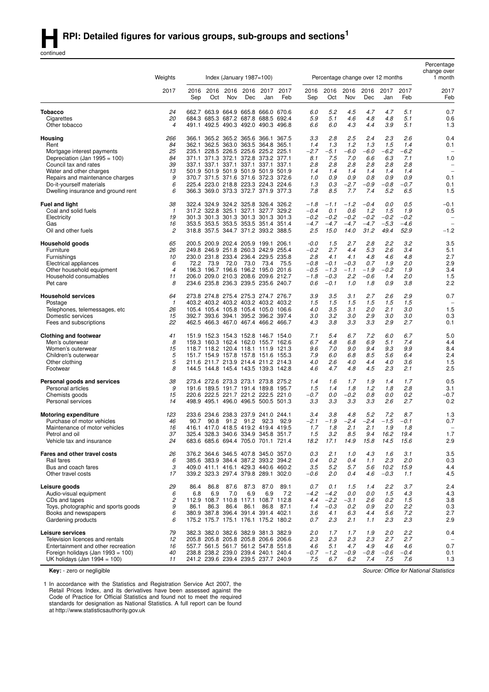continued

|                                                                         |                               |             |                                                                            |                               |                  |                               |             |               |                                  |               |               |               |               | Percentage<br>change over |
|-------------------------------------------------------------------------|-------------------------------|-------------|----------------------------------------------------------------------------|-------------------------------|------------------|-------------------------------|-------------|---------------|----------------------------------|---------------|---------------|---------------|---------------|---------------------------|
|                                                                         | Weights                       |             |                                                                            | Index (January $1987 = 100$ ) |                  |                               |             |               | Percentage change over 12 months |               |               |               |               | 1 month                   |
|                                                                         | 2017                          | 2016<br>Sep | 2016<br>Oct                                                                | Nov                           | 2016 2016<br>Dec | 2017<br>Jan                   | 2017<br>Feb | 2016<br>Sep   | 2016<br>Oct                      | 2016<br>Nov   | 2016<br>Dec   | 2017<br>Jan   | 2017<br>Feb   | 2017<br>Feb               |
| Tobacco                                                                 | 24                            |             | 662.7 663.9 664.9 665.8 666.0 670.6                                        |                               |                  |                               |             | 6.0           | 5.2                              | 4.5           | 4.7           | 4.7           | 5.1           | 0.7                       |
| Cigarettes                                                              | 20                            |             | 684.3 685.3 687.2 687.8 688.5 692.4                                        |                               |                  |                               |             | 5.9           | 5.1                              | 4.6           | 4.8           | 4.8           | 5.1           | 0.6                       |
| Other tobacco                                                           | $\overline{4}$                |             | 491.1 492.5                                                                |                               |                  | 490.3 492.0 490.3 496.8       |             | 6.6           | 6.0                              | 4.3           | 4.4           | 3.9           | 5.1           | 1.3                       |
| Housing                                                                 | 266                           | 366.1       |                                                                            |                               |                  | 365.2 365.2 365.6 366.1 367.5 |             | 3.3           | 2.8                              | 2.5           | 2.4           | 2.3           | 2.6           | 0.4                       |
| Rent<br>Mortgage interest payments                                      | 84<br>25                      | 362.1       | 235.1 228.5 226.5 225.6 225.2 225.1                                        |                               |                  | 362.5 363.0 363.5 364.8 365.1 |             | 1.4<br>$-2.7$ | 1.3<br>$-5.1$                    | 1.2<br>$-6.0$ | 1.3<br>$-6.0$ | 1.5<br>$-6.2$ | 1.4<br>$-6.2$ | 0.1                       |
| Depreciation (Jan 1995 = 100)                                           | 84                            |             | 371.1 371.3 372.1 372.8 373.2 377.1                                        |                               |                  |                               |             | 8.1           | 7.5                              | 7.0           | 6.6           | 6.3           | 7.1           | 1.0                       |
| Council tax and rates                                                   | 39                            |             | 337.1 337.1 337.1 337.1 337.1 337.1                                        |                               |                  |                               |             | 2.8           | 2.8                              | 2.8           | 2.8           | 2.8           | 2.8           | $\overline{\phantom{a}}$  |
| Water and other charges                                                 | 13                            |             | 501.9 501.9 501.9 501.9 501.9 501.9                                        |                               |                  |                               |             | 1.4           | 1.4                              | 1.4           | 1.4           | 1.4           | 1.4           | $\overline{\phantom{0}}$  |
| Repairs and maintenance charges<br>Do-it-yourself materials             | 9<br>6                        |             | 370.7 371.5 371.6 371.6 372.3 372.6<br>225.4 223.0 218.8 223.3 224.3 224.6 |                               |                  |                               |             | 1.0<br>1.3    | 0.9<br>0.3                       | 0.9<br>$-2.7$ | 0.8<br>$-0.9$ | 0.9<br>$-0.8$ | 0.9<br>$-0.7$ | 0.1<br>0.1                |
| Dwelling insurance and ground rent                                      | 6                             |             | 366.3 369.0 373.3 372.7 371.9 377.3                                        |                               |                  |                               |             | 7.8           | 8.5                              | 7.7           | 7.4           | 5.2           | 6.5           | 1.5                       |
| <b>Fuel and light</b>                                                   | 38                            |             | 322.4 324.9 324.2 325.8 326.4 326.2                                        |                               |                  |                               |             | $-1.8$        | $-1.1$                           | $-1.2$        | $-0.4$        | 0.0           | 0.5           | $-0.1$                    |
| Coal and solid fuels                                                    | $\mathbf{1}$                  |             | 317.2 322.8 325.1 327.1 327.7 329.2                                        |                               |                  |                               |             | $-0.4$        | 0.1                              | 0.6           | 1.2           | 1.5           | 1.9           | 0.5                       |
| Electricity                                                             | 19                            |             | 301.3 301.3 301.3 301.3 301.3 301.3                                        |                               |                  |                               |             | $-0.2$        | $-0.2$                           | $-0.2$        | $-0.2$        | $-0.2$        | $-0.2$        | $\overline{\phantom{0}}$  |
| Gas                                                                     | 16                            |             | 353.5 353.5 353.5 353.5 351.4 351.4                                        |                               |                  |                               |             | $-4.7$        | $-4.7$                           | $-4.7$        | $-4.7$        | $-5.3$        | $-4.6$        |                           |
| Oil and other fuels                                                     | 2                             |             | 318.8 357.5 344.7 371.2 393.2 388.5                                        |                               |                  |                               |             | 2.5           | 15.0                             | 14.0          | 31.2          | 49.4          | 52.9          | $-1.2$                    |
| Household goods                                                         | 65                            |             | 200.5 200.9 202.4 205.9 199.1 206.1                                        |                               |                  |                               |             | $-0.0$        | 1.5                              | 2.7           | 2.8           | 2.2           | 3.2           | 3.5                       |
| Furniture<br>Furnishings                                                | 26<br>10                      |             | 249.8 246.9 251.8 260.3 242.9 255.4<br>230.0 231.8 233.4 236.4 229.5 235.8 |                               |                  |                               |             | $-0.2$<br>2.8 | 2.7<br>4.1                       | 4.4<br>4.1    | 5.3<br>4.8    | 2.6<br>4.6    | 3.4<br>4.8    | 5.1<br>2.7                |
| Electrical appliances                                                   | 6                             | 72.2        | 73.9                                                                       | 72.0                          | 73.0             | 73.4                          | 75.5        | $-0.8$        | $-0.1$                           | $-0.3$        | 0.7           | 1.9           | 2.0           | 2.9                       |
| Other household equipment                                               | $\overline{4}$                |             | 196.3 196.7 196.6 196.2 195.0 201.6                                        |                               |                  |                               |             | $-0.5$        | $-1.3$                           | $-1.1$        | $-1.9$        | $-0.2$        | 1.9           | 3.4                       |
| Household consumables                                                   | 11                            |             | 206.0 209.0 210.3 208.6 209.6 212.7                                        |                               |                  |                               |             | $-1.8$        | $-0.3$                           | 2.2           | $-0.6$        | 1.4           | 2.0           | 1.5                       |
| Pet care                                                                | 8                             |             | 234.6 235.8 236.3 239.5 235.6 240.7                                        |                               |                  |                               |             | 0.6           | $-0.1$                           | 1.0           | 1.8           | 0.9           | 3.8           | 2.2                       |
| <b>Household services</b>                                               | 64                            |             | 273.8 274.8 275.4 275.3 274.7 276.7                                        |                               |                  |                               |             | 3.9           | 3.5                              | 3.1           | 2.7           | 2.6           | 2.9           | 0.7                       |
| Postage                                                                 | $\mathbf{1}$<br>26            |             | 403.2 403.2 403.2 403.2 403.2 403.2<br>105.4 105.4 105.8 105.4 105.0 106.6 |                               |                  |                               |             | 1.5<br>4.0    | 1.5<br>3.5                       | 1.5<br>3.1    | 1.5<br>2.0    | 1.5<br>2.1    | 1.5<br>3.0    | 1.5                       |
| Telephones, telemessages, etc<br>Domestic services                      | 15                            |             | 392.7 393.6 394.1                                                          |                               |                  | 395.2 396.2 397.4             |             | 3.0           | 3.2                              | 3.0           | 2.9           | 3.0           | 3.0           | 0.3                       |
| Fees and subscriptions                                                  | 22                            |             | 462.5 466.3 467.0 467.4 466.2 466.7                                        |                               |                  |                               |             | 4.3           | 3.8                              | 3.3           | 3.3           | 2.9           | 2.7           | 0.1                       |
| <b>Clothing and footwear</b>                                            | 41                            |             | 151.9 152.3 154.3 152.8 146.7 154.0                                        |                               |                  |                               |             | 7.1           | 5.4                              | 6.7           | 7.2           | 6.0           | 6.7           | 5.0                       |
| Men's outerwear                                                         | 8                             |             | 159.3 160.3 162.4 162.0 155.7 162.6                                        |                               |                  |                               |             | 6.7           | 4.8                              | 6.8           | 6.9           | 5.1           | 7.4           | 4.4                       |
| Women's outerwear                                                       | 15                            |             | 118.7 118.2 120.4 118.1 111.9 121.3                                        |                               |                  |                               |             | 9.6           | 7.0                              | 9.0           | 9.4           | 9.3           | 9.9           | 8.4                       |
| Children's outerwear<br>Other clothing                                  | 5<br>5                        |             | 151.7 154.9 157.8 157.8 151.6 155.3<br>211.6 211.7 213.9 214.4 211.2 214.3 |                               |                  |                               |             | 7.9<br>4.0    | 6.0<br>2.6                       | 6.8<br>4.0    | 8.5<br>4.4    | 5.6<br>4.0    | 6.4<br>3.6    | 2.4<br>1.5                |
| Footwear                                                                | 8                             |             | 144.5 144.8 145.4 143.5 139.3 142.8                                        |                               |                  |                               |             | 4.6           | 4.7                              | 4.8           | 4.5           | 2.3           | 2.1           | 2.5                       |
| Personal goods and services                                             | 38                            |             | 273.4 272.6 273.3 273.1 273.8 275.2                                        |                               |                  |                               |             | 1.4           | 1.6                              | 1.7           | 1.9           | 1.4           | 1.7           | 0.5                       |
| Personal articles                                                       | 9                             |             | 191.6 189.5 191.7 191.4 189.8 195.7                                        |                               |                  |                               |             | 1.5           | 1.4                              | 1.8           | 1.2           | 1.8           | 2.8           | 3.1                       |
| Chemists goods                                                          | 15                            |             | 220.6 222.5 221.7 221.2 222.5 221.0                                        |                               |                  |                               |             | $-0.7$        | 0.0                              | $-0.2$        | 0.8           | 0.0           | 0.2           | $-0.7$                    |
| Personal services                                                       | 14                            |             | 498.9 495.1 496.0 496.5 500.5 501.3                                        |                               |                  |                               |             | 3.3           | 3.3                              | 3.3           | 3.3           | 2.6           | 2.7           | 0.2                       |
| <b>Motoring expenditure</b>                                             | 123                           |             | 233.6 234.6 238.3 237.9 241.0 244.1                                        |                               |                  |                               |             | 3.4           | 3.8                              | 4.8           | 5.2           | 7.2           | 8.7           | 1.3                       |
| Purchase of motor vehicles                                              | 46                            | 90.7        | 90.8                                                                       |                               | 91.2 91.2        | 92.3                          | 92.9        | $-2.1$        | $-1.9$                           | $-2.4$        | $-2.4$        | $-1.5$        | $-0.1$        | 0.7                       |
| Maintenance of motor vehicles<br>Petrol and oil                         | 16<br>37                      |             | 416.1 417.0 418.5 419.2 419.4 419.5<br>325.4 328.3 340.6 334.9 345.8 351.7 |                               |                  |                               |             | 1.7<br>1.5    | 1.8<br>3.2                       | 2.1<br>8.5    | 2.1<br>9.4    | 1.9<br>16.2   | 1.8<br>19.4   | 1.7                       |
| Vehicle tax and insurance                                               | 24                            |             | 683.6 685.6 694.4 705.0 701.1 721.4                                        |                               |                  |                               |             | 18.2          | 17.1                             | 14.9          | 15.8          | 14.5          | 15.6          | 2.9                       |
| Fares and other travel costs                                            | 26                            |             | 376.2 364.6 346.5 407.8 345.0 357.0                                        |                               |                  |                               |             | 0.3           | 2.1                              | 1.0           | 4.3           | 1.6           | 3.1           | 3.5                       |
| Rail fares                                                              | 6                             |             | 385.6 383.9 384.4 387.2 393.2 394.2                                        |                               |                  |                               |             | 0.4           | 0.2                              | 0.4           | 1.1           | 2.3           | 2.0           | 0.3                       |
| Bus and coach fares                                                     | 3                             |             | 409.0 411.1 416.1 429.3 440.6 460.2                                        |                               |                  |                               |             | 3.5           | 5.2                              | 5.7           | 5.6           | 10.2          | 15.9          | 4.4                       |
| Other travel costs                                                      | 17                            |             | 339.2 323.3 297.4 379.8 289.1 302.0                                        |                               |                  |                               |             | $-0.6$        | 2.0                              | 0.4           | 4.6           | $-0.3$        | 1.1           | 4.5                       |
| Leisure goods                                                           | 29                            | 86.4        | 86.8                                                                       | 87.6                          | 87.3             | 87.0                          | 89.1        | 0.7           | 0.1                              | 1.5           | 1.4           | 2.2           | 3.7           | 2.4                       |
| Audio-visual equipment<br>CDs and tapes                                 | 6<br>$\overline{\mathcal{L}}$ | 6.8         | 6.9<br>112.9 108.7 110.8 117.1 108.7 112.8                                 | 7.0                           | 6.9              | 6.9                           | 7.2         | $-4.2$<br>4.4 | $-4.2$<br>$-2.2$                 | 0.0<br>$-3.1$ | 0.0<br>2.6    | 1.5<br>0.2    | 4.3           | 4.3                       |
| Toys, photographic and sports goods                                     | 9                             | 86.1        | 86.3                                                                       | 86.4                          | 86.1             | 86.8                          | 87.1        | 1.4           | $-0.3$                           | 0.2           | 0.9           | 2.0           | 1.5<br>2.2    | 3.8<br>0.3                |
| Books and newspapers                                                    | 6                             |             | 380.9 387.8 396.4 391.4 391.4 402.1                                        |                               |                  |                               |             | 3.6           | 4.1                              | 6.3           | 4.4           | 5.6           | 7.2           | 2.7                       |
| Gardening products                                                      | 6                             |             | 175.2 175.7 175.1 176.1 175.2 180.2                                        |                               |                  |                               |             | 0.7           | 2.3                              | 2.1           | 1.1           | 2.3           | 2.3           | 2.9                       |
| Leisure services                                                        | 79                            |             | 382.3 382.0 382.6 382.9 381.3 382.9                                        |                               |                  |                               |             | 2.0           | 1.7                              | 1.7           | 1.9           | 2.0           | 2.2           | 0.4                       |
| Television licences and rentals                                         | 12                            |             | 205.8 205.8 205.8 205.8 206.6 206.6                                        |                               |                  |                               |             | 2.3           | 2.3                              | 2.3           | 2.3           | 2.7           | 2.7           |                           |
| Entertainment and other recreation<br>Foreign holidays (Jan 1993 = 100) | 16<br>40                      |             | 557.7 561.5 561.7 561.2 547.8 551.8<br>238.8 238.2 239.0 239.4 240.1 240.4 |                               |                  |                               |             | 4.6<br>$-0.7$ | 5.1<br>$-1.2$                    | 4.7<br>$-0.9$ | 4.9<br>$-0.8$ | 4.6<br>$-0.6$ | 4.6<br>$-0.4$ | 0.7<br>0.1                |
| UK holidays (Jan 1994 = 100)                                            | 11                            |             | 241.2 239.6 239.4 239.5 237.7 240.9                                        |                               |                  |                               |             | 7.5           | 6.7                              | 6.2           | 7.4           | 7.5           | 7.6           | 1.3                       |
|                                                                         |                               |             |                                                                            |                               |                  |                               |             |               |                                  |               |               |               |               |                           |

**Key:** - zero or negligible

1 In accordance with the Statistics and Registration Service Act 2007, the Retail Prices Index, and its derivatives have been assessed against the Code of Practice for Official Statistics and found not to meet the required standards for designation as National Statistics. A full report can be found at http://www.statisticsauthority.gov.uk